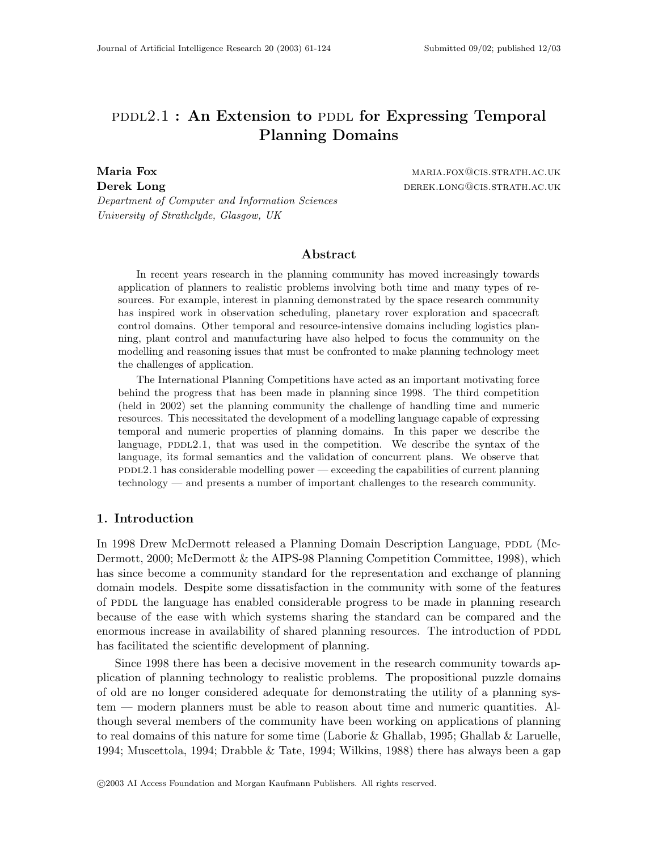# $PDDL2.1$ : An Extension to PDDL for Expressing Temporal Planning Domains

Maria Fox matrix and the matrix of the matrix matrix  $M = M \cdot \text{M}$  maria.fox@cis.strath.ac.uk Derek Long derek. Long derek. Long derek. Long derek. Long derek. Long derek Long derek Long derek Long derek

Department of Computer and Information Sciences University of Strathclyde, Glasgow, UK

# Abstract

In recent years research in the planning community has moved increasingly towards application of planners to realistic problems involving both time and many types of resources. For example, interest in planning demonstrated by the space research community has inspired work in observation scheduling, planetary rover exploration and spacecraft control domains. Other temporal and resource-intensive domains including logistics planning, plant control and manufacturing have also helped to focus the community on the modelling and reasoning issues that must be confronted to make planning technology meet the challenges of application.

The International Planning Competitions have acted as an important motivating force behind the progress that has been made in planning since 1998. The third competition (held in 2002) set the planning community the challenge of handling time and numeric resources. This necessitated the development of a modelling language capable of expressing temporal and numeric properties of planning domains. In this paper we describe the language,  $PDDL2.1$ , that was used in the competition. We describe the syntax of the language, its formal semantics and the validation of concurrent plans. We observe that  $pDDL2.1$  has considerable modelling power — exceeding the capabilities of current planning technology — and presents a number of important challenges to the research community.

# 1. Introduction

In 1998 Drew McDermott released a Planning Domain Description Language, PDDL (Mc-Dermott, 2000; McDermott & the AIPS-98 Planning Competition Committee, 1998), which has since become a community standard for the representation and exchange of planning domain models. Despite some dissatisfaction in the community with some of the features of PDDL the language has enabled considerable progress to be made in planning research because of the ease with which systems sharing the standard can be compared and the enormous increase in availability of shared planning resources. The introduction of PDDL has facilitated the scientific development of planning.

Since 1998 there has been a decisive movement in the research community towards application of planning technology to realistic problems. The propositional puzzle domains of old are no longer considered adequate for demonstrating the utility of a planning system — modern planners must be able to reason about time and numeric quantities. Although several members of the community have been working on applications of planning to real domains of this nature for some time (Laborie & Ghallab, 1995; Ghallab & Laruelle, 1994; Muscettola, 1994; Drabble & Tate, 1994; Wilkins, 1988) there has always been a gap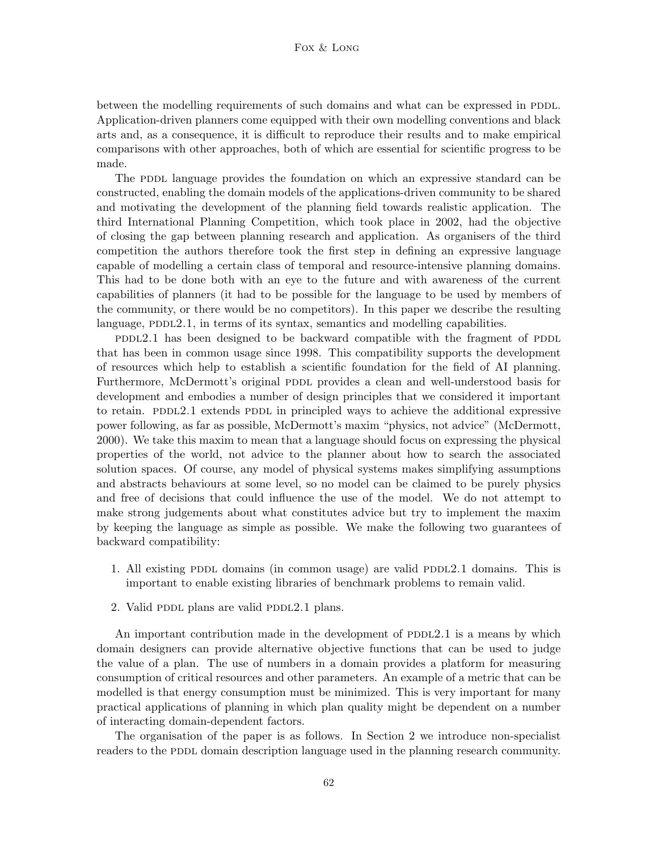between the modelling requirements of such domains and what can be expressed in PDDL. Application-driven planners come equipped with their own modelling conventions and black arts and, as a consequence, it is difficult to reproduce their results and to make empirical comparisons with other approaches, both of which are essential for scientific progress to be made.

The PDDL language provides the foundation on which an expressive standard can be constructed, enabling the domain models of the applications-driven community to be shared and motivating the development of the planning field towards realistic application. The third International Planning Competition, which took place in 2002, had the objective of closing the gap between planning research and application. As organisers of the third competition the authors therefore took the first step in defining an expressive language capable of modelling a certain class of temporal and resource-intensive planning domains. This had to be done both with an eye to the future and with awareness of the current capabilities of planners (it had to be possible for the language to be used by members of the community, or there would be no competitors). In this paper we describe the resulting language, PDDL2.1, in terms of its syntax, semantics and modelling capabilities.

pddl2.1 has been designed to be backward compatible with the fragment of PDDL that has been in common usage since 1998. This compatibility supports the development of resources which help to establish a scientific foundation for the field of AI planning. Furthermore, McDermott's original PDDL provides a clean and well-understood basis for development and embodies a number of design principles that we considered it important to retain. PDDL2.1 extends PDDL in principled ways to achieve the additional expressive power following, as far as possible, McDermott's maxim "physics, not advice" (McDermott, 2000). We take this maxim to mean that a language should focus on expressing the physical properties of the world, not advice to the planner about how to search the associated solution spaces. Of course, any model of physical systems makes simplifying assumptions and abstracts behaviours at some level, so no model can be claimed to be purely physics and free of decisions that could influence the use of the model. We do not attempt to make strong judgements about what constitutes advice but try to implement the maxim by keeping the language as simple as possible. We make the following two guarantees of backward compatibility:

- 1. All existing PDDL domains (in common usage) are valid PDDL2.1 domains. This is important to enable existing libraries of benchmark problems to remain valid.
- 2. Valid PDDL plans are valid PDDL2.1 plans.

An important contribution made in the development of  $PDDL2.1$  is a means by which domain designers can provide alternative objective functions that can be used to judge the value of a plan. The use of numbers in a domain provides a platform for measuring consumption of critical resources and other parameters. An example of a metric that can be modelled is that energy consumption must be minimized. This is very important for many practical applications of planning in which plan quality might be dependent on a number of interacting domain-dependent factors.

The organisation of the paper is as follows. In Section 2 we introduce non-specialist readers to the PDDL domain description language used in the planning research community.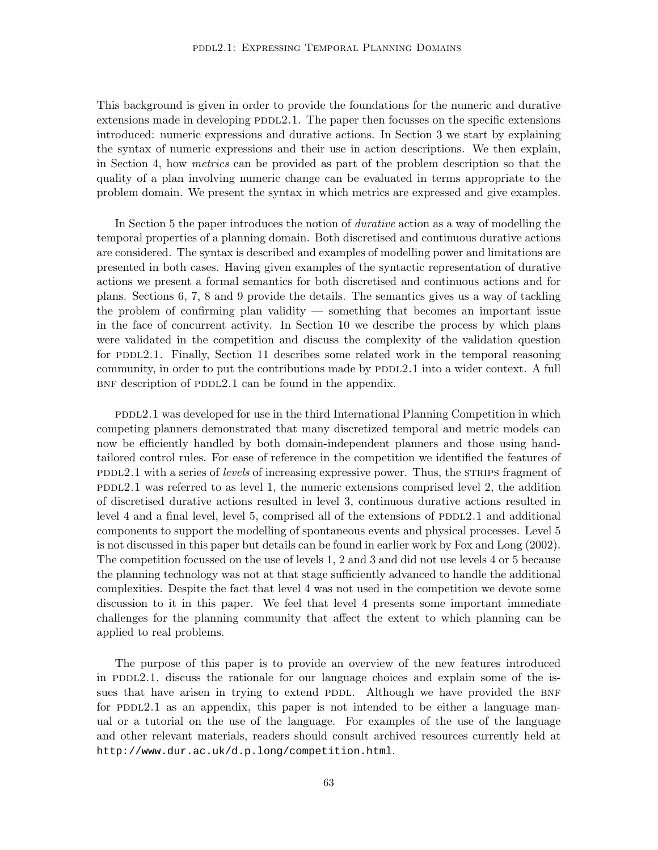This background is given in order to provide the foundations for the numeric and durative extensions made in developing  $PDDL2.1$ . The paper then focusses on the specific extensions introduced: numeric expressions and durative actions. In Section 3 we start by explaining the syntax of numeric expressions and their use in action descriptions. We then explain, in Section 4, how metrics can be provided as part of the problem description so that the quality of a plan involving numeric change can be evaluated in terms appropriate to the problem domain. We present the syntax in which metrics are expressed and give examples.

In Section 5 the paper introduces the notion of durative action as a way of modelling the temporal properties of a planning domain. Both discretised and continuous durative actions are considered. The syntax is described and examples of modelling power and limitations are presented in both cases. Having given examples of the syntactic representation of durative actions we present a formal semantics for both discretised and continuous actions and for plans. Sections 6, 7, 8 and 9 provide the details. The semantics gives us a way of tackling the problem of confirming plan validity — something that becomes an important issue in the face of concurrent activity. In Section 10 we describe the process by which plans were validated in the competition and discuss the complexity of the validation question for PDDL2.1. Finally, Section 11 describes some related work in the temporal reasoning community, in order to put the contributions made by PDDL2.1 into a wider context. A full  $BNF$  description of PDDL2.1 can be found in the appendix.

pddl2.1 was developed for use in the third International Planning Competition in which competing planners demonstrated that many discretized temporal and metric models can now be efficiently handled by both domain-independent planners and those using handtailored control rules. For ease of reference in the competition we identified the features of pddl2.1 with a series of *levels* of increasing expressive power. Thus, the strains fragment of  $PDDL2.1$  was referred to as level 1, the numeric extensions comprised level 2, the addition of discretised durative actions resulted in level 3, continuous durative actions resulted in level 4 and a final level, level 5, comprised all of the extensions of  $PDDL2.1$  and additional components to support the modelling of spontaneous events and physical processes. Level 5 is not discussed in this paper but details can be found in earlier work by Fox and Long (2002). The competition focussed on the use of levels 1, 2 and 3 and did not use levels 4 or 5 because the planning technology was not at that stage sufficiently advanced to handle the additional complexities. Despite the fact that level 4 was not used in the competition we devote some discussion to it in this paper. We feel that level 4 presents some important immediate challenges for the planning community that affect the extent to which planning can be applied to real problems.

The purpose of this paper is to provide an overview of the new features introduced in PDDL $2.1$ , discuss the rationale for our language choices and explain some of the issues that have arisen in trying to extend PDDL. Although we have provided the BNF for PDDL2.1 as an appendix, this paper is not intended to be either a language manual or a tutorial on the use of the language. For examples of the use of the language and other relevant materials, readers should consult archived resources currently held at http://www.dur.ac.uk/d.p.long/competition.html.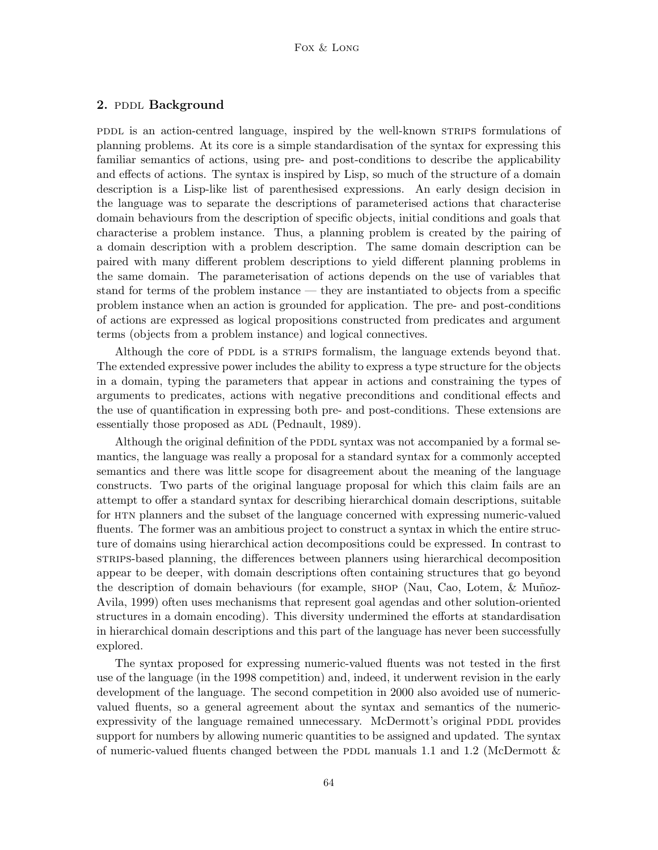# 2. PDDL Background

pddl is an action-centred language, inspired by the well-known strains formulations of planning problems. At its core is a simple standardisation of the syntax for expressing this familiar semantics of actions, using pre- and post-conditions to describe the applicability and effects of actions. The syntax is inspired by Lisp, so much of the structure of a domain description is a Lisp-like list of parenthesised expressions. An early design decision in the language was to separate the descriptions of parameterised actions that characterise domain behaviours from the description of specific objects, initial conditions and goals that characterise a problem instance. Thus, a planning problem is created by the pairing of a domain description with a problem description. The same domain description can be paired with many different problem descriptions to yield different planning problems in the same domain. The parameterisation of actions depends on the use of variables that stand for terms of the problem instance — they are instantiated to objects from a specific problem instance when an action is grounded for application. The pre- and post-conditions of actions are expressed as logical propositions constructed from predicates and argument terms (objects from a problem instance) and logical connectives.

Although the core of PDDL is a STRIPS formalism, the language extends beyond that. The extended expressive power includes the ability to express a type structure for the objects in a domain, typing the parameters that appear in actions and constraining the types of arguments to predicates, actions with negative preconditions and conditional effects and the use of quantification in expressing both pre- and post-conditions. These extensions are essentially those proposed as ADL (Pednault, 1989).

Although the original definition of the PDDL syntax was not accompanied by a formal semantics, the language was really a proposal for a standard syntax for a commonly accepted semantics and there was little scope for disagreement about the meaning of the language constructs. Two parts of the original language proposal for which this claim fails are an attempt to offer a standard syntax for describing hierarchical domain descriptions, suitable for htn planners and the subset of the language concerned with expressing numeric-valued fluents. The former was an ambitious project to construct a syntax in which the entire structure of domains using hierarchical action decompositions could be expressed. In contrast to strips-based planning, the differences between planners using hierarchical decomposition appear to be deeper, with domain descriptions often containing structures that go beyond the description of domain behaviours (for example, SHOP (Nau, Cao, Lotem, & Muñoz-Avila, 1999) often uses mechanisms that represent goal agendas and other solution-oriented structures in a domain encoding). This diversity undermined the efforts at standardisation in hierarchical domain descriptions and this part of the language has never been successfully explored.

The syntax proposed for expressing numeric-valued fluents was not tested in the first use of the language (in the 1998 competition) and, indeed, it underwent revision in the early development of the language. The second competition in 2000 also avoided use of numericvalued fluents, so a general agreement about the syntax and semantics of the numericexpressivity of the language remained unnecessary. McDermott's original PDDL provides support for numbers by allowing numeric quantities to be assigned and updated. The syntax of numeric-valued fluents changed between the PDDL manuals 1.1 and 1.2 (McDermott  $\&$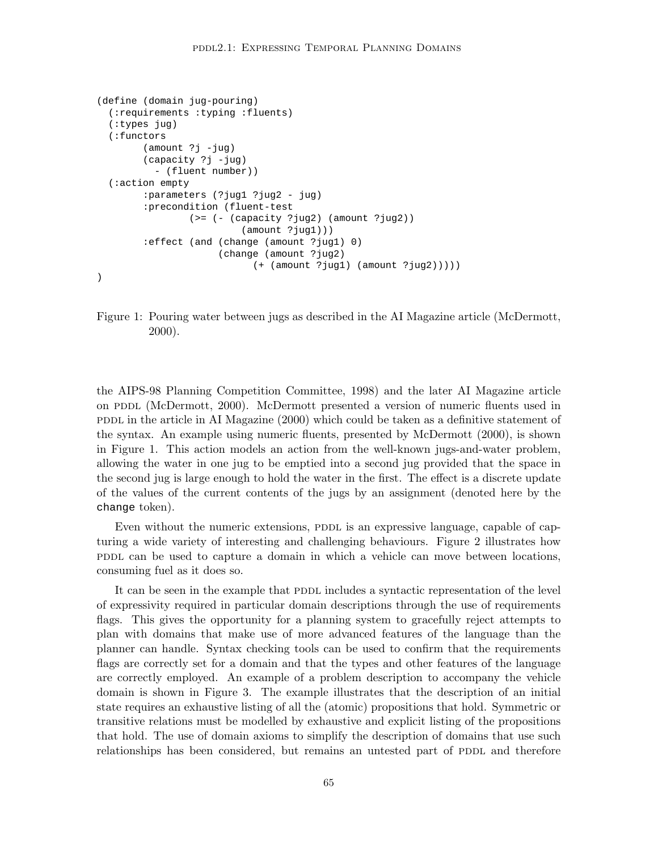```
(define (domain jug-pouring)
  (:requirements :typing :fluents)
  (:types jug)
  (:functors
        (amount ?j -jug)
        (capacity ?j -jug)
          - (fluent number))
  (:action empty
        :parameters (?jug1 ?jug2 - jug)
        :precondition (fluent-test
                (>= (- (capacity ?jug2) (amount ?jug2))
                         (amount ?jug1)))
        :effect (and (change (amount ?jug1) 0)
                     (change (amount ?jug2)
                           (+ (amount ?jug1) (amount ?jug2)))))
)
```
Figure 1: Pouring water between jugs as described in the AI Magazine article (McDermott, 2000).

the AIPS-98 Planning Competition Committee, 1998) and the later AI Magazine article on PDDL (McDermott, 2000). McDermott presented a version of numeric fluents used in PDDL in the article in AI Magazine  $(2000)$  which could be taken as a definitive statement of the syntax. An example using numeric fluents, presented by McDermott (2000), is shown in Figure 1. This action models an action from the well-known jugs-and-water problem, allowing the water in one jug to be emptied into a second jug provided that the space in the second jug is large enough to hold the water in the first. The effect is a discrete update of the values of the current contents of the jugs by an assignment (denoted here by the change token).

Even without the numeric extensions, PDDL is an expressive language, capable of capturing a wide variety of interesting and challenging behaviours. Figure 2 illustrates how populate can be used to capture a domain in which a vehicle can move between locations, consuming fuel as it does so.

It can be seen in the example that PDDL includes a syntactic representation of the level of expressivity required in particular domain descriptions through the use of requirements flags. This gives the opportunity for a planning system to gracefully reject attempts to plan with domains that make use of more advanced features of the language than the planner can handle. Syntax checking tools can be used to confirm that the requirements flags are correctly set for a domain and that the types and other features of the language are correctly employed. An example of a problem description to accompany the vehicle domain is shown in Figure 3. The example illustrates that the description of an initial state requires an exhaustive listing of all the (atomic) propositions that hold. Symmetric or transitive relations must be modelled by exhaustive and explicit listing of the propositions that hold. The use of domain axioms to simplify the description of domains that use such relationships has been considered, but remains an untested part of PDDL and therefore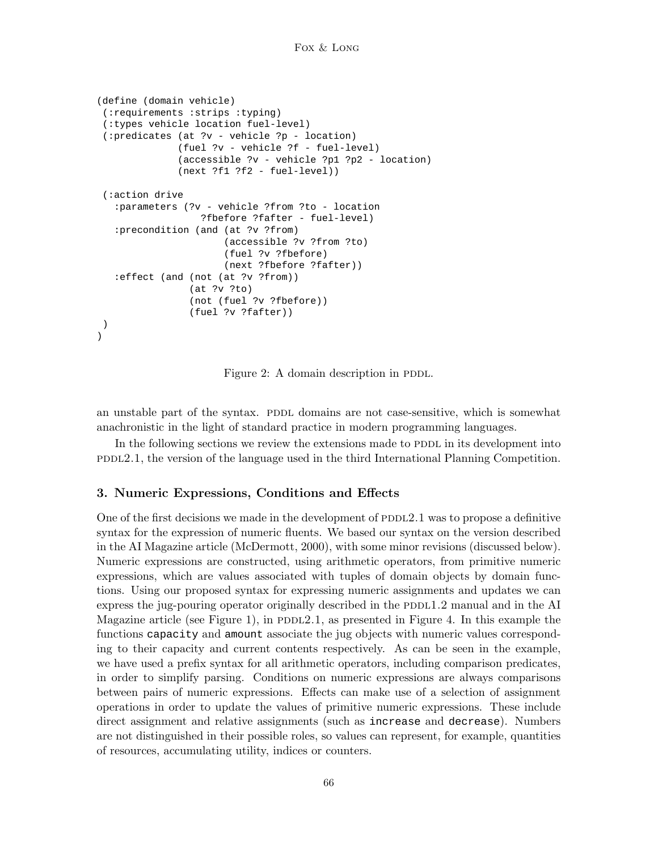```
(define (domain vehicle)
 (:requirements :strips :typing)
 (:types vehicle location fuel-level)
 (:predicates (at ?v - vehicle ?p - location)
              (fuel ?v - vehicle ?f - fuel-level)
              (accessible ?v - vehicle ?p1 ?p2 - location)
              (next ?f1 ?f2 - fuel-level))
 (:action drive
   :parameters (?v - vehicle ?from ?to - location
                  ?fbefore ?fafter - fuel-level)
   :precondition (and (at ?v ?from)
                      (accessible ?v ?from ?to)
                      (fuel ?v ?fbefore)
                      (next ?fbefore ?fafter))
   :effect (and (not (at ?v ?from))
                (at ?v ?to)
                (not (fuel ?v ?fbefore))
                (fuel ?v ?fafter))
)
)
```
Figure 2: A domain description in PDDL.

an unstable part of the syntax. PDDL domains are not case-sensitive, which is somewhat anachronistic in the light of standard practice in modern programming languages.

In the following sections we review the extensions made to PDDL in its development into pddl2.1, the version of the language used in the third International Planning Competition.

# 3. Numeric Expressions, Conditions and Effects

One of the first decisions we made in the development of  $PDDL2.1$  was to propose a definitive syntax for the expression of numeric fluents. We based our syntax on the version described in the AI Magazine article (McDermott, 2000), with some minor revisions (discussed below). Numeric expressions are constructed, using arithmetic operators, from primitive numeric expressions, which are values associated with tuples of domain objects by domain functions. Using our proposed syntax for expressing numeric assignments and updates we can express the jug-pouring operator originally described in the  $PDE1.2$  manual and in the AI Magazine article (see Figure 1), in  $PDDL2.1$ , as presented in Figure 4. In this example the functions capacity and amount associate the jug objects with numeric values corresponding to their capacity and current contents respectively. As can be seen in the example, we have used a prefix syntax for all arithmetic operators, including comparison predicates, in order to simplify parsing. Conditions on numeric expressions are always comparisons between pairs of numeric expressions. Effects can make use of a selection of assignment operations in order to update the values of primitive numeric expressions. These include direct assignment and relative assignments (such as increase and decrease). Numbers are not distinguished in their possible roles, so values can represent, for example, quantities of resources, accumulating utility, indices or counters.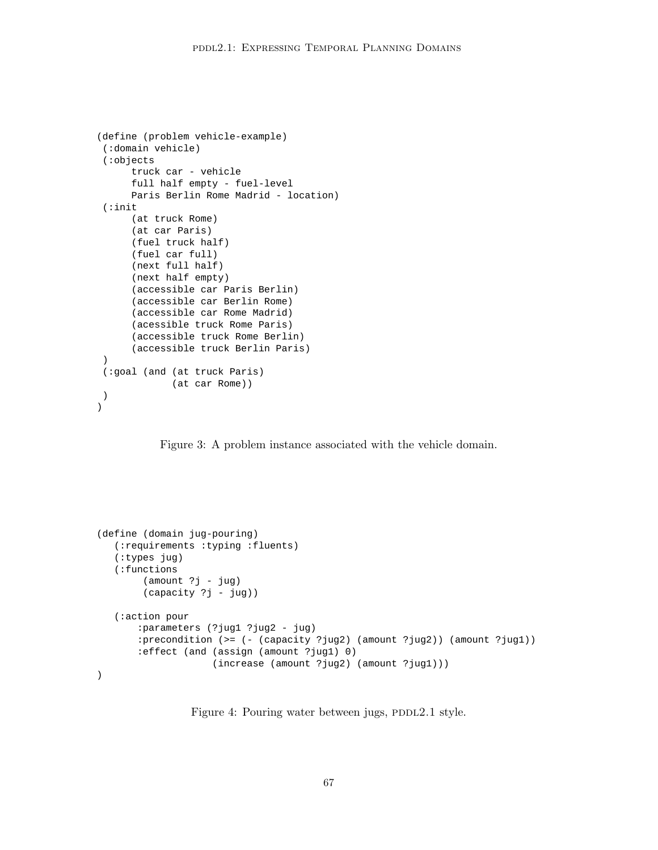```
(define (problem vehicle-example)
(:domain vehicle)
(:objects
     truck car - vehicle
      full half empty - fuel-level
     Paris Berlin Rome Madrid - location)
 (:init
      (at truck Rome)
      (at car Paris)
     (fuel truck half)
      (fuel car full)
      (next full half)
      (next half empty)
      (accessible car Paris Berlin)
      (accessible car Berlin Rome)
      (accessible car Rome Madrid)
      (acessible truck Rome Paris)
      (accessible truck Rome Berlin)
      (accessible truck Berlin Paris)
 )
(:goal (and (at truck Paris)
            (at car Rome))
)
)
```
Figure 3: A problem instance associated with the vehicle domain.

```
(define (domain jug-pouring)
   (:requirements :typing :fluents)
   (:types jug)
   (:functions
        (amount ?j - jug)
        (capacity ?j - jug))
   (:action pour
       :parameters (?jug1 ?jug2 - jug)
       :precondition (>= (- (capacity ?jug2) (amount ?jug2)) (amount ?jug1))
       :effect (and (assign (amount ?jug1) 0)
                    (increase (amount ?jug2) (amount ?jug1)))
)
```
Figure 4: Pouring water between jugs, PDDL2.1 style.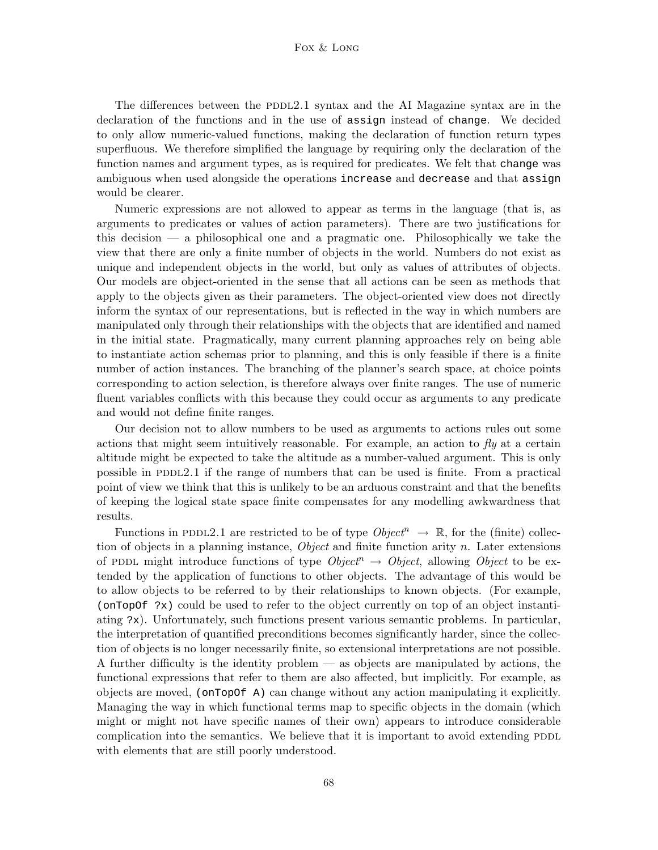The differences between the PDDL2.1 syntax and the AI Magazine syntax are in the declaration of the functions and in the use of assign instead of change. We decided to only allow numeric-valued functions, making the declaration of function return types superfluous. We therefore simplified the language by requiring only the declaration of the function names and argument types, as is required for predicates. We felt that change was ambiguous when used alongside the operations increase and decrease and that assign would be clearer.

Numeric expressions are not allowed to appear as terms in the language (that is, as arguments to predicates or values of action parameters). There are two justifications for this decision — a philosophical one and a pragmatic one. Philosophically we take the view that there are only a finite number of objects in the world. Numbers do not exist as unique and independent objects in the world, but only as values of attributes of objects. Our models are object-oriented in the sense that all actions can be seen as methods that apply to the objects given as their parameters. The object-oriented view does not directly inform the syntax of our representations, but is reflected in the way in which numbers are manipulated only through their relationships with the objects that are identified and named in the initial state. Pragmatically, many current planning approaches rely on being able to instantiate action schemas prior to planning, and this is only feasible if there is a finite number of action instances. The branching of the planner's search space, at choice points corresponding to action selection, is therefore always over finite ranges. The use of numeric fluent variables conflicts with this because they could occur as arguments to any predicate and would not define finite ranges.

Our decision not to allow numbers to be used as arguments to actions rules out some actions that might seem intuitively reasonable. For example, an action to  $\beta y$  at a certain altitude might be expected to take the altitude as a number-valued argument. This is only possible in PDDL2.1 if the range of numbers that can be used is finite. From a practical point of view we think that this is unlikely to be an arduous constraint and that the benefits of keeping the logical state space finite compensates for any modelling awkwardness that results.

Functions in PDDL2.1 are restricted to be of type  $Object^n \rightarrow \mathbb{R}$ , for the (finite) collection of objects in a planning instance, *Object* and finite function arity n. Later extensions of PDDL might introduce functions of type  $Object^n \rightarrow Object$ , allowing Object to be extended by the application of functions to other objects. The advantage of this would be to allow objects to be referred to by their relationships to known objects. (For example, (onTopOf ?x) could be used to refer to the object currently on top of an object instantiating ?x). Unfortunately, such functions present various semantic problems. In particular, the interpretation of quantified preconditions becomes significantly harder, since the collection of objects is no longer necessarily finite, so extensional interpretations are not possible. A further difficulty is the identity problem — as objects are manipulated by actions, the functional expressions that refer to them are also affected, but implicitly. For example, as objects are moved, (onTopOf A) can change without any action manipulating it explicitly. Managing the way in which functional terms map to specific objects in the domain (which might or might not have specific names of their own) appears to introduce considerable complication into the semantics. We believe that it is important to avoid extending PDDL with elements that are still poorly understood.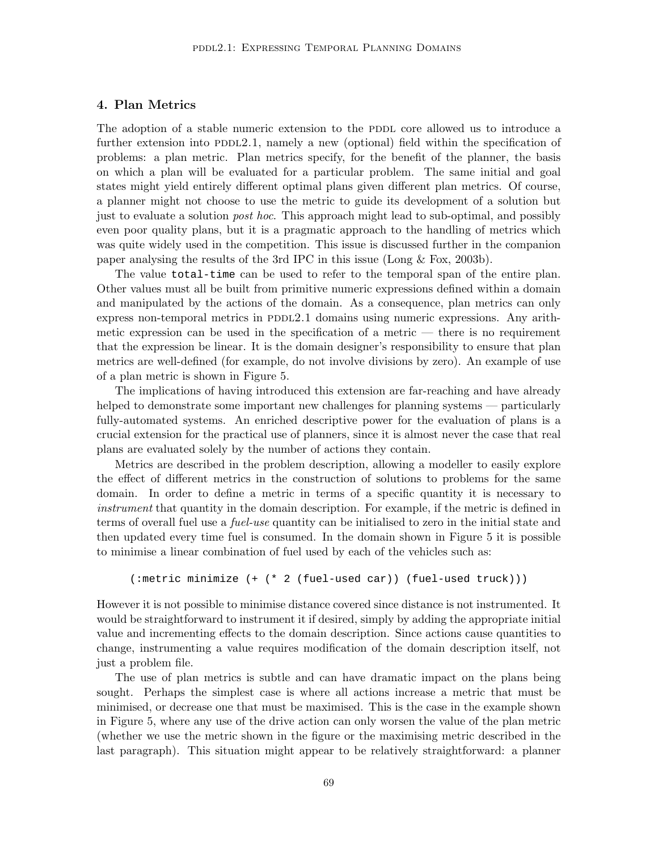## 4. Plan Metrics

The adoption of a stable numeric extension to the PDDL core allowed us to introduce a further extension into  $PDD2.1$ , namely a new (optional) field within the specification of problems: a plan metric. Plan metrics specify, for the benefit of the planner, the basis on which a plan will be evaluated for a particular problem. The same initial and goal states might yield entirely different optimal plans given different plan metrics. Of course, a planner might not choose to use the metric to guide its development of a solution but just to evaluate a solution post hoc. This approach might lead to sub-optimal, and possibly even poor quality plans, but it is a pragmatic approach to the handling of metrics which was quite widely used in the competition. This issue is discussed further in the companion paper analysing the results of the 3rd IPC in this issue (Long & Fox, 2003b).

The value total-time can be used to refer to the temporal span of the entire plan. Other values must all be built from primitive numeric expressions defined within a domain and manipulated by the actions of the domain. As a consequence, plan metrics can only express non-temporal metrics in PDDL2.1 domains using numeric expressions. Any arithmetic expression can be used in the specification of a metric  $-$  there is no requirement that the expression be linear. It is the domain designer's responsibility to ensure that plan metrics are well-defined (for example, do not involve divisions by zero). An example of use of a plan metric is shown in Figure 5.

The implications of having introduced this extension are far-reaching and have already helped to demonstrate some important new challenges for planning systems — particularly fully-automated systems. An enriched descriptive power for the evaluation of plans is a crucial extension for the practical use of planners, since it is almost never the case that real plans are evaluated solely by the number of actions they contain.

Metrics are described in the problem description, allowing a modeller to easily explore the effect of different metrics in the construction of solutions to problems for the same domain. In order to define a metric in terms of a specific quantity it is necessary to instrument that quantity in the domain description. For example, if the metric is defined in terms of overall fuel use a fuel-use quantity can be initialised to zero in the initial state and then updated every time fuel is consumed. In the domain shown in Figure 5 it is possible to minimise a linear combination of fuel used by each of the vehicles such as:

```
(:metric minimize (+ (* 2 (fuel-used car)) (fuel-used truck)))
```
However it is not possible to minimise distance covered since distance is not instrumented. It would be straightforward to instrument it if desired, simply by adding the appropriate initial value and incrementing effects to the domain description. Since actions cause quantities to change, instrumenting a value requires modification of the domain description itself, not just a problem file.

The use of plan metrics is subtle and can have dramatic impact on the plans being sought. Perhaps the simplest case is where all actions increase a metric that must be minimised, or decrease one that must be maximised. This is the case in the example shown in Figure 5, where any use of the drive action can only worsen the value of the plan metric (whether we use the metric shown in the figure or the maximising metric described in the last paragraph). This situation might appear to be relatively straightforward: a planner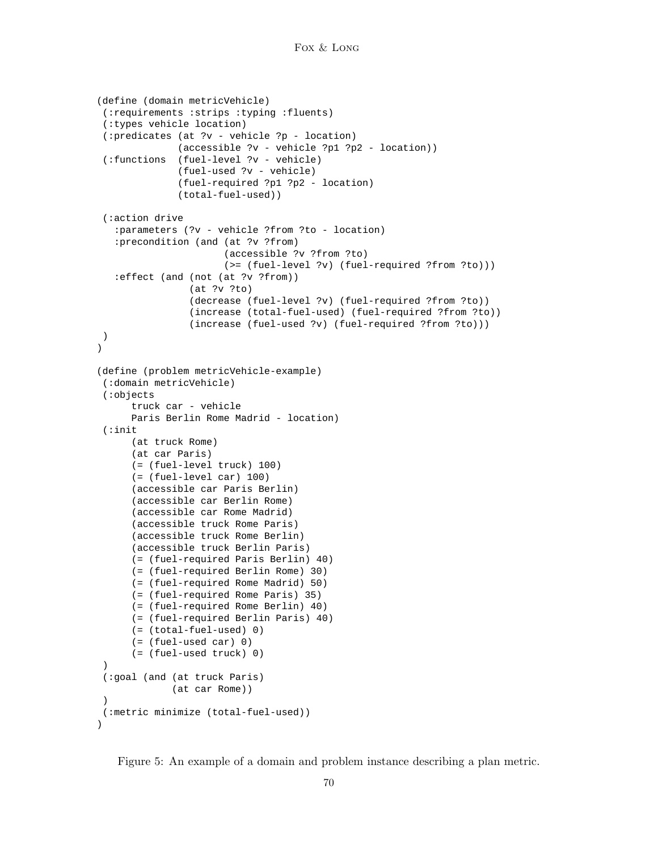```
(define (domain metricVehicle)
 (:requirements :strips :typing :fluents)
 (:types vehicle location)
(:predicates (at ?v - vehicle ?p - location)
             (accessible ?v - vehicle ?p1 ?p2 - location))
 (:functions (fuel-level ?v - vehicle)
              (fuel-used ?v - vehicle)
              (fuel-required ?p1 ?p2 - location)
              (total-fuel-used))
 (:action drive
   :parameters (?v - vehicle ?from ?to - location)
   :precondition (and (at ?v ?from)
                      (accessible ?v ?from ?to)
                      (>= (fuel-level ?v) (fuel-required ?from ?to)))
   :effect (and (not (at ?v ?from))
                (at ?v ?to)
                (decrease (fuel-level ?v) (fuel-required ?from ?to))
                (increase (total-fuel-used) (fuel-required ?from ?to))
                (increase (fuel-used ?v) (fuel-required ?from ?to)))
)
)
(define (problem metricVehicle-example)
 (:domain metricVehicle)
 (:objects
      truck car - vehicle
      Paris Berlin Rome Madrid - location)
 (:init
      (at truck Rome)
      (at car Paris)
      (= (fuel-level truck) 100)
      (= (fuel-level car) 100)
      (accessible car Paris Berlin)
      (accessible car Berlin Rome)
      (accessible car Rome Madrid)
      (accessible truck Rome Paris)
      (accessible truck Rome Berlin)
      (accessible truck Berlin Paris)
      (= (fuel-required Paris Berlin) 40)
      (= (fuel-required Berlin Rome) 30)
      (= (fuel-required Rome Madrid) 50)
      (= (fuel-required Rome Paris) 35)
      (= (fuel-required Rome Berlin) 40)
      (= (fuel-required Berlin Paris) 40)
      (= (total-fuel-used) 0)
      (= (fuel-used car) 0)
      (= (fuel-used truck) 0)
 )
 (:goal (and (at truck Paris)
             (at car Rome))
 \lambda(:metric minimize (total-fuel-used))
)
```
Figure 5: An example of a domain and problem instance describing a plan metric.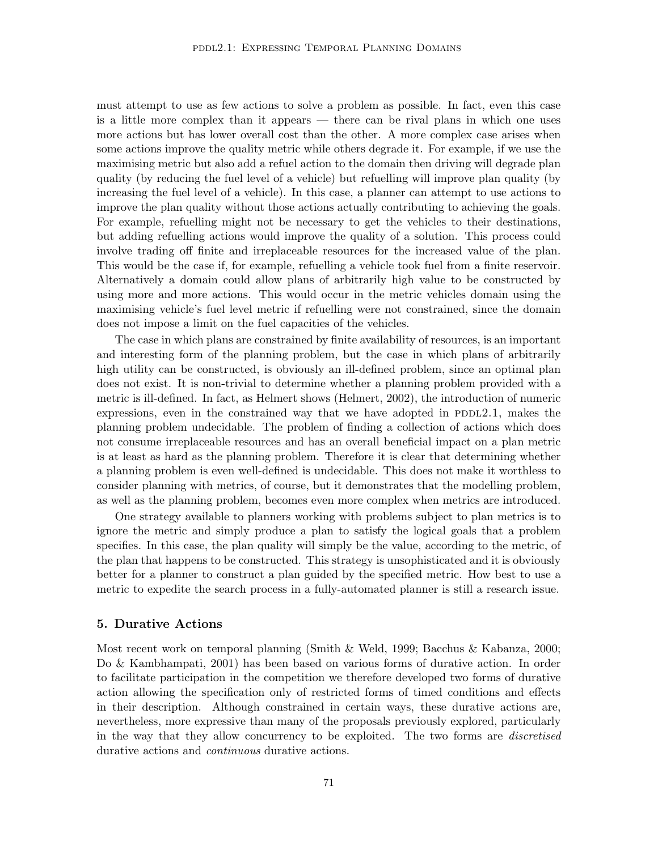must attempt to use as few actions to solve a problem as possible. In fact, even this case is a little more complex than it appears — there can be rival plans in which one uses more actions but has lower overall cost than the other. A more complex case arises when some actions improve the quality metric while others degrade it. For example, if we use the maximising metric but also add a refuel action to the domain then driving will degrade plan quality (by reducing the fuel level of a vehicle) but refuelling will improve plan quality (by increasing the fuel level of a vehicle). In this case, a planner can attempt to use actions to improve the plan quality without those actions actually contributing to achieving the goals. For example, refuelling might not be necessary to get the vehicles to their destinations, but adding refuelling actions would improve the quality of a solution. This process could involve trading off finite and irreplaceable resources for the increased value of the plan. This would be the case if, for example, refuelling a vehicle took fuel from a finite reservoir. Alternatively a domain could allow plans of arbitrarily high value to be constructed by using more and more actions. This would occur in the metric vehicles domain using the maximising vehicle's fuel level metric if refuelling were not constrained, since the domain does not impose a limit on the fuel capacities of the vehicles.

The case in which plans are constrained by finite availability of resources, is an important and interesting form of the planning problem, but the case in which plans of arbitrarily high utility can be constructed, is obviously an ill-defined problem, since an optimal plan does not exist. It is non-trivial to determine whether a planning problem provided with a metric is ill-defined. In fact, as Helmert shows (Helmert, 2002), the introduction of numeric expressions, even in the constrained way that we have adopted in  $PDDL2.1$ , makes the planning problem undecidable. The problem of finding a collection of actions which does not consume irreplaceable resources and has an overall beneficial impact on a plan metric is at least as hard as the planning problem. Therefore it is clear that determining whether a planning problem is even well-defined is undecidable. This does not make it worthless to consider planning with metrics, of course, but it demonstrates that the modelling problem, as well as the planning problem, becomes even more complex when metrics are introduced.

One strategy available to planners working with problems subject to plan metrics is to ignore the metric and simply produce a plan to satisfy the logical goals that a problem specifies. In this case, the plan quality will simply be the value, according to the metric, of the plan that happens to be constructed. This strategy is unsophisticated and it is obviously better for a planner to construct a plan guided by the specified metric. How best to use a metric to expedite the search process in a fully-automated planner is still a research issue.

## 5. Durative Actions

Most recent work on temporal planning (Smith & Weld, 1999; Bacchus & Kabanza, 2000; Do & Kambhampati, 2001) has been based on various forms of durative action. In order to facilitate participation in the competition we therefore developed two forms of durative action allowing the specification only of restricted forms of timed conditions and effects in their description. Although constrained in certain ways, these durative actions are, nevertheless, more expressive than many of the proposals previously explored, particularly in the way that they allow concurrency to be exploited. The two forms are *discretised* durative actions and continuous durative actions.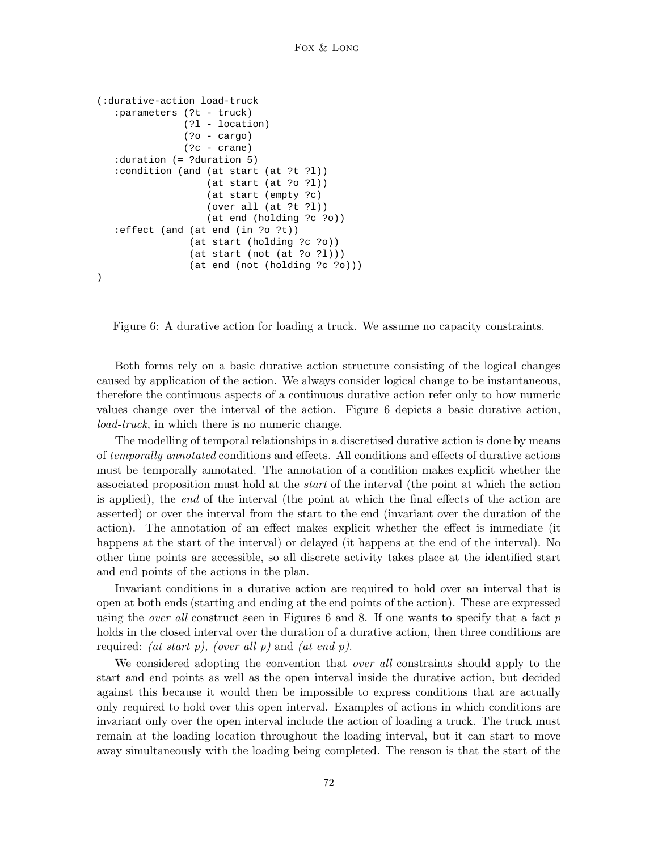```
(:durative-action load-truck
   :parameters (?t - truck)
               (?l - location)
               (?o - cargo)
               (?c - crane)
   :duration (= ?duration 5)
   :condition (and (at start (at ?t ?l))
                   (at start (at ?o ?l))
                   (at start (empty ?c)
                   (over all (at ?t ?l))
                   (at end (holding ?c ?o))
   :effect (and (at end (in ?o ?t))
                (at start (holding ?c ?o))
                (at start (not (at ?o ?l)))
                (at end (not (holding ?c ?o)))
)
```
Figure 6: A durative action for loading a truck. We assume no capacity constraints.

Both forms rely on a basic durative action structure consisting of the logical changes caused by application of the action. We always consider logical change to be instantaneous, therefore the continuous aspects of a continuous durative action refer only to how numeric values change over the interval of the action. Figure 6 depicts a basic durative action, load-truck, in which there is no numeric change.

The modelling of temporal relationships in a discretised durative action is done by means of temporally annotated conditions and effects. All conditions and effects of durative actions must be temporally annotated. The annotation of a condition makes explicit whether the associated proposition must hold at the start of the interval (the point at which the action is applied), the end of the interval (the point at which the final effects of the action are asserted) or over the interval from the start to the end (invariant over the duration of the action). The annotation of an effect makes explicit whether the effect is immediate (it happens at the start of the interval) or delayed (it happens at the end of the interval). No other time points are accessible, so all discrete activity takes place at the identified start and end points of the actions in the plan.

Invariant conditions in a durative action are required to hold over an interval that is open at both ends (starting and ending at the end points of the action). These are expressed using the *over all* construct seen in Figures  $6$  and  $8$ . If one wants to specify that a fact p holds in the closed interval over the duration of a durative action, then three conditions are required: *(at start p), (over all p)* and *(at end p)*.

We considered adopting the convention that *over all* constraints should apply to the start and end points as well as the open interval inside the durative action, but decided against this because it would then be impossible to express conditions that are actually only required to hold over this open interval. Examples of actions in which conditions are invariant only over the open interval include the action of loading a truck. The truck must remain at the loading location throughout the loading interval, but it can start to move away simultaneously with the loading being completed. The reason is that the start of the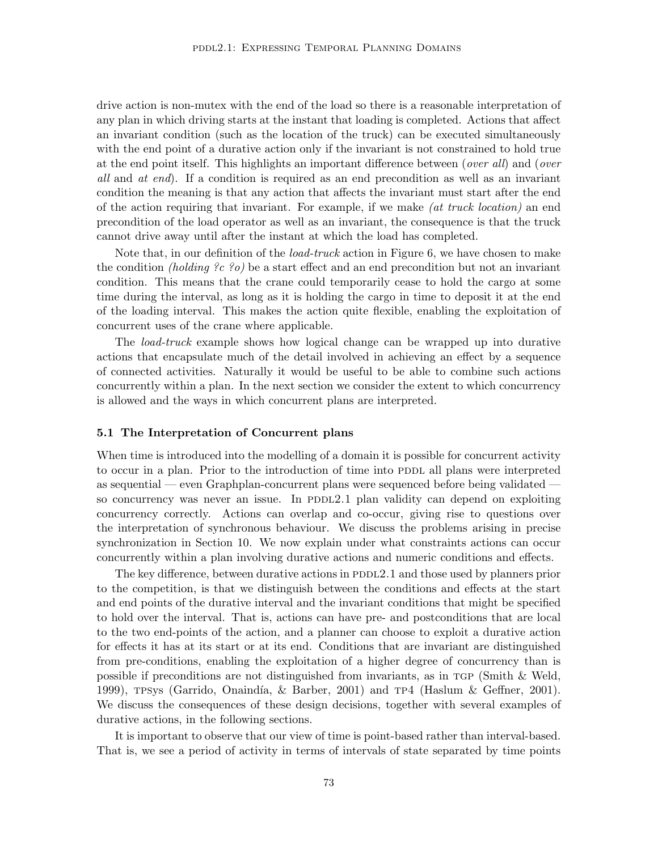drive action is non-mutex with the end of the load so there is a reasonable interpretation of any plan in which driving starts at the instant that loading is completed. Actions that affect an invariant condition (such as the location of the truck) can be executed simultaneously with the end point of a durative action only if the invariant is not constrained to hold true at the end point itself. This highlights an important difference between (over all) and (over all and at end). If a condition is required as an end precondition as well as an invariant condition the meaning is that any action that affects the invariant must start after the end of the action requiring that invariant. For example, if we make (at truck location) an end precondition of the load operator as well as an invariant, the consequence is that the truck cannot drive away until after the instant at which the load has completed.

Note that, in our definition of the load-truck action in Figure 6, we have chosen to make the condition *(holding ?c ?o)* be a start effect and an end precondition but not an invariant condition. This means that the crane could temporarily cease to hold the cargo at some time during the interval, as long as it is holding the cargo in time to deposit it at the end of the loading interval. This makes the action quite flexible, enabling the exploitation of concurrent uses of the crane where applicable.

The load-truck example shows how logical change can be wrapped up into durative actions that encapsulate much of the detail involved in achieving an effect by a sequence of connected activities. Naturally it would be useful to be able to combine such actions concurrently within a plan. In the next section we consider the extent to which concurrency is allowed and the ways in which concurrent plans are interpreted.

### 5.1 The Interpretation of Concurrent plans

When time is introduced into the modelling of a domain it is possible for concurrent activity to occur in a plan. Prior to the introduction of time into PDDL all plans were interpreted as sequential — even Graphplan-concurrent plans were sequenced before being validated so concurrency was never an issue. In PDDL2.1 plan validity can depend on exploiting concurrency correctly. Actions can overlap and co-occur, giving rise to questions over the interpretation of synchronous behaviour. We discuss the problems arising in precise synchronization in Section 10. We now explain under what constraints actions can occur concurrently within a plan involving durative actions and numeric conditions and effects.

The key difference, between durative actions in  $PDDL2.1$  and those used by planners prior to the competition, is that we distinguish between the conditions and effects at the start and end points of the durative interval and the invariant conditions that might be specified to hold over the interval. That is, actions can have pre- and postconditions that are local to the two end-points of the action, and a planner can choose to exploit a durative action for effects it has at its start or at its end. Conditions that are invariant are distinguished from pre-conditions, enabling the exploitation of a higher degree of concurrency than is possible if preconditions are not distinguished from invariants, as in tgp (Smith & Weld, 1999), TPSys (Garrido, Onaindía, & Barber, 2001) and TP4 (Haslum & Geffner, 2001). We discuss the consequences of these design decisions, together with several examples of durative actions, in the following sections.

It is important to observe that our view of time is point-based rather than interval-based. That is, we see a period of activity in terms of intervals of state separated by time points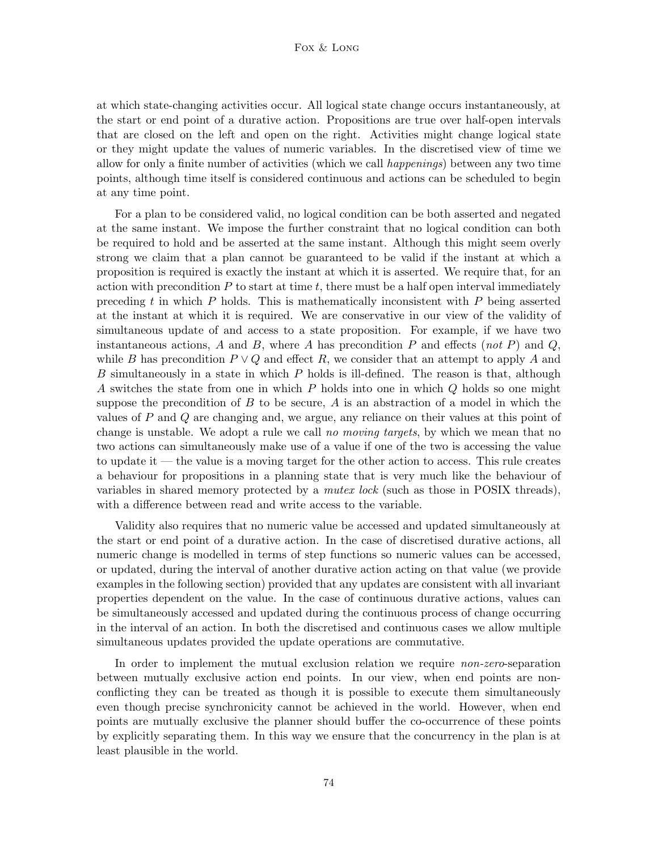at which state-changing activities occur. All logical state change occurs instantaneously, at the start or end point of a durative action. Propositions are true over half-open intervals that are closed on the left and open on the right. Activities might change logical state or they might update the values of numeric variables. In the discretised view of time we allow for only a finite number of activities (which we call happenings) between any two time points, although time itself is considered continuous and actions can be scheduled to begin at any time point.

For a plan to be considered valid, no logical condition can be both asserted and negated at the same instant. We impose the further constraint that no logical condition can both be required to hold and be asserted at the same instant. Although this might seem overly strong we claim that a plan cannot be guaranteed to be valid if the instant at which a proposition is required is exactly the instant at which it is asserted. We require that, for an action with precondition  $P$  to start at time  $t$ , there must be a half open interval immediately preceding t in which  $P$  holds. This is mathematically inconsistent with  $P$  being asserted at the instant at which it is required. We are conservative in our view of the validity of simultaneous update of and access to a state proposition. For example, if we have two instantaneous actions, A and B, where A has precondition P and effects (not P) and Q, while B has precondition  $P \vee Q$  and effect R, we consider that an attempt to apply A and B simultaneously in a state in which  $P$  holds is ill-defined. The reason is that, although A switches the state from one in which P holds into one in which Q holds so one might suppose the precondition of  $B$  to be secure,  $A$  is an abstraction of a model in which the values of P and Q are changing and, we argue, any reliance on their values at this point of change is unstable. We adopt a rule we call no moving targets, by which we mean that no two actions can simultaneously make use of a value if one of the two is accessing the value to update it — the value is a moving target for the other action to access. This rule creates a behaviour for propositions in a planning state that is very much like the behaviour of variables in shared memory protected by a *mutex lock* (such as those in POSIX threads), with a difference between read and write access to the variable.

Validity also requires that no numeric value be accessed and updated simultaneously at the start or end point of a durative action. In the case of discretised durative actions, all numeric change is modelled in terms of step functions so numeric values can be accessed, or updated, during the interval of another durative action acting on that value (we provide examples in the following section) provided that any updates are consistent with all invariant properties dependent on the value. In the case of continuous durative actions, values can be simultaneously accessed and updated during the continuous process of change occurring in the interval of an action. In both the discretised and continuous cases we allow multiple simultaneous updates provided the update operations are commutative.

In order to implement the mutual exclusion relation we require *non-zero-separation* between mutually exclusive action end points. In our view, when end points are nonconflicting they can be treated as though it is possible to execute them simultaneously even though precise synchronicity cannot be achieved in the world. However, when end points are mutually exclusive the planner should buffer the co-occurrence of these points by explicitly separating them. In this way we ensure that the concurrency in the plan is at least plausible in the world.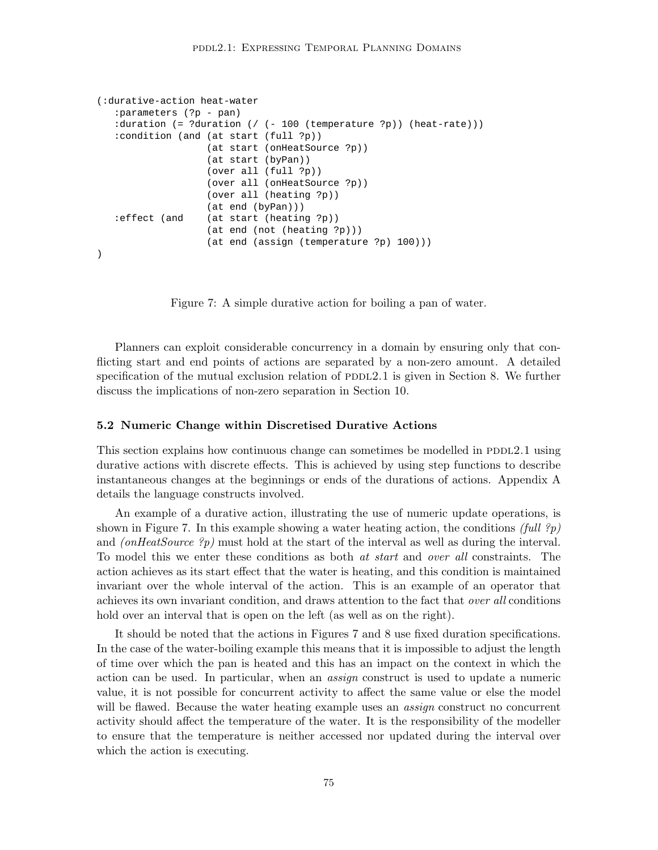```
(:durative-action heat-water
   :parameters (?p - pan)
   :duration (= ?duration (/ (- 100 (temperature ?p)) (heat-rate)))
   :condition (and (at start (full ?p))
                   (at start (onHeatSource ?p))
                   (at start (byPan))
                   (over all (full ?p))
                   (over all (onHeatSource ?p))
                   (over all (heating ?p))
                   (at end (byPan)))
   :effect (and (at start (heating ?p))
                   (at end (not (heating ?p)))
                   (at end (assign (temperature ?p) 100)))
)
```
Figure 7: A simple durative action for boiling a pan of water.

Planners can exploit considerable concurrency in a domain by ensuring only that conflicting start and end points of actions are separated by a non-zero amount. A detailed specification of the mutual exclusion relation of  $PDDL2.1$  is given in Section 8. We further discuss the implications of non-zero separation in Section 10.

#### 5.2 Numeric Change within Discretised Durative Actions

This section explains how continuous change can sometimes be modelled in PDDL2.1 using durative actions with discrete effects. This is achieved by using step functions to describe instantaneous changes at the beginnings or ends of the durations of actions. Appendix A details the language constructs involved.

An example of a durative action, illustrating the use of numeric update operations, is shown in Figure 7. In this example showing a water heating action, the conditions (full ?p) and *(onHeatSource ?p)* must hold at the start of the interval as well as during the interval. To model this we enter these conditions as both at start and over all constraints. The action achieves as its start effect that the water is heating, and this condition is maintained invariant over the whole interval of the action. This is an example of an operator that achieves its own invariant condition, and draws attention to the fact that *over all* conditions hold over an interval that is open on the left (as well as on the right).

It should be noted that the actions in Figures 7 and 8 use fixed duration specifications. In the case of the water-boiling example this means that it is impossible to adjust the length of time over which the pan is heated and this has an impact on the context in which the action can be used. In particular, when an assign construct is used to update a numeric value, it is not possible for concurrent activity to affect the same value or else the model will be flawed. Because the water heating example uses an *assign* construct no concurrent activity should affect the temperature of the water. It is the responsibility of the modeller to ensure that the temperature is neither accessed nor updated during the interval over which the action is executing.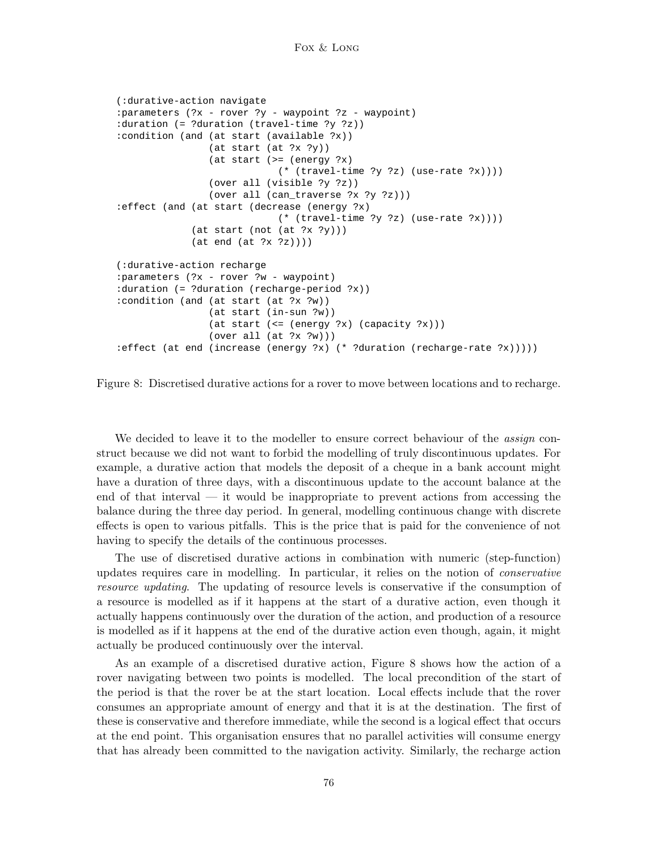```
(:durative-action navigate
:parameters (?x - rover ?y - waypoint ?z - waypoint)
:duration (= ?duration (travel-time ?y ?z))
:condition (and (at start (available ?x))
                (at start (at ?x ?y))
                (at start (>= (energy ?x)
                           (* (travel-time ?y ?z) (use-rate ?x))))
                (over all (visible ?y ?z))
                (over all (can_traverse ?x ?y ?z)))
:effect (and (at start (decrease (energy ?x)
                            (* (travel-time ?y ?z) (use-rate ?x))))
             (at start (not (at ?x ?y)))
             (at end (at ?x ?z))))
(:durative-action recharge
:parameters (?x - rover ?w - waypoint)
:duration (= ?duration (recharge-period ?x))
:condition (and (at start (at ?x ?w))
                (at start (in-sun ?w))
                (at start (<= (energy ?x) (capacity ?x)))
                (over all (at ?x ?w)))
:effect (at end (increase (energy ?x) (* ?duration (recharge-rate ?x)))))
```
Figure 8: Discretised durative actions for a rover to move between locations and to recharge.

We decided to leave it to the modeller to ensure correct behaviour of the *assign* construct because we did not want to forbid the modelling of truly discontinuous updates. For example, a durative action that models the deposit of a cheque in a bank account might have a duration of three days, with a discontinuous update to the account balance at the end of that interval — it would be inappropriate to prevent actions from accessing the balance during the three day period. In general, modelling continuous change with discrete effects is open to various pitfalls. This is the price that is paid for the convenience of not having to specify the details of the continuous processes.

The use of discretised durative actions in combination with numeric (step-function) updates requires care in modelling. In particular, it relies on the notion of conservative resource updating. The updating of resource levels is conservative if the consumption of a resource is modelled as if it happens at the start of a durative action, even though it actually happens continuously over the duration of the action, and production of a resource is modelled as if it happens at the end of the durative action even though, again, it might actually be produced continuously over the interval.

As an example of a discretised durative action, Figure 8 shows how the action of a rover navigating between two points is modelled. The local precondition of the start of the period is that the rover be at the start location. Local effects include that the rover consumes an appropriate amount of energy and that it is at the destination. The first of these is conservative and therefore immediate, while the second is a logical effect that occurs at the end point. This organisation ensures that no parallel activities will consume energy that has already been committed to the navigation activity. Similarly, the recharge action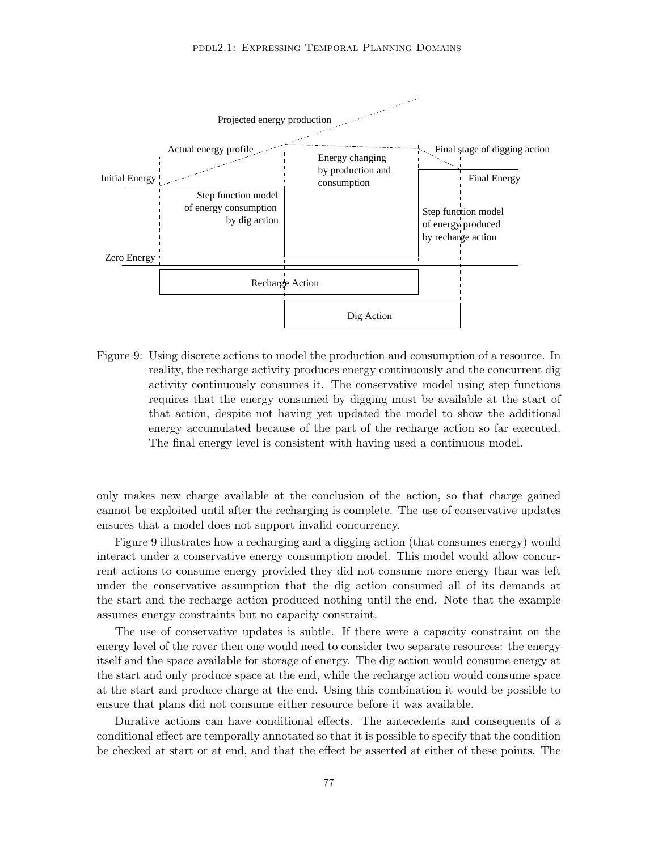

Figure 9: Using discrete actions to model the production and consumption of a resource. In reality, the recharge activity produces energy continuously and the concurrent dig activity continuously consumes it. The conservative model using step functions requires that the energy consumed by digging must be available at the start of that action, despite not having yet updated the model to show the additional energy accumulated because of the part of the recharge action so far executed. The final energy level is consistent with having used a continuous model.

only makes new charge available at the conclusion of the action, so that charge gained cannot be exploited until after the recharging is complete. The use of conservative updates ensures that a model does not support invalid concurrency.

Figure 9 illustrates how a recharging and a digging action (that consumes energy) would interact under a conservative energy consumption model. This model would allow concurrent actions to consume energy provided they did not consume more energy than was left under the conservative assumption that the dig action consumed all of its demands at the start and the recharge action produced nothing until the end. Note that the example assumes energy constraints but no capacity constraint.

The use of conservative updates is subtle. If there were a capacity constraint on the energy level of the rover then one would need to consider two separate resources: the energy itself and the space available for storage of energy. The dig action would consume energy at the start and only produce space at the end, while the recharge action would consume space at the start and produce charge at the end. Using this combination it would be possible to ensure that plans did not consume either resource before it was available.

Durative actions can have conditional effects. The antecedents and consequents of a conditional effect are temporally annotated so that it is possible to specify that the condition be checked at start or at end, and that the effect be asserted at either of these points. The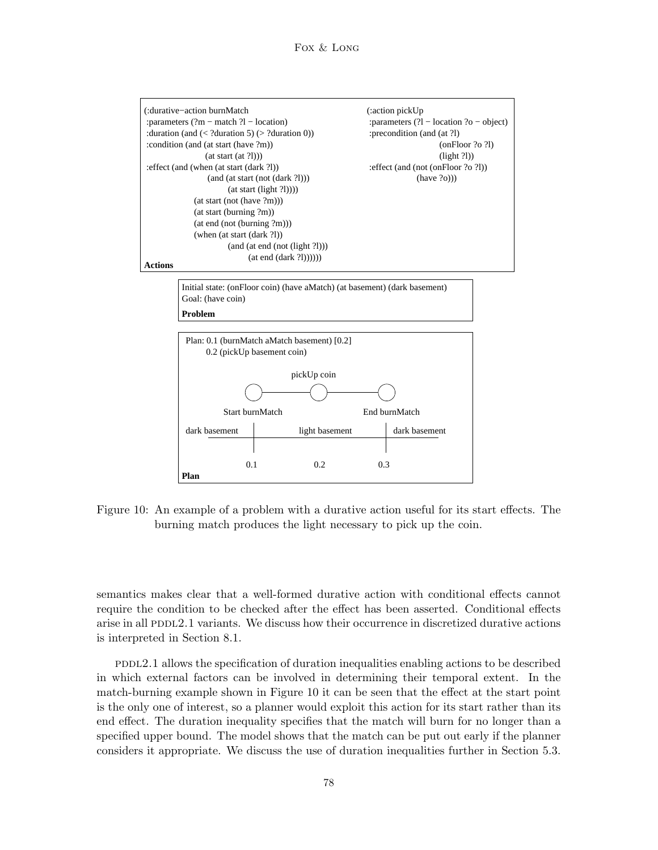

Figure 10: An example of a problem with a durative action useful for its start effects. The burning match produces the light necessary to pick up the coin.

semantics makes clear that a well-formed durative action with conditional effects cannot require the condition to be checked after the effect has been asserted. Conditional effects arise in all PDDL2.1 variants. We discuss how their occurrence in discretized durative actions is interpreted in Section 8.1.

pddl2.1 allows the specification of duration inequalities enabling actions to be described in which external factors can be involved in determining their temporal extent. In the match-burning example shown in Figure 10 it can be seen that the effect at the start point is the only one of interest, so a planner would exploit this action for its start rather than its end effect. The duration inequality specifies that the match will burn for no longer than a specified upper bound. The model shows that the match can be put out early if the planner considers it appropriate. We discuss the use of duration inequalities further in Section 5.3.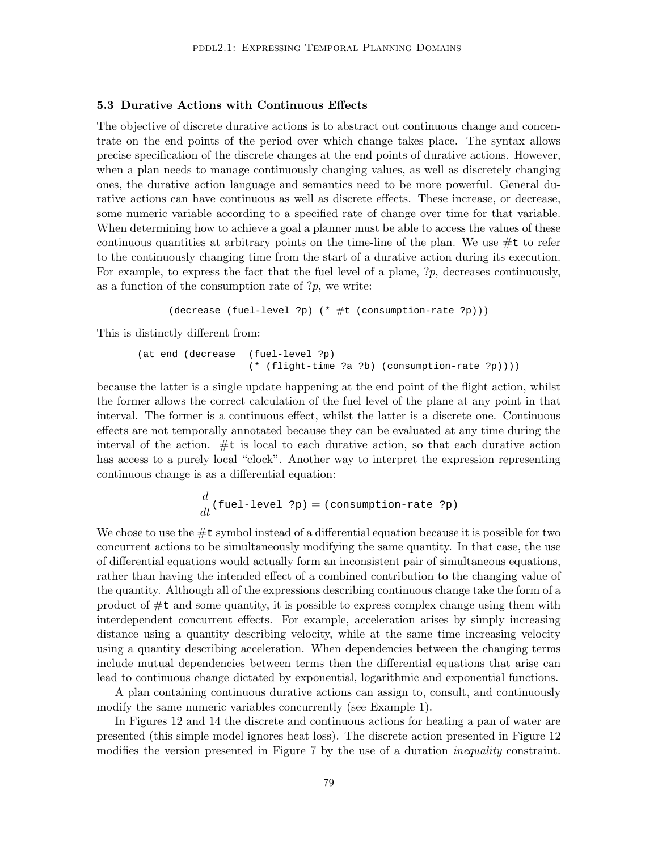# 5.3 Durative Actions with Continuous Effects

The objective of discrete durative actions is to abstract out continuous change and concentrate on the end points of the period over which change takes place. The syntax allows precise specification of the discrete changes at the end points of durative actions. However, when a plan needs to manage continuously changing values, as well as discretely changing ones, the durative action language and semantics need to be more powerful. General durative actions can have continuous as well as discrete effects. These increase, or decrease, some numeric variable according to a specified rate of change over time for that variable. When determining how to achieve a goal a planner must be able to access the values of these continuous quantities at arbitrary points on the time-line of the plan. We use  $\#t$  to refer to the continuously changing time from the start of a durative action during its execution. For example, to express the fact that the fuel level of a plane,  $\gamma_p$ , decreases continuously, as a function of the consumption rate of  $?p$ , we write:

(decrease (fuel-level ?p) (\* #t (consumption-rate ?p)))

This is distinctly different from:

```
(at end (decrease (fuel-level ?p)
                   (* (flight-time ?a ?b) (consumption-rate ?p))))
```
because the latter is a single update happening at the end point of the flight action, whilst the former allows the correct calculation of the fuel level of the plane at any point in that interval. The former is a continuous effect, whilst the latter is a discrete one. Continuous effects are not temporally annotated because they can be evaluated at any time during the interval of the action. #t is local to each durative action, so that each durative action has access to a purely local "clock". Another way to interpret the expression representing continuous change is as a differential equation:

$$
\frac{d}{dt}(\text{fuel-level ?p}) = (\text{consumption-rate ?p})
$$

We chose to use the  $\#\texttt{t}$  symbol instead of a differential equation because it is possible for two concurrent actions to be simultaneously modifying the same quantity. In that case, the use of differential equations would actually form an inconsistent pair of simultaneous equations, rather than having the intended effect of a combined contribution to the changing value of the quantity. Although all of the expressions describing continuous change take the form of a product of #t and some quantity, it is possible to express complex change using them with interdependent concurrent effects. For example, acceleration arises by simply increasing distance using a quantity describing velocity, while at the same time increasing velocity using a quantity describing acceleration. When dependencies between the changing terms include mutual dependencies between terms then the differential equations that arise can lead to continuous change dictated by exponential, logarithmic and exponential functions.

A plan containing continuous durative actions can assign to, consult, and continuously modify the same numeric variables concurrently (see Example 1).

In Figures 12 and 14 the discrete and continuous actions for heating a pan of water are presented (this simple model ignores heat loss). The discrete action presented in Figure 12 modifies the version presented in Figure 7 by the use of a duration *inequality* constraint.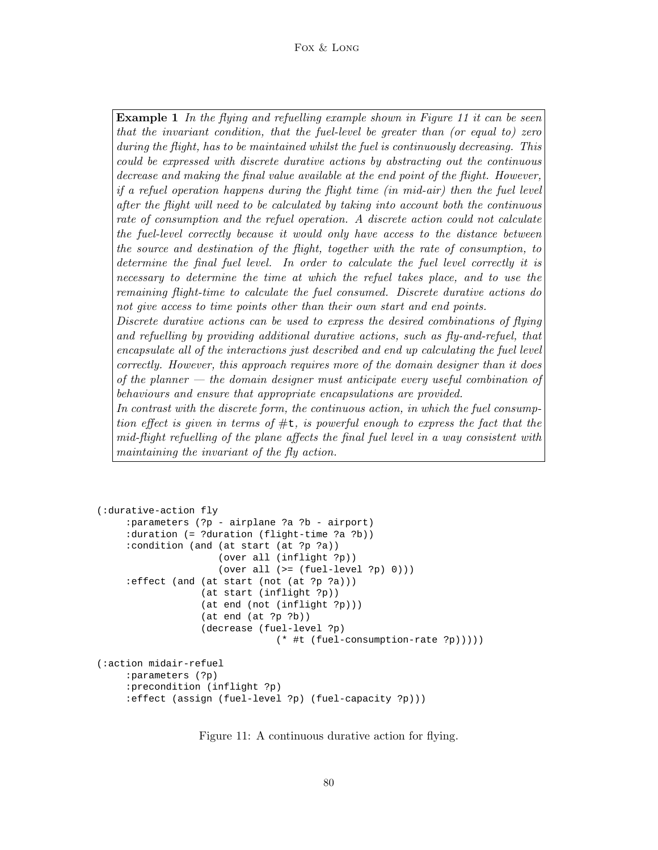# Fox & Long

**Example 1** In the flying and refuelling example shown in Figure 11 it can be seen that the invariant condition, that the fuel-level be greater than (or equal to) zero during the flight, has to be maintained whilst the fuel is continuously decreasing. This could be expressed with discrete durative actions by abstracting out the continuous decrease and making the final value available at the end point of the flight. However, if a refuel operation happens during the flight time (in mid-air) then the fuel level after the flight will need to be calculated by taking into account both the continuous rate of consumption and the refuel operation. A discrete action could not calculate the fuel-level correctly because it would only have access to the distance between the source and destination of the flight, together with the rate of consumption, to determine the final fuel level. In order to calculate the fuel level correctly it is necessary to determine the time at which the refuel takes place, and to use the remaining flight-time to calculate the fuel consumed. Discrete durative actions do not give access to time points other than their own start and end points. Discrete durative actions can be used to express the desired combinations of flying

and refuelling by providing additional durative actions, such as fly-and-refuel, that encapsulate all of the interactions just described and end up calculating the fuel level correctly. However, this approach requires more of the domain designer than it does of the planner  $-$  the domain designer must anticipate every useful combination of behaviours and ensure that appropriate encapsulations are provided.

In contrast with the discrete form, the continuous action, in which the fuel consumption effect is given in terms of  $\#t$ , is powerful enough to express the fact that the mid-flight refuelling of the plane affects the final fuel level in a way consistent with maintaining the invariant of the fly action.

```
(:durative-action fly
     :parameters (?p - airplane ?a ?b - airport)
     :duration (= ?duration (flight-time ?a ?b))
     :condition (and (at start (at ?p ?a))
                     (over all (inflight ?p))
                     (over all (>= (fuel-level ?p) 0))):effect (and (at start (not (at ?p ?a)))
                  (at start (inflight ?p))
                  (at end (not (inflight ?p)))
                  (at end (at ?p ?b))
                  (decrease (fuel-level ?p)
                               (* #t (fuel-consumption-rate ?p)))))
(:action midair-refuel
     :parameters (?p)
     :precondition (inflight ?p)
     :effect (assign (fuel-level ?p) (fuel-capacity ?p)))
```
Figure 11: A continuous durative action for flying.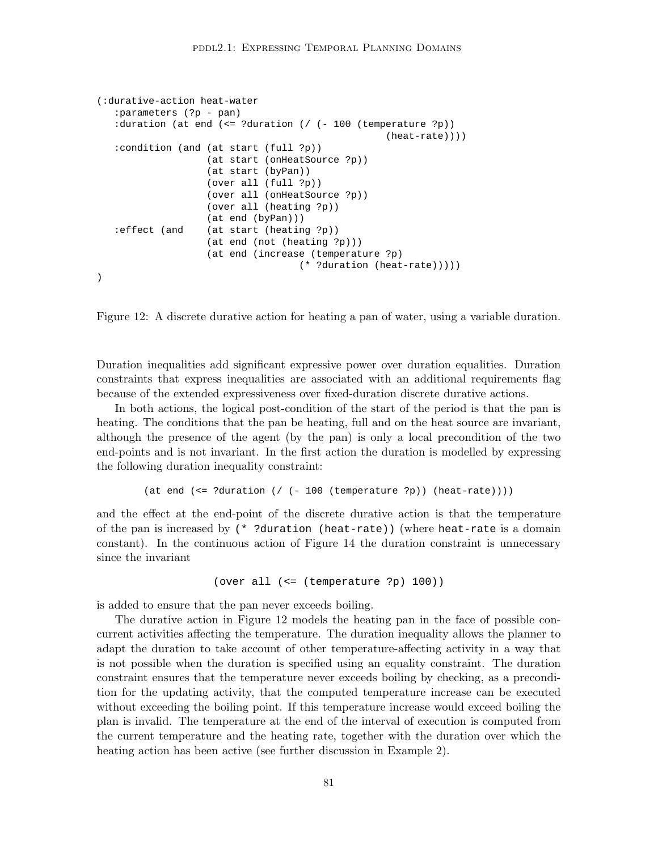```
(:durative-action heat-water
   :parameters (?p - pan)
   :duration (at end (<= ?duration (/ (- 100 (temperature ?p))
                                                   (heat-rate))))
   :condition (and (at start (full ?p))
                  (at start (onHeatSource ?p))
                   (at start (byPan))
                   (over all (full ?p))
                   (over all (onHeatSource ?p))
                   (over all (heating ?p))
                   (at end (byPan)))
  :effect (and (at start (heating ?p))
                   (at end (not (heating ?p)))
                   (at end (increase (temperature ?p)
                                   (* ?duration (heat-rate)))))
)
```
Figure 12: A discrete durative action for heating a pan of water, using a variable duration.

Duration inequalities add significant expressive power over duration equalities. Duration constraints that express inequalities are associated with an additional requirements flag because of the extended expressiveness over fixed-duration discrete durative actions.

In both actions, the logical post-condition of the start of the period is that the pan is heating. The conditions that the pan be heating, full and on the heat source are invariant, although the presence of the agent (by the pan) is only a local precondition of the two end-points and is not invariant. In the first action the duration is modelled by expressing the following duration inequality constraint:

```
(at end (<= ?duration (/ (- 100 (temperature ?p)) (heat-rate))))
```
and the effect at the end-point of the discrete durative action is that the temperature of the pan is increased by (\* ?duration (heat-rate)) (where heat-rate is a domain constant). In the continuous action of Figure 14 the duration constraint is unnecessary since the invariant

```
(over all (<= (temperature ?p) 100))
```
is added to ensure that the pan never exceeds boiling.

The durative action in Figure 12 models the heating pan in the face of possible concurrent activities affecting the temperature. The duration inequality allows the planner to adapt the duration to take account of other temperature-affecting activity in a way that is not possible when the duration is specified using an equality constraint. The duration constraint ensures that the temperature never exceeds boiling by checking, as a precondition for the updating activity, that the computed temperature increase can be executed without exceeding the boiling point. If this temperature increase would exceed boiling the plan is invalid. The temperature at the end of the interval of execution is computed from the current temperature and the heating rate, together with the duration over which the heating action has been active (see further discussion in Example 2).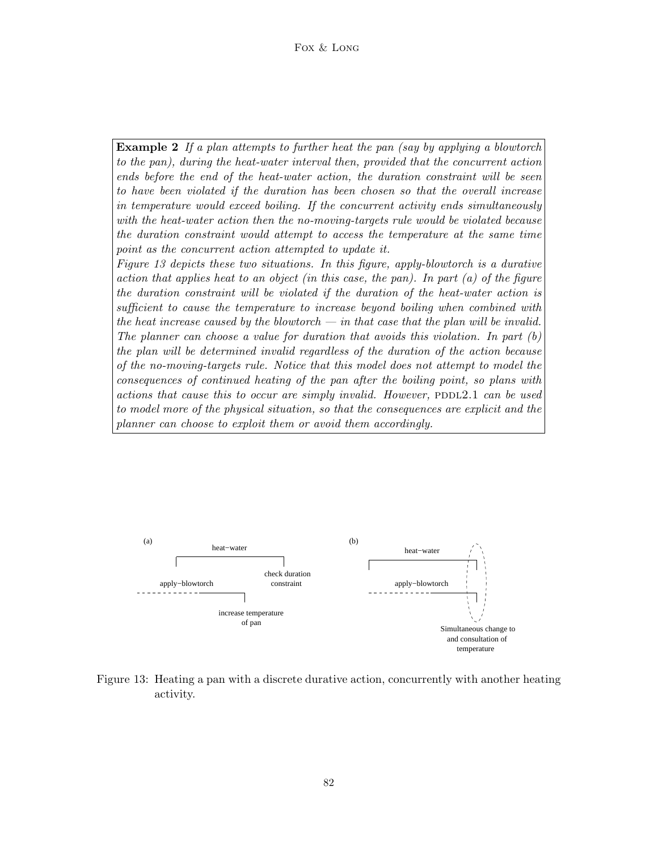Example 2 If a plan attempts to further heat the pan (say by applying a blowtorch to the pan), during the heat-water interval then, provided that the concurrent action ends before the end of the heat-water action, the duration constraint will be seen to have been violated if the duration has been chosen so that the overall increase in temperature would exceed boiling. If the concurrent activity ends simultaneously with the heat-water action then the no-moving-targets rule would be violated because the duration constraint would attempt to access the temperature at the same time point as the concurrent action attempted to update it.

Figure 13 depicts these two situations. In this figure, apply-blowtorch is a durative action that applies heat to an object (in this case, the pan). In part  $(a)$  of the figure the duration constraint will be violated if the duration of the heat-water action is sufficient to cause the temperature to increase beyond boiling when combined with the heat increase caused by the blowtorch  $-$  in that case that the plan will be invalid. The planner can choose a value for duration that avoids this violation. In part  $(b)$ the plan will be determined invalid regardless of the duration of the action because of the no-moving-targets rule. Notice that this model does not attempt to model the consequences of continued heating of the pan after the boiling point, so plans with actions that cause this to occur are simply invalid. However,  $PDDL2.1$  can be used to model more of the physical situation, so that the consequences are explicit and the planner can choose to exploit them or avoid them accordingly.



Figure 13: Heating a pan with a discrete durative action, concurrently with another heating activity.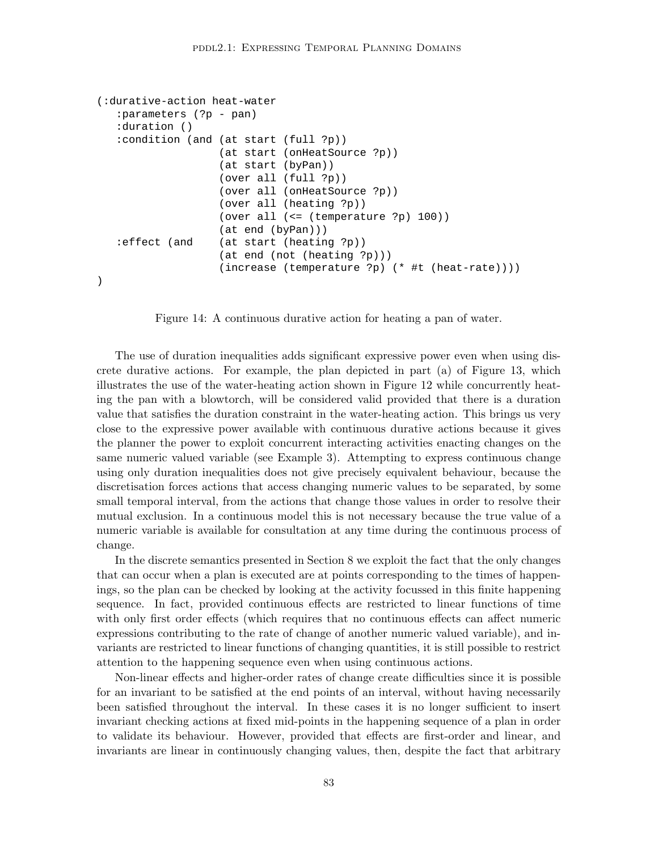```
(:durative-action heat-water
   :parameters (?p - pan)
   :duration ()
   :condition (and (at start (full ?p))
                   (at start (onHeatSource ?p))
                   (at start (byPan))
                   (over all (full ?p))
                   (over all (onHeatSource ?p))
                   (over all (heating ?p))
                   (over all (<= (temperature ?p) 100))
                   (at end (byPan)))
   :effect (and (at start (heating ?p))
                   (at end (not (heating ?p)))
                   (increase (temperature ?p) (* #t (heat-rate))))
)
```
Figure 14: A continuous durative action for heating a pan of water.

The use of duration inequalities adds significant expressive power even when using discrete durative actions. For example, the plan depicted in part (a) of Figure 13, which illustrates the use of the water-heating action shown in Figure 12 while concurrently heating the pan with a blowtorch, will be considered valid provided that there is a duration value that satisfies the duration constraint in the water-heating action. This brings us very close to the expressive power available with continuous durative actions because it gives the planner the power to exploit concurrent interacting activities enacting changes on the same numeric valued variable (see Example 3). Attempting to express continuous change using only duration inequalities does not give precisely equivalent behaviour, because the discretisation forces actions that access changing numeric values to be separated, by some small temporal interval, from the actions that change those values in order to resolve their mutual exclusion. In a continuous model this is not necessary because the true value of a numeric variable is available for consultation at any time during the continuous process of change.

In the discrete semantics presented in Section 8 we exploit the fact that the only changes that can occur when a plan is executed are at points corresponding to the times of happenings, so the plan can be checked by looking at the activity focussed in this finite happening sequence. In fact, provided continuous effects are restricted to linear functions of time with only first order effects (which requires that no continuous effects can affect numeric expressions contributing to the rate of change of another numeric valued variable), and invariants are restricted to linear functions of changing quantities, it is still possible to restrict attention to the happening sequence even when using continuous actions.

Non-linear effects and higher-order rates of change create difficulties since it is possible for an invariant to be satisfied at the end points of an interval, without having necessarily been satisfied throughout the interval. In these cases it is no longer sufficient to insert invariant checking actions at fixed mid-points in the happening sequence of a plan in order to validate its behaviour. However, provided that effects are first-order and linear, and invariants are linear in continuously changing values, then, despite the fact that arbitrary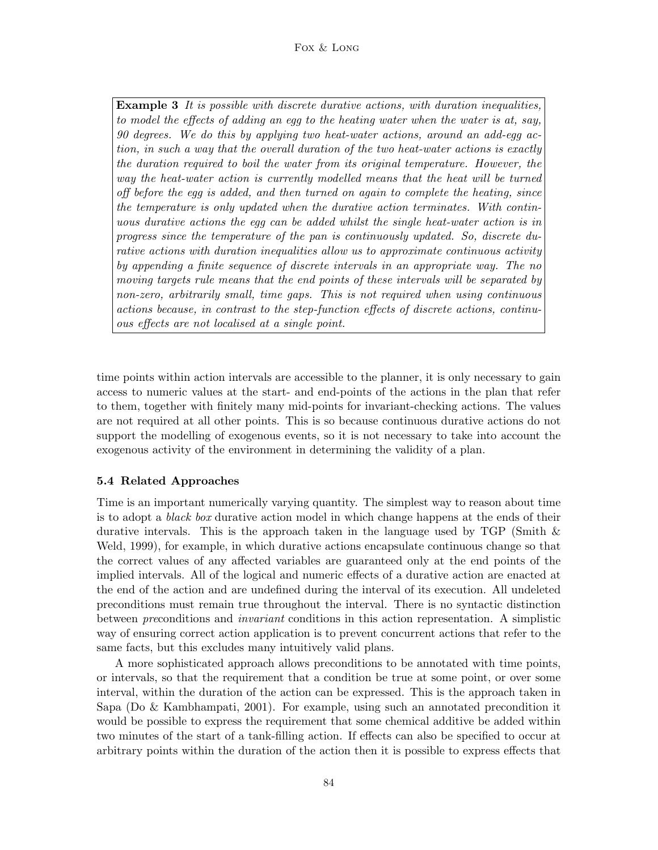### Fox & Long

**Example 3** It is possible with discrete durative actions, with duration inequalities, to model the effects of adding an egg to the heating water when the water is at, say, 90 degrees. We do this by applying two heat-water actions, around an add-egg action, in such a way that the overall duration of the two heat-water actions is exactly the duration required to boil the water from its original temperature. However, the way the heat-water action is currently modelled means that the heat will be turned off before the egg is added, and then turned on again to complete the heating, since the temperature is only updated when the durative action terminates. With continuous durative actions the egg can be added whilst the single heat-water action is in progress since the temperature of the pan is continuously updated. So, discrete durative actions with duration inequalities allow us to approximate continuous activity by appending a finite sequence of discrete intervals in an appropriate way. The no moving targets rule means that the end points of these intervals will be separated by non-zero, arbitrarily small, time gaps. This is not required when using continuous actions because, in contrast to the step-function effects of discrete actions, continuous effects are not localised at a single point.

time points within action intervals are accessible to the planner, it is only necessary to gain access to numeric values at the start- and end-points of the actions in the plan that refer to them, together with finitely many mid-points for invariant-checking actions. The values are not required at all other points. This is so because continuous durative actions do not support the modelling of exogenous events, so it is not necessary to take into account the exogenous activity of the environment in determining the validity of a plan.

# 5.4 Related Approaches

Time is an important numerically varying quantity. The simplest way to reason about time is to adopt a *black box* durative action model in which change happens at the ends of their durative intervals. This is the approach taken in the language used by TGP (Smith  $\&$ Weld, 1999), for example, in which durative actions encapsulate continuous change so that the correct values of any affected variables are guaranteed only at the end points of the implied intervals. All of the logical and numeric effects of a durative action are enacted at the end of the action and are undefined during the interval of its execution. All undeleted preconditions must remain true throughout the interval. There is no syntactic distinction between preconditions and invariant conditions in this action representation. A simplistic way of ensuring correct action application is to prevent concurrent actions that refer to the same facts, but this excludes many intuitively valid plans.

A more sophisticated approach allows preconditions to be annotated with time points, or intervals, so that the requirement that a condition be true at some point, or over some interval, within the duration of the action can be expressed. This is the approach taken in Sapa (Do & Kambhampati, 2001). For example, using such an annotated precondition it would be possible to express the requirement that some chemical additive be added within two minutes of the start of a tank-filling action. If effects can also be specified to occur at arbitrary points within the duration of the action then it is possible to express effects that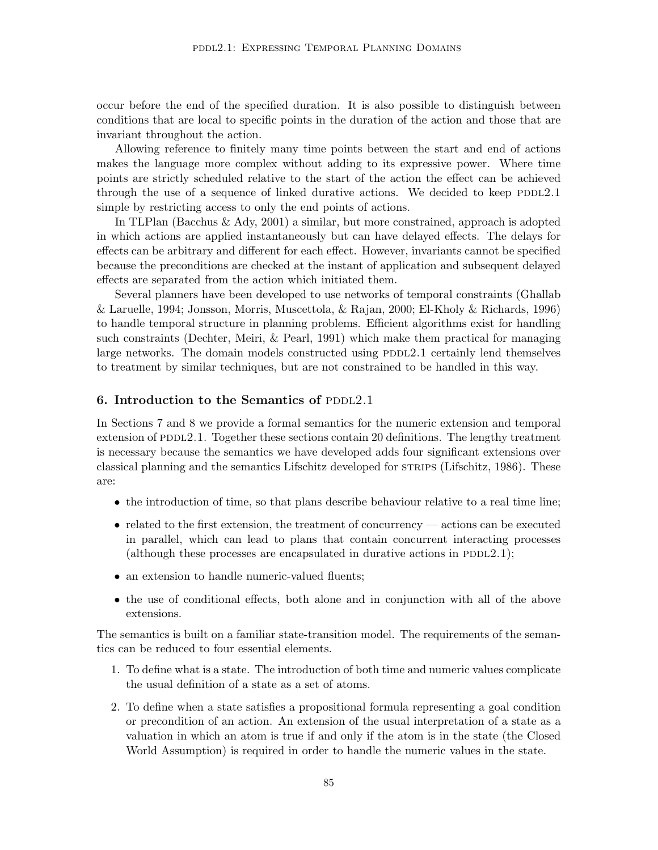occur before the end of the specified duration. It is also possible to distinguish between conditions that are local to specific points in the duration of the action and those that are invariant throughout the action.

Allowing reference to finitely many time points between the start and end of actions makes the language more complex without adding to its expressive power. Where time points are strictly scheduled relative to the start of the action the effect can be achieved through the use of a sequence of linked durative actions. We decided to keep  $PDDL2.1$ simple by restricting access to only the end points of actions.

In TLPlan (Bacchus & Ady, 2001) a similar, but more constrained, approach is adopted in which actions are applied instantaneously but can have delayed effects. The delays for effects can be arbitrary and different for each effect. However, invariants cannot be specified because the preconditions are checked at the instant of application and subsequent delayed effects are separated from the action which initiated them.

Several planners have been developed to use networks of temporal constraints (Ghallab & Laruelle, 1994; Jonsson, Morris, Muscettola, & Rajan, 2000; El-Kholy & Richards, 1996) to handle temporal structure in planning problems. Efficient algorithms exist for handling such constraints (Dechter, Meiri, & Pearl, 1991) which make them practical for managing large networks. The domain models constructed using  $PDDL2.1$  certainly lend themselves to treatment by similar techniques, but are not constrained to be handled in this way.

# 6. Introduction to the Semantics of PDDL2.1

In Sections 7 and 8 we provide a formal semantics for the numeric extension and temporal extension of  $PDD12.1$ . Together these sections contain 20 definitions. The lengthy treatment is necessary because the semantics we have developed adds four significant extensions over classical planning and the semantics Lifschitz developed for strips (Lifschitz, 1986). These are:

- the introduction of time, so that plans describe behaviour relative to a real time line;
- related to the first extension, the treatment of concurrency actions can be executed in parallel, which can lead to plans that contain concurrent interacting processes (although these processes are encapsulated in durative actions in  $PDDL2.1$ );
- an extension to handle numeric-valued fluents;
- the use of conditional effects, both alone and in conjunction with all of the above extensions.

The semantics is built on a familiar state-transition model. The requirements of the semantics can be reduced to four essential elements.

- 1. To define what is a state. The introduction of both time and numeric values complicate the usual definition of a state as a set of atoms.
- 2. To define when a state satisfies a propositional formula representing a goal condition or precondition of an action. An extension of the usual interpretation of a state as a valuation in which an atom is true if and only if the atom is in the state (the Closed World Assumption) is required in order to handle the numeric values in the state.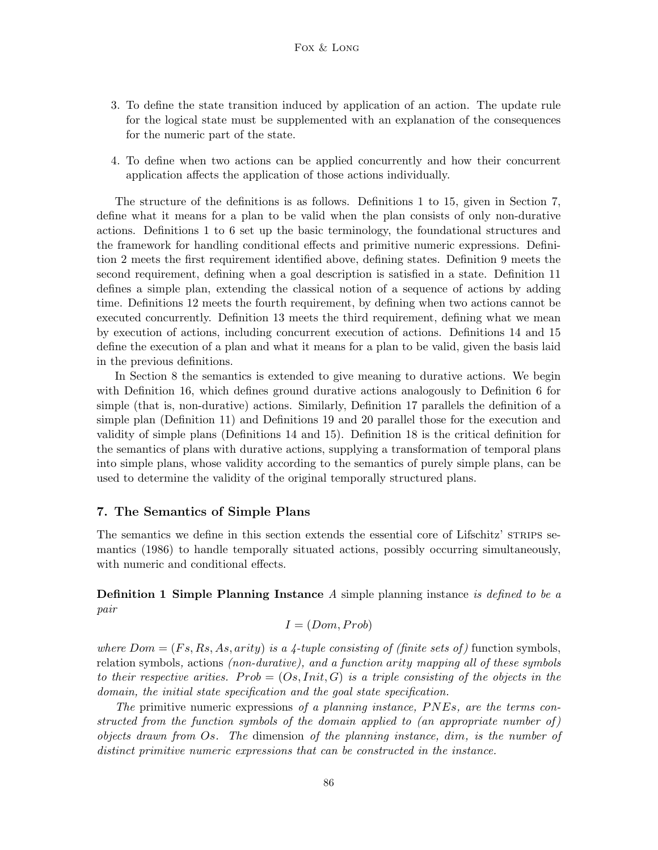- 3. To define the state transition induced by application of an action. The update rule for the logical state must be supplemented with an explanation of the consequences for the numeric part of the state.
- 4. To define when two actions can be applied concurrently and how their concurrent application affects the application of those actions individually.

The structure of the definitions is as follows. Definitions 1 to 15, given in Section 7, define what it means for a plan to be valid when the plan consists of only non-durative actions. Definitions 1 to 6 set up the basic terminology, the foundational structures and the framework for handling conditional effects and primitive numeric expressions. Definition 2 meets the first requirement identified above, defining states. Definition 9 meets the second requirement, defining when a goal description is satisfied in a state. Definition 11 defines a simple plan, extending the classical notion of a sequence of actions by adding time. Definitions 12 meets the fourth requirement, by defining when two actions cannot be executed concurrently. Definition 13 meets the third requirement, defining what we mean by execution of actions, including concurrent execution of actions. Definitions 14 and 15 define the execution of a plan and what it means for a plan to be valid, given the basis laid in the previous definitions.

In Section 8 the semantics is extended to give meaning to durative actions. We begin with Definition 16, which defines ground durative actions analogously to Definition 6 for simple (that is, non-durative) actions. Similarly, Definition 17 parallels the definition of a simple plan (Definition 11) and Definitions 19 and 20 parallel those for the execution and validity of simple plans (Definitions 14 and 15). Definition 18 is the critical definition for the semantics of plans with durative actions, supplying a transformation of temporal plans into simple plans, whose validity according to the semantics of purely simple plans, can be used to determine the validity of the original temporally structured plans.

### 7. The Semantics of Simple Plans

The semantics we define in this section extends the essential core of Lifschitz' STRIPS semantics (1986) to handle temporally situated actions, possibly occurring simultaneously, with numeric and conditional effects.

**Definition 1 Simple Planning Instance** A simple planning instance is defined to be a pair

$$
I = (Dom, Prob)
$$

where  $Dom = (Fs, Rs, As, arity)$  is a 4-tuple consisting of (finite sets of) function symbols, relation symbols, actions (non-durative), and a function arity mapping all of these symbols to their respective arities. Prob =  $(Os,Init, G)$  is a triple consisting of the objects in the domain, the initial state specification and the goal state specification.

The primitive numeric expressions of a planning instance,  $PNEs$ , are the terms constructed from the function symbols of the domain applied to (an appropriate number of) objects drawn from Os. The dimension of the planning instance, dim, is the number of distinct primitive numeric expressions that can be constructed in the instance.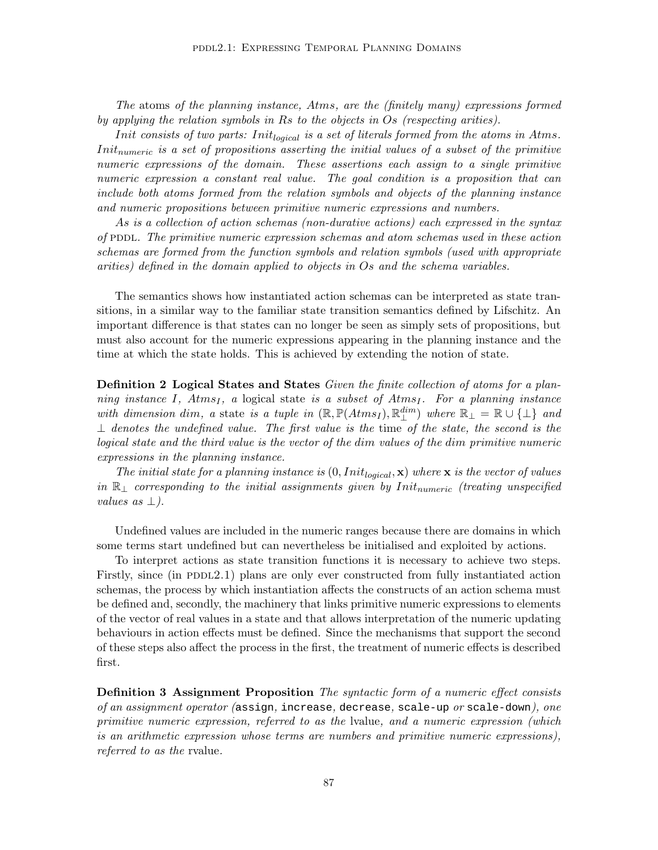The atoms of the planning instance, Atms, are the (finitely many) expressions formed by applying the relation symbols in Rs to the objects in Os (respecting arities).

Init consists of two parts: Init<sub>logical</sub> is a set of literals formed from the atoms in Atms. Init<sub>numeric</sub> is a set of propositions asserting the initial values of a subset of the primitive numeric expressions of the domain. These assertions each assign to a single primitive numeric expression a constant real value. The goal condition is a proposition that can include both atoms formed from the relation symbols and objects of the planning instance and numeric propositions between primitive numeric expressions and numbers.

As is a collection of action schemas (non-durative actions) each expressed in the syntax of PDDL. The primitive numeric expression schemas and atom schemas used in these action schemas are formed from the function symbols and relation symbols (used with appropriate arities) defined in the domain applied to objects in Os and the schema variables.

The semantics shows how instantiated action schemas can be interpreted as state transitions, in a similar way to the familiar state transition semantics defined by Lifschitz. An important difference is that states can no longer be seen as simply sets of propositions, but must also account for the numeric expressions appearing in the planning instance and the time at which the state holds. This is achieved by extending the notion of state.

Definition 2 Logical States and States Given the finite collection of atoms for a planning instance I, Atms<sub>I</sub>, a logical state is a subset of Atms<sub>I</sub>. For a planning instance with dimension dim, a state is a tuple in  $(\mathbb{R}, \mathbb{P}(Atms_I), \mathbb{R}^{dim}_{\perp})$  where  $\mathbb{R}_{\perp} = \mathbb{R} \cup \{\perp\}$  and  $\perp$  denotes the undefined value. The first value is the time of the state, the second is the logical state and the third value is the vector of the dim values of the dim primitive numeric expressions in the planning instance.

The initial state for a planning instance is  $(0,Init_{logical}, \mathbf{x})$  where  $\mathbf{x}$  is the vector of values in  $\mathbb{R}_\perp$  corresponding to the initial assignments given by Init<sub>numeric</sub> (treating unspecified values as  $\perp$ ).

Undefined values are included in the numeric ranges because there are domains in which some terms start undefined but can nevertheless be initialised and exploited by actions.

To interpret actions as state transition functions it is necessary to achieve two steps. Firstly, since (in PDDL2.1) plans are only ever constructed from fully instantiated action schemas, the process by which instantiation affects the constructs of an action schema must be defined and, secondly, the machinery that links primitive numeric expressions to elements of the vector of real values in a state and that allows interpretation of the numeric updating behaviours in action effects must be defined. Since the mechanisms that support the second of these steps also affect the process in the first, the treatment of numeric effects is described first.

**Definition 3 Assignment Proposition** The syntactic form of a numeric effect consists of an assignment operator (assign, increase, decrease, scale-up or scale-down), one primitive numeric expression, referred to as the lvalue, and a numeric expression (which is an arithmetic expression whose terms are numbers and primitive numeric expressions), referred to as the rvalue.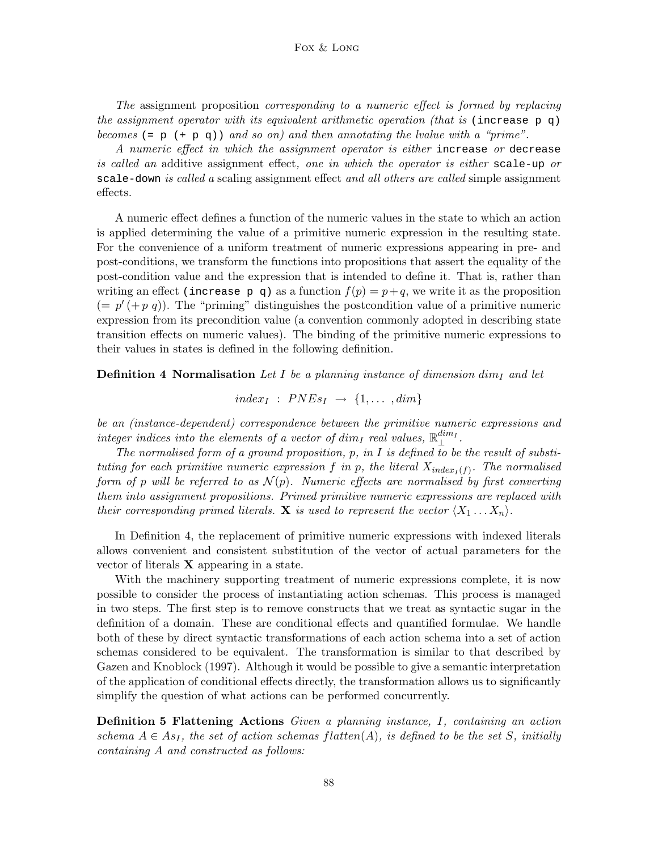The assignment proposition corresponding to a numeric effect is formed by replacing the assignment operator with its equivalent arithmetic operation (that is (increase  $p \, q$ ) becomes (=  $p$  (+  $p$  q)) and so on) and then annotating the lvalue with a "prime".

A numeric effect in which the assignment operator is either increase or decrease is called an additive assignment effect, one in which the operator is either scale-up or scale-down is called a scaling assignment effect and all others are called simple assignment effects.

A numeric effect defines a function of the numeric values in the state to which an action is applied determining the value of a primitive numeric expression in the resulting state. For the convenience of a uniform treatment of numeric expressions appearing in pre- and post-conditions, we transform the functions into propositions that assert the equality of the post-condition value and the expression that is intended to define it. That is, rather than writing an effect (increase p q) as a function  $f(p) = p+q$ , we write it as the proposition  $(= p'(+p q))$ . The "priming" distinguishes the postcondition value of a primitive numeric expression from its precondition value (a convention commonly adopted in describing state transition effects on numeric values). The binding of the primitive numeric expressions to their values in states is defined in the following definition.

**Definition 4 Normalisation** Let I be a planning instance of dimension dim<sub>I</sub> and let

$$
index_I : PNEs_I \rightarrow \{1, \ldots, dim\}
$$

be an (instance-dependent) correspondence between the primitive numeric expressions and  $_{interference}$  indices into the elements of a vector of  $dim_I$  real values,  $\mathbb{R}_{\perp}^{dim_I}.$ 

The normalised form of a ground proposition,  $p$ , in  $I$  is defined to be the result of substituting for each primitive numeric expression f in p, the literal  $X_{index_I(f)}$ . The normalised form of p will be referred to as  $\mathcal{N}(p)$ . Numeric effects are normalised by first converting them into assignment propositions. Primed primitive numeric expressions are replaced with their corresponding primed literals. **X** is used to represent the vector  $\langle X_1 \dots X_n \rangle$ .

In Definition 4, the replacement of primitive numeric expressions with indexed literals allows convenient and consistent substitution of the vector of actual parameters for the vector of literals  $X$  appearing in a state.

With the machinery supporting treatment of numeric expressions complete, it is now possible to consider the process of instantiating action schemas. This process is managed in two steps. The first step is to remove constructs that we treat as syntactic sugar in the definition of a domain. These are conditional effects and quantified formulae. We handle both of these by direct syntactic transformations of each action schema into a set of action schemas considered to be equivalent. The transformation is similar to that described by Gazen and Knoblock (1997). Although it would be possible to give a semantic interpretation of the application of conditional effects directly, the transformation allows us to significantly simplify the question of what actions can be performed concurrently.

Definition 5 Flattening Actions Given a planning instance, I, containing an action schema  $A \in As_I$ , the set of action schemas flatten(A), is defined to be the set S, initially containing A and constructed as follows: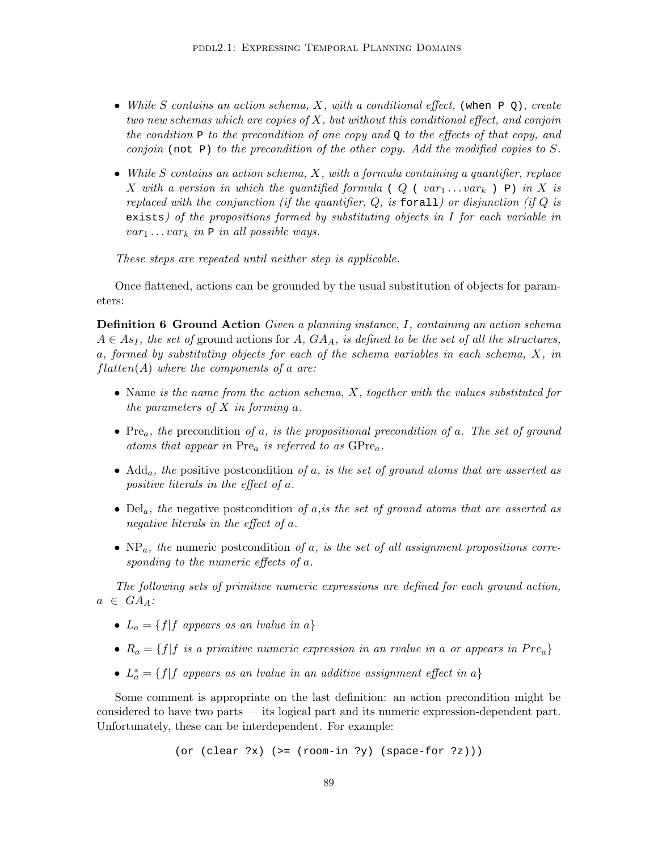- While S contains an action schema, X, with a conditional effect, (when  $PQ$ ), create two new schemas which are copies of  $X$ , but without this conditional effect, and conjoin the condition  $P$  to the precondition of one copy and  $Q$  to the effects of that copy, and conjoin (not P) to the precondition of the other copy. Add the modified copies to S.
- While  $S$  contains an action schema,  $X$ , with a formula containing a quantifier, replace X with a version in which the quantified formula ( $Q$  ( $var_1 \ldots var_k$ ) P) in X is replaced with the conjunction (if the quantifier,  $Q$ , is forall) or disjunction (if  $Q$  is exists) of the propositions formed by substituting objects in I for each variable in  $var_1 \dots var_k$  in  $P$  in all possible ways.

These steps are repeated until neither step is applicable.

Once flattened, actions can be grounded by the usual substitution of objects for parameters:

Definition 6 Ground Action Given a planning instance, I, containing an action schema  $A \in As_I$ , the set of ground actions for A,  $GA_A$ , is defined to be the set of all the structures, a, formed by substituting objects for each of the schema variables in each schema, X, in  $flatten(A)$  where the components of a are:

- Name is the name from the action schema, X, together with the values substituted for the parameters of  $X$  in forming  $a$ .
- Pre<sub>a</sub>, the precondition of a, is the propositional precondition of a. The set of ground atoms that appear in  $Pre_a$  is referred to as  $GPre_a$ .
- Add<sub>a</sub>, the positive postcondition of a, is the set of ground atoms that are asserted as positive literals in the effect of a.
- Del<sub>a</sub>, the negative postcondition of a,is the set of ground atoms that are asserted as negative literals in the effect of a.
- $NP_a$ , the numeric postcondition of a, is the set of all assignment propositions corresponding to the numeric effects of a.

The following sets of primitive numeric expressions are defined for each ground action,  $a \in GA_A$ :

- $L_a = \{f | f \text{ appears as an } \text{lvalue in } a\}$
- $R_a = \{f | f \text{ is a primitive numeric expression in an rvalue in a or appears in Pre_a}\}$
- $L_a^* = \{f | f \text{ appears as an } \text{value in an } \text{additive assignment effect in a} \}$

Some comment is appropriate on the last definition: an action precondition might be considered to have two parts — its logical part and its numeric expression-dependent part. Unfortunately, these can be interdependent. For example:

(or (clear  $?x$ ) (>= (room-in  $?y$ ) (space-for  $?z$ )))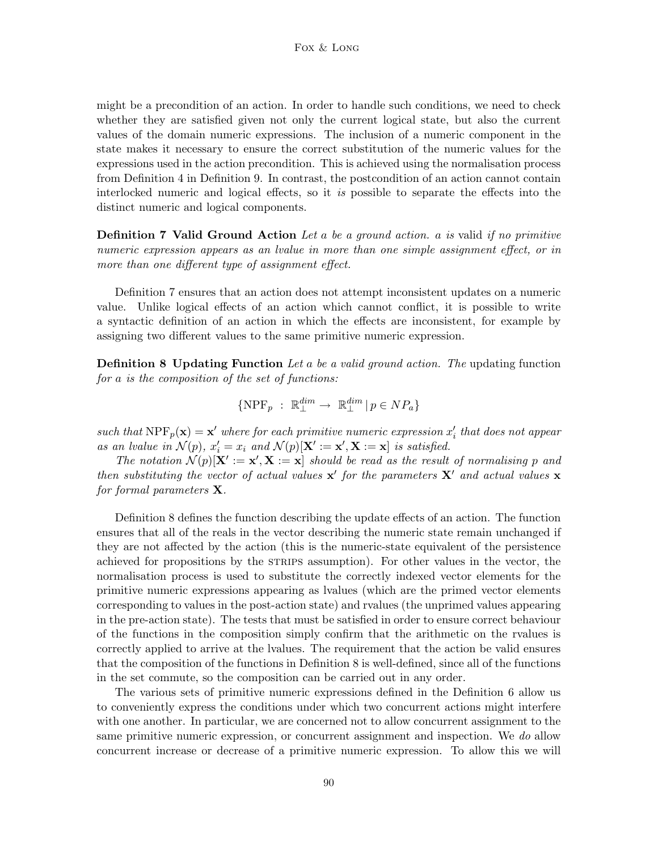might be a precondition of an action. In order to handle such conditions, we need to check whether they are satisfied given not only the current logical state, but also the current values of the domain numeric expressions. The inclusion of a numeric component in the state makes it necessary to ensure the correct substitution of the numeric values for the expressions used in the action precondition. This is achieved using the normalisation process from Definition 4 in Definition 9. In contrast, the postcondition of an action cannot contain interlocked numeric and logical effects, so it is possible to separate the effects into the distinct numeric and logical components.

**Definition 7 Valid Ground Action** Let a be a ground action. a is valid if no primitive numeric expression appears as an lvalue in more than one simple assignment effect, or in more than one different type of assignment effect.

Definition 7 ensures that an action does not attempt inconsistent updates on a numeric value. Unlike logical effects of an action which cannot conflict, it is possible to write a syntactic definition of an action in which the effects are inconsistent, for example by assigning two different values to the same primitive numeric expression.

**Definition 8 Updating Function** Let a be a valid ground action. The updating function for a is the composition of the set of functions:

$$
\{\operatorname{NPF}_p \ : \ \mathbb{R}^{\dim}_{\perp} \to \ \mathbb{R}^{\dim}_{\perp} \ | \ p \in \mathcal{NP}_a \}
$$

such that  $NPF_p(\mathbf{x}) = \mathbf{x}'$  where for each primitive numeric expression  $x'_i$  that does not appear as an lvalue in  $\mathcal{N}(p)$ ,  $x'_i = x_i$  and  $\mathcal{N}(p)[\mathbf{X}': = \mathbf{x}', \mathbf{X} := \mathbf{x}]$  is satisfied.

The notation  $\mathcal{N}(p)[\mathbf{X}'] := \mathbf{x}', \mathbf{X} := \mathbf{x}]$  should be read as the result of normalising p and then substituting the vector of actual values  $x'$  for the parameters  $X'$  and actual values x for formal parameters  $X$ .

Definition 8 defines the function describing the update effects of an action. The function ensures that all of the reals in the vector describing the numeric state remain unchanged if they are not affected by the action (this is the numeric-state equivalent of the persistence achieved for propositions by the STRIPS assumption). For other values in the vector, the normalisation process is used to substitute the correctly indexed vector elements for the primitive numeric expressions appearing as lvalues (which are the primed vector elements corresponding to values in the post-action state) and rvalues (the unprimed values appearing in the pre-action state). The tests that must be satisfied in order to ensure correct behaviour of the functions in the composition simply confirm that the arithmetic on the rvalues is correctly applied to arrive at the lvalues. The requirement that the action be valid ensures that the composition of the functions in Definition 8 is well-defined, since all of the functions in the set commute, so the composition can be carried out in any order.

The various sets of primitive numeric expressions defined in the Definition 6 allow us to conveniently express the conditions under which two concurrent actions might interfere with one another. In particular, we are concerned not to allow concurrent assignment to the same primitive numeric expression, or concurrent assignment and inspection. We do allow concurrent increase or decrease of a primitive numeric expression. To allow this we will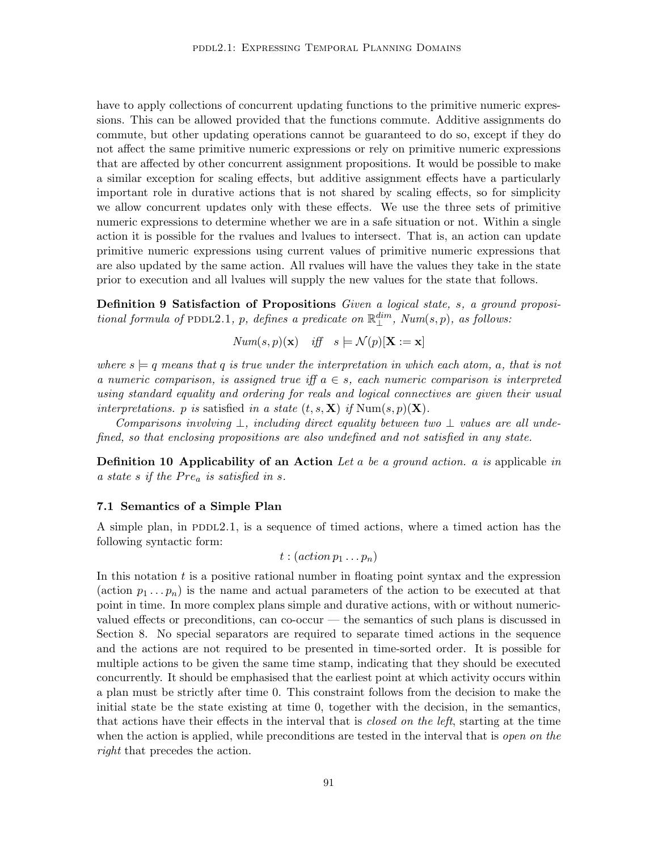have to apply collections of concurrent updating functions to the primitive numeric expressions. This can be allowed provided that the functions commute. Additive assignments do commute, but other updating operations cannot be guaranteed to do so, except if they do not affect the same primitive numeric expressions or rely on primitive numeric expressions that are affected by other concurrent assignment propositions. It would be possible to make a similar exception for scaling effects, but additive assignment effects have a particularly important role in durative actions that is not shared by scaling effects, so for simplicity we allow concurrent updates only with these effects. We use the three sets of primitive numeric expressions to determine whether we are in a safe situation or not. Within a single action it is possible for the rvalues and lvalues to intersect. That is, an action can update primitive numeric expressions using current values of primitive numeric expressions that are also updated by the same action. All rvalues will have the values they take in the state prior to execution and all lvalues will supply the new values for the state that follows.

Definition 9 Satisfaction of Propositions Given a logical state, s, a ground propositional formula of PDDL2.1, p, defines a predicate on  $\mathbb{R}^{dim}_{\perp}$ ,  $Num(s, p)$ , as follows:

$$
Num(s, p)(\mathbf{x}) \quad \text{iff} \quad s \models \mathcal{N}(p)[\mathbf{X} := \mathbf{x}]
$$

where  $s \models q$  means that q is true under the interpretation in which each atom, a, that is not a numeric comparison, is assigned true iff  $a \in s$ , each numeric comparison is interpreted using standard equality and ordering for reals and logical connectives are given their usual interpretations. p is satisfied in a state  $(t, s, \mathbf{X})$  if  $\text{Num}(s, p)(\mathbf{X})$ .

Comparisons involving  $\perp$ , including direct equality between two  $\perp$  values are all undefined, so that enclosing propositions are also undefined and not satisfied in any state.

**Definition 10 Applicability of an Action** Let a be a ground action. a is applicable in a state s if the  $Pre_a$  is satisfied in s.

### 7.1 Semantics of a Simple Plan

A simple plan, in PDDL2.1, is a sequence of timed actions, where a timed action has the following syntactic form:

$$
t:(action\, p_1 \ldots p_n)
$$

In this notation  $t$  is a positive rational number in floating point syntax and the expression (action  $p_1 \ldots p_n$ ) is the name and actual parameters of the action to be executed at that point in time. In more complex plans simple and durative actions, with or without numericvalued effects or preconditions, can co-occur — the semantics of such plans is discussed in Section 8. No special separators are required to separate timed actions in the sequence and the actions are not required to be presented in time-sorted order. It is possible for multiple actions to be given the same time stamp, indicating that they should be executed concurrently. It should be emphasised that the earliest point at which activity occurs within a plan must be strictly after time 0. This constraint follows from the decision to make the initial state be the state existing at time 0, together with the decision, in the semantics, that actions have their effects in the interval that is closed on the left, starting at the time when the action is applied, while preconditions are tested in the interval that is open on the right that precedes the action.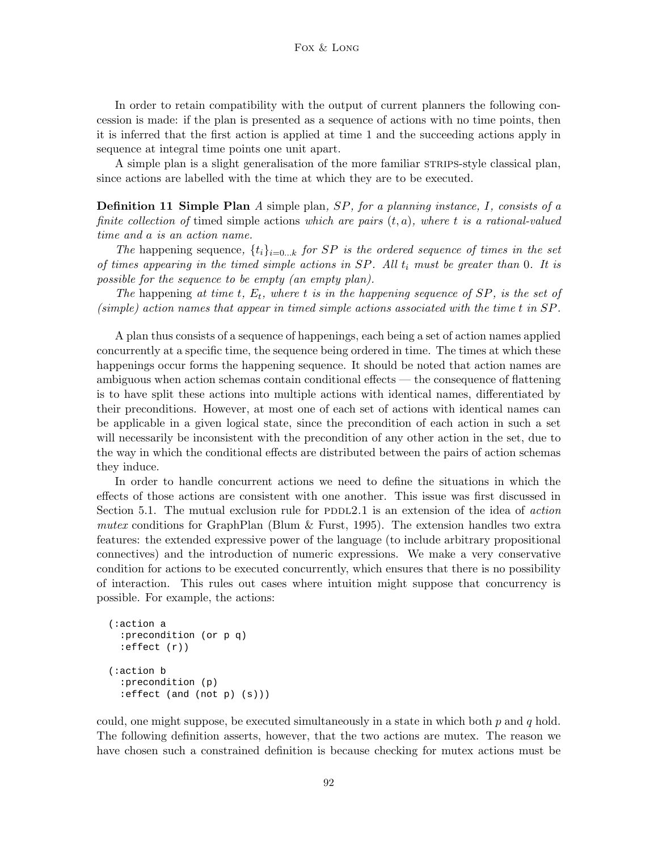In order to retain compatibility with the output of current planners the following concession is made: if the plan is presented as a sequence of actions with no time points, then it is inferred that the first action is applied at time 1 and the succeeding actions apply in sequence at integral time points one unit apart.

A simple plan is a slight generalisation of the more familiar  $STRIPS-style$  classical plan, since actions are labelled with the time at which they are to be executed.

**Definition 11 Simple Plan** A simple plan,  $SP$ , for a planning instance, I, consists of a finite collection of timed simple actions which are pairs  $(t, a)$ , where t is a rational-valued time and a is an action name.

The happening sequence,  $\{t_i\}_{i=0...k}$  for SP is the ordered sequence of times in the set of times appearing in the timed simple actions in  $SP$ . All  $t_i$  must be greater than 0. It is possible for the sequence to be empty (an empty plan).

The happening at time t,  $E_t$ , where t is in the happening sequence of  $SP$ , is the set of (simple) action names that appear in timed simple actions associated with the time t in SP.

A plan thus consists of a sequence of happenings, each being a set of action names applied concurrently at a specific time, the sequence being ordered in time. The times at which these happenings occur forms the happening sequence. It should be noted that action names are ambiguous when action schemas contain conditional effects — the consequence of flattening is to have split these actions into multiple actions with identical names, differentiated by their preconditions. However, at most one of each set of actions with identical names can be applicable in a given logical state, since the precondition of each action in such a set will necessarily be inconsistent with the precondition of any other action in the set, due to the way in which the conditional effects are distributed between the pairs of action schemas they induce.

In order to handle concurrent actions we need to define the situations in which the effects of those actions are consistent with one another. This issue was first discussed in Section 5.1. The mutual exclusion rule for  $PDDL2.1$  is an extension of the idea of *action* mutex conditions for GraphPlan (Blum  $&$  Furst, 1995). The extension handles two extra features: the extended expressive power of the language (to include arbitrary propositional connectives) and the introduction of numeric expressions. We make a very conservative condition for actions to be executed concurrently, which ensures that there is no possibility of interaction. This rules out cases where intuition might suppose that concurrency is possible. For example, the actions:

```
(:action a
  :precondition (or p q)
  :effect (r))
(:action b
  :precondition (p)
  :effect (and (not p) (s)))
```
could, one might suppose, be executed simultaneously in a state in which both  $p$  and  $q$  hold. The following definition asserts, however, that the two actions are mutex. The reason we have chosen such a constrained definition is because checking for mutex actions must be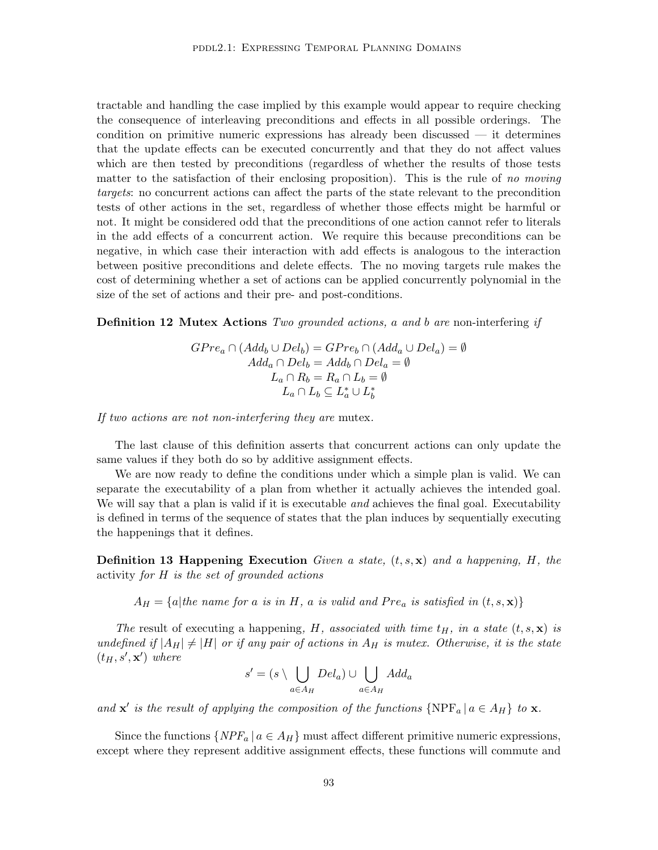tractable and handling the case implied by this example would appear to require checking the consequence of interleaving preconditions and effects in all possible orderings. The condition on primitive numeric expressions has already been discussed — it determines that the update effects can be executed concurrently and that they do not affect values which are then tested by preconditions (regardless of whether the results of those tests matter to the satisfaction of their enclosing proposition). This is the rule of no moving targets: no concurrent actions can affect the parts of the state relevant to the precondition tests of other actions in the set, regardless of whether those effects might be harmful or not. It might be considered odd that the preconditions of one action cannot refer to literals in the add effects of a concurrent action. We require this because preconditions can be negative, in which case their interaction with add effects is analogous to the interaction between positive preconditions and delete effects. The no moving targets rule makes the cost of determining whether a set of actions can be applied concurrently polynomial in the size of the set of actions and their pre- and post-conditions.

**Definition 12 Mutex Actions** Two grounded actions, a and b are non-interfering if

 $GPre_a \cap (Add_b \cup Del_b) = GPre_b \cap (Add_a \cup Del_a) = \emptyset$  $Add_a \cap Del_b = Add_b \cap Del_a = \emptyset$  $L_a \cap R_b = R_a \cap L_b = \emptyset$  $L_a \cap L_b \subseteq L_a^* \cup L_b^*$ 

If two actions are not non-interfering they are mutex.

The last clause of this definition asserts that concurrent actions can only update the same values if they both do so by additive assignment effects.

We are now ready to define the conditions under which a simple plan is valid. We can separate the executability of a plan from whether it actually achieves the intended goal. We will say that a plan is valid if it is executable *and* achieves the final goal. Executability is defined in terms of the sequence of states that the plan induces by sequentially executing the happenings that it defines.

**Definition 13 Happening Execution** Given a state,  $(t, s, \mathbf{x})$  and a happening, H, the activity for H is the set of grounded actions

 $A_H = \{a | the \ name \ for \ a \ is \ in \ H, \ a \ is \ valid \ and \ Pre_{a} \ is \ satisfied \ in \ (t, s, \mathbf{x})\}$ 

The result of executing a happening, H, associated with time  $t_H$ , in a state  $(t, s, \mathbf{x})$  is undefined if  $|A_H| \neq |H|$  or if any pair of actions in  $A_H$  is mutex. Otherwise, it is the state  $(t_H, s', \mathbf{x}')$  where

$$
s' = (s \setminus \bigcup_{a \in A_H} Del_a) \cup \bigcup_{a \in A_H} Add_a
$$

and  $\mathbf{x}'$  is the result of applying the composition of the functions  $\{NPF_a | a \in A_H\}$  to  $\mathbf{x}$ .

Since the functions  $\{NPF_a \mid a \in A_H\}$  must affect different primitive numeric expressions, except where they represent additive assignment effects, these functions will commute and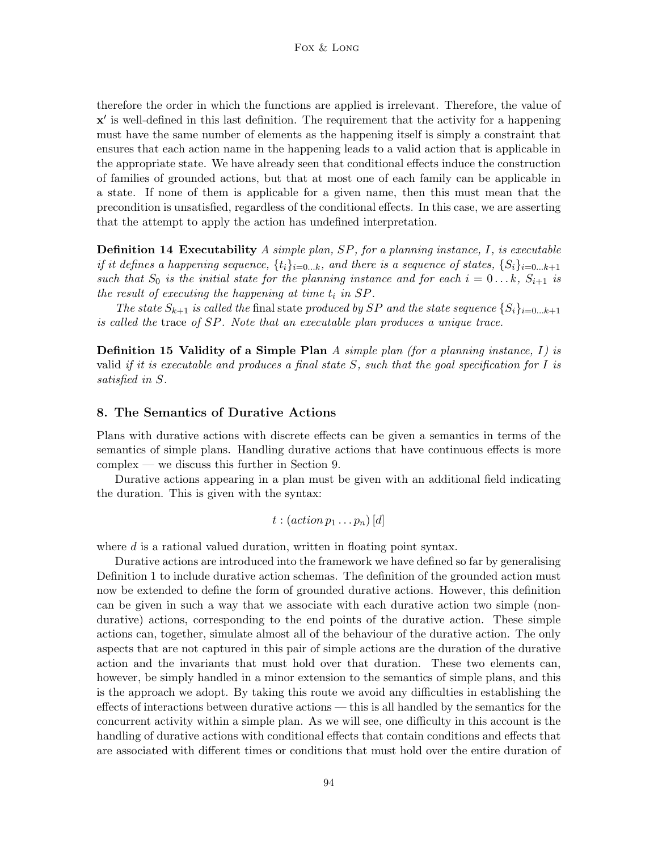therefore the order in which the functions are applied is irrelevant. Therefore, the value of  $x'$  is well-defined in this last definition. The requirement that the activity for a happening must have the same number of elements as the happening itself is simply a constraint that ensures that each action name in the happening leads to a valid action that is applicable in the appropriate state. We have already seen that conditional effects induce the construction of families of grounded actions, but that at most one of each family can be applicable in a state. If none of them is applicable for a given name, then this must mean that the precondition is unsatisfied, regardless of the conditional effects. In this case, we are asserting that the attempt to apply the action has undefined interpretation.

**Definition 14 Executability** A simple plan, SP, for a planning instance, I, is executable if it defines a happening sequence,  $\{t_i\}_{i=0...k}$ , and there is a sequence of states,  $\{S_i\}_{i=0...k+1}$ such that  $S_0$  is the initial state for the planning instance and for each  $i = 0 \ldots k$ ,  $S_{i+1}$  is the result of executing the happening at time  $t_i$  in  $SP$ .

The state  $S_{k+1}$  is called the final state produced by SP and the state sequence  $\{S_i\}_{i=0...k+1}$ is called the trace of SP. Note that an executable plan produces a unique trace.

**Definition 15 Validity of a Simple Plan** A simple plan (for a planning instance,  $I$ ) is valid if it is executable and produces a final state  $S$ , such that the goal specification for I is satisfied in S.

## 8. The Semantics of Durative Actions

Plans with durative actions with discrete effects can be given a semantics in terms of the semantics of simple plans. Handling durative actions that have continuous effects is more complex — we discuss this further in Section 9.

Durative actions appearing in a plan must be given with an additional field indicating the duration. This is given with the syntax:

$$
t : (action \, p_1 \ldots p_n) \, [d]
$$

where d is a rational valued duration, written in floating point syntax.

Durative actions are introduced into the framework we have defined so far by generalising Definition 1 to include durative action schemas. The definition of the grounded action must now be extended to define the form of grounded durative actions. However, this definition can be given in such a way that we associate with each durative action two simple (nondurative) actions, corresponding to the end points of the durative action. These simple actions can, together, simulate almost all of the behaviour of the durative action. The only aspects that are not captured in this pair of simple actions are the duration of the durative action and the invariants that must hold over that duration. These two elements can, however, be simply handled in a minor extension to the semantics of simple plans, and this is the approach we adopt. By taking this route we avoid any difficulties in establishing the effects of interactions between durative actions — this is all handled by the semantics for the concurrent activity within a simple plan. As we will see, one difficulty in this account is the handling of durative actions with conditional effects that contain conditions and effects that are associated with different times or conditions that must hold over the entire duration of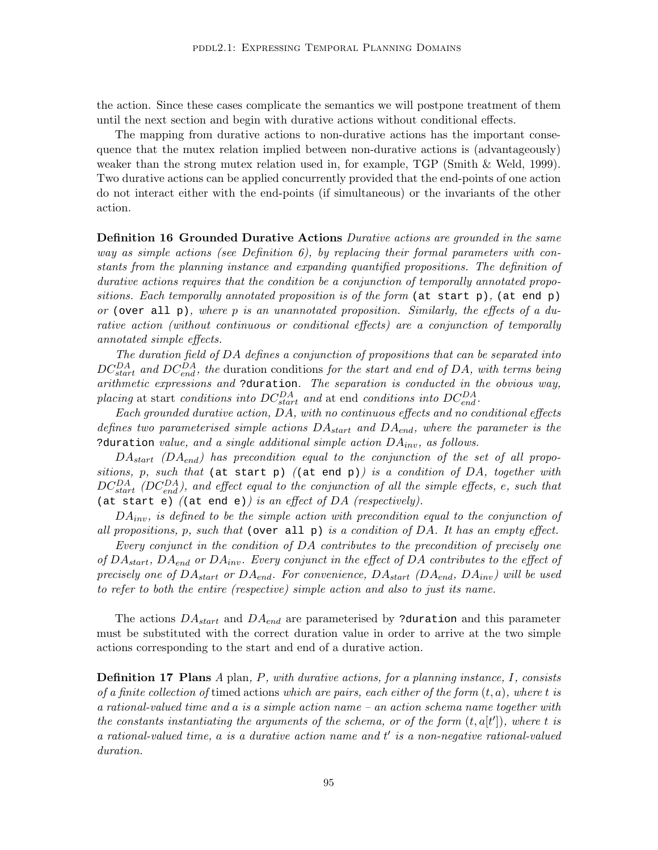the action. Since these cases complicate the semantics we will postpone treatment of them until the next section and begin with durative actions without conditional effects.

The mapping from durative actions to non-durative actions has the important consequence that the mutex relation implied between non-durative actions is (advantageously) weaker than the strong mutex relation used in, for example, TGP (Smith & Weld, 1999). Two durative actions can be applied concurrently provided that the end-points of one action do not interact either with the end-points (if simultaneous) or the invariants of the other action.

Definition 16 Grounded Durative Actions Durative actions are grounded in the same way as simple actions (see Definition  $6$ ), by replacing their formal parameters with constants from the planning instance and expanding quantified propositions. The definition of durative actions requires that the condition be a conjunction of temporally annotated propositions. Each temporally annotated proposition is of the form (at start p), (at end p) or (over all  $p$ ), where p is an unannotated proposition. Similarly, the effects of a durative action (without continuous or conditional effects) are a conjunction of temporally annotated simple effects.

The duration field of DA defines a conjunction of propositions that can be separated into  $DC_{start}^{DA}$  and  $DC_{end}^{DA}$ , the duration conditions for the start and end of DA, with terms being arithmetic expressions and ?duration. The separation is conducted in the obvious way, placing at start conditions into  $DC_{start}^{DA}$  and at end conditions into  $DC_{end}^{DA}$ .

Each grounded durative action, DA, with no continuous effects and no conditional effects defines two parameterised simple actions  $DA_{start}$  and  $DA_{end}$ , where the parameter is the ?duration value, and a single additional simple action  $DA_{inv}$ , as follows.

 $DA_{start}$  ( $DA_{end}$ ) has precondition equal to the conjunction of the set of all propositions, p, such that (at start p) ((at end p)) is a condition of DA, together with  $DC_{start}^{DA}$  (DC $_{end}^{DA}$ ), and effect equal to the conjunction of all the simple effects, e, such that (at start e) ((at end e)) is an effect of DA (respectively).

 $DA_{inv}$ , is defined to be the simple action with precondition equal to the conjunction of all propositions, p, such that (over all p) is a condition of DA. It has an empty effect.

Every conjunct in the condition of DA contributes to the precondition of precisely one of  $DA_{start}$ ,  $DA_{end}$  or  $DA_{inv}$ . Every conjunct in the effect of DA contributes to the effect of precisely one of  $DA_{start}$  or  $DA_{end}$ . For convenience,  $DA_{start}$  ( $DA_{end}$ ,  $DA_{inv}$ ) will be used to refer to both the entire (respective) simple action and also to just its name.

The actions  $DA_{start}$  and  $DA_{end}$  are parameterised by ?duration and this parameter must be substituted with the correct duration value in order to arrive at the two simple actions corresponding to the start and end of a durative action.

**Definition 17 Plans**  $A$  plan,  $P$ , with durative actions, for a planning instance,  $I$ , consists of a finite collection of timed actions which are pairs, each either of the form  $(t, a)$ , where t is a rational-valued time and a is a simple action name – an action schema name together with the constants instantiating the arguments of the schema, or of the form  $(t, a[t'])$ , where t is  $a$  rational-valued time,  $a$  is a durative action name and  $t'$  is a non-negative rational-valued duration.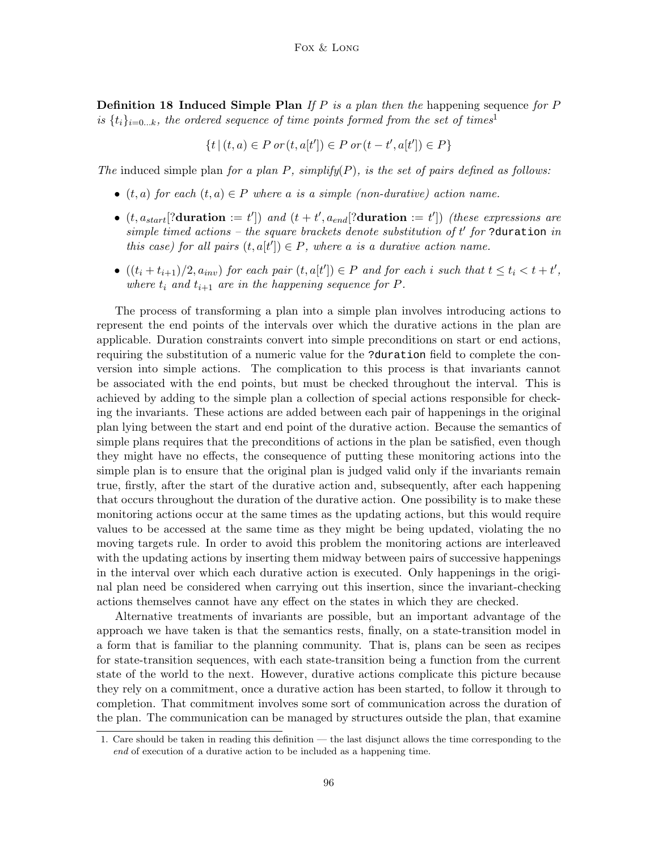**Definition 18 Induced Simple Plan** If P is a plan then the happening sequence for P is  $\{t_i\}_{i=0...k}$ , the ordered sequence of time points formed from the set of times<sup>1</sup>

$$
\{t \,|\, (t,a) \in P \text{ or } (t,a[t']) \in P \text{ or } (t-t',a[t']) \in P\}
$$

The induced simple plan for a plan  $P$ , simplify( $P$ ), is the set of pairs defined as follows:

- $(t, a)$  for each  $(t, a) \in P$  where a is a simple (non-durative) action name.
- $(t, a_{start}$ [?duration := t']) and  $(t + t', a_{end}$ [?duration := t']) (these expressions are simple timed actions – the square brackets denote substitution of  $t'$  for ?duration in this case) for all pairs  $(t, a[t']) \in P$ , where a is a durative action name.
- $((t_i + t_{i+1})/2, a_{inv})$  for each pair  $(t, a[t']) \in P$  and for each i such that  $t \le t_i < t + t'$ , where  $t_i$  and  $t_{i+1}$  are in the happening sequence for P.

The process of transforming a plan into a simple plan involves introducing actions to represent the end points of the intervals over which the durative actions in the plan are applicable. Duration constraints convert into simple preconditions on start or end actions, requiring the substitution of a numeric value for the ?duration field to complete the conversion into simple actions. The complication to this process is that invariants cannot be associated with the end points, but must be checked throughout the interval. This is achieved by adding to the simple plan a collection of special actions responsible for checking the invariants. These actions are added between each pair of happenings in the original plan lying between the start and end point of the durative action. Because the semantics of simple plans requires that the preconditions of actions in the plan be satisfied, even though they might have no effects, the consequence of putting these monitoring actions into the simple plan is to ensure that the original plan is judged valid only if the invariants remain true, firstly, after the start of the durative action and, subsequently, after each happening that occurs throughout the duration of the durative action. One possibility is to make these monitoring actions occur at the same times as the updating actions, but this would require values to be accessed at the same time as they might be being updated, violating the no moving targets rule. In order to avoid this problem the monitoring actions are interleaved with the updating actions by inserting them midway between pairs of successive happenings in the interval over which each durative action is executed. Only happenings in the original plan need be considered when carrying out this insertion, since the invariant-checking actions themselves cannot have any effect on the states in which they are checked.

Alternative treatments of invariants are possible, but an important advantage of the approach we have taken is that the semantics rests, finally, on a state-transition model in a form that is familiar to the planning community. That is, plans can be seen as recipes for state-transition sequences, with each state-transition being a function from the current state of the world to the next. However, durative actions complicate this picture because they rely on a commitment, once a durative action has been started, to follow it through to completion. That commitment involves some sort of communication across the duration of the plan. The communication can be managed by structures outside the plan, that examine

<sup>1.</sup> Care should be taken in reading this definition — the last disjunct allows the time corresponding to the end of execution of a durative action to be included as a happening time.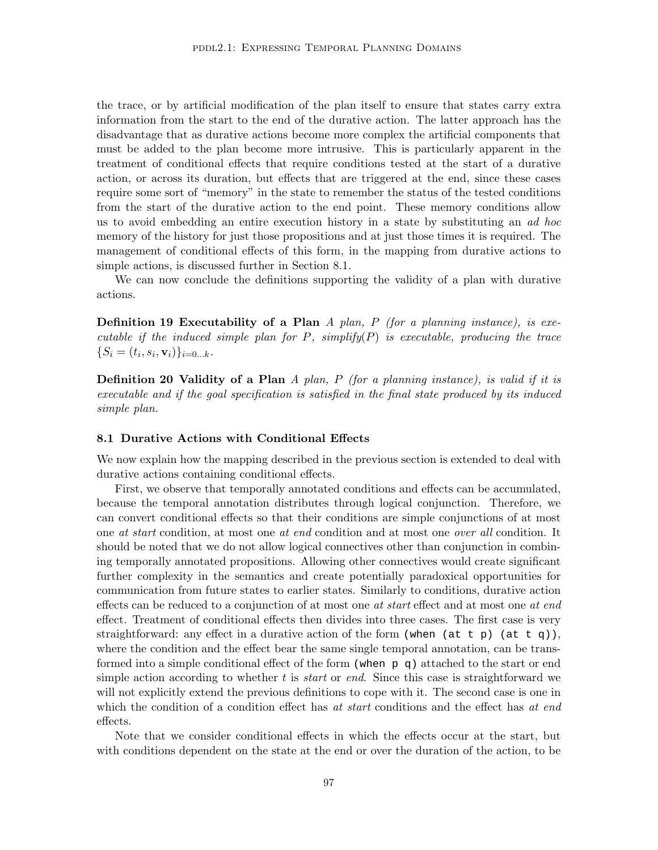the trace, or by artificial modification of the plan itself to ensure that states carry extra information from the start to the end of the durative action. The latter approach has the disadvantage that as durative actions become more complex the artificial components that must be added to the plan become more intrusive. This is particularly apparent in the treatment of conditional effects that require conditions tested at the start of a durative action, or across its duration, but effects that are triggered at the end, since these cases require some sort of "memory" in the state to remember the status of the tested conditions from the start of the durative action to the end point. These memory conditions allow us to avoid embedding an entire execution history in a state by substituting an ad hoc memory of the history for just those propositions and at just those times it is required. The management of conditional effects of this form, in the mapping from durative actions to simple actions, is discussed further in Section 8.1.

We can now conclude the definitions supporting the validity of a plan with durative actions.

**Definition 19 Executability of a Plan** A plan, P (for a planning instance), is executable if the induced simple plan for  $P$ , simplify( $P$ ) is executable, producing the trace  $\{S_i = (t_i, s_i, \mathbf{v}_i)\}_{i=0...k}.$ 

**Definition 20 Validity of a Plan**  $A$  plan,  $P$  (for a planning instance), is valid if it is executable and if the goal specification is satisfied in the final state produced by its induced simple plan.

#### 8.1 Durative Actions with Conditional Effects

We now explain how the mapping described in the previous section is extended to deal with durative actions containing conditional effects.

First, we observe that temporally annotated conditions and effects can be accumulated, because the temporal annotation distributes through logical conjunction. Therefore, we can convert conditional effects so that their conditions are simple conjunctions of at most one at start condition, at most one at end condition and at most one over all condition. It should be noted that we do not allow logical connectives other than conjunction in combining temporally annotated propositions. Allowing other connectives would create significant further complexity in the semantics and create potentially paradoxical opportunities for communication from future states to earlier states. Similarly to conditions, durative action effects can be reduced to a conjunction of at most one *at start* effect and at most one *at end* effect. Treatment of conditional effects then divides into three cases. The first case is very straightforward: any effect in a durative action of the form (when (at t p) (at t q)), where the condition and the effect bear the same single temporal annotation, can be transformed into a simple conditional effect of the form (when  $p \, q$ ) attached to the start or end simple action according to whether t is *start* or *end*. Since this case is straightforward we will not explicitly extend the previous definitions to cope with it. The second case is one in which the condition of a condition effect has at start conditions and the effect has at end effects.

Note that we consider conditional effects in which the effects occur at the start, but with conditions dependent on the state at the end or over the duration of the action, to be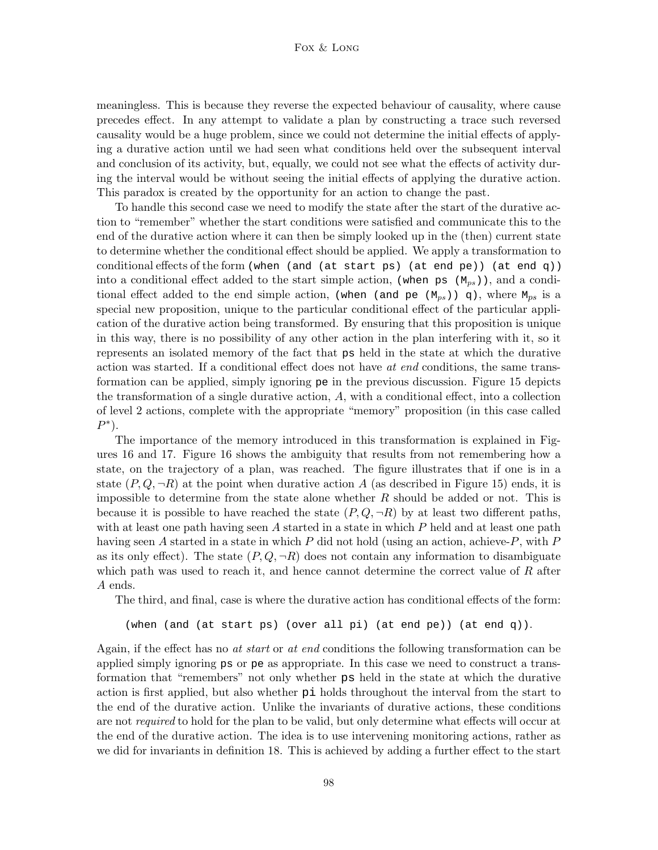### Fox & Long

meaningless. This is because they reverse the expected behaviour of causality, where cause precedes effect. In any attempt to validate a plan by constructing a trace such reversed causality would be a huge problem, since we could not determine the initial effects of applying a durative action until we had seen what conditions held over the subsequent interval and conclusion of its activity, but, equally, we could not see what the effects of activity during the interval would be without seeing the initial effects of applying the durative action. This paradox is created by the opportunity for an action to change the past.

To handle this second case we need to modify the state after the start of the durative action to "remember" whether the start conditions were satisfied and communicate this to the end of the durative action where it can then be simply looked up in the (then) current state to determine whether the conditional effect should be applied. We apply a transformation to conditional effects of the form (when (and (at start ps) (at end pe)) (at end q)) into a conditional effect added to the start simple action, (when ps  $(M_{ps})$ ), and a conditional effect added to the end simple action, (when (and pe  $(M_{ps})$ ) q), where  $M_{ps}$  is a special new proposition, unique to the particular conditional effect of the particular application of the durative action being transformed. By ensuring that this proposition is unique in this way, there is no possibility of any other action in the plan interfering with it, so it represents an isolated memory of the fact that ps held in the state at which the durative action was started. If a conditional effect does not have at end conditions, the same transformation can be applied, simply ignoring pe in the previous discussion. Figure 15 depicts the transformation of a single durative action, A, with a conditional effect, into a collection of level 2 actions, complete with the appropriate "memory" proposition (in this case called  $P^*$ ).

The importance of the memory introduced in this transformation is explained in Figures 16 and 17. Figure 16 shows the ambiguity that results from not remembering how a state, on the trajectory of a plan, was reached. The figure illustrates that if one is in a state  $(P, Q, \neg R)$  at the point when durative action A (as described in Figure 15) ends, it is impossible to determine from the state alone whether  $R$  should be added or not. This is because it is possible to have reached the state  $(P, Q, \neg R)$  by at least two different paths, with at least one path having seen  $A$  started in a state in which  $P$  held and at least one path having seen A started in a state in which  $P$  did not hold (using an action, achieve- $P$ , with  $P$ as its only effect). The state  $(P, Q, \neg R)$  does not contain any information to disambiguate which path was used to reach it, and hence cannot determine the correct value of  $R$  after A ends.

The third, and final, case is where the durative action has conditional effects of the form:

```
(when (and (at start ps) (over all pi) (at end pe)) (at end q)).
```
Again, if the effect has no *at start* or *at end* conditions the following transformation can be applied simply ignoring ps or pe as appropriate. In this case we need to construct a transformation that "remembers" not only whether ps held in the state at which the durative action is first applied, but also whether pi holds throughout the interval from the start to the end of the durative action. Unlike the invariants of durative actions, these conditions are not *required* to hold for the plan to be valid, but only determine what effects will occur at the end of the durative action. The idea is to use intervening monitoring actions, rather as we did for invariants in definition 18. This is achieved by adding a further effect to the start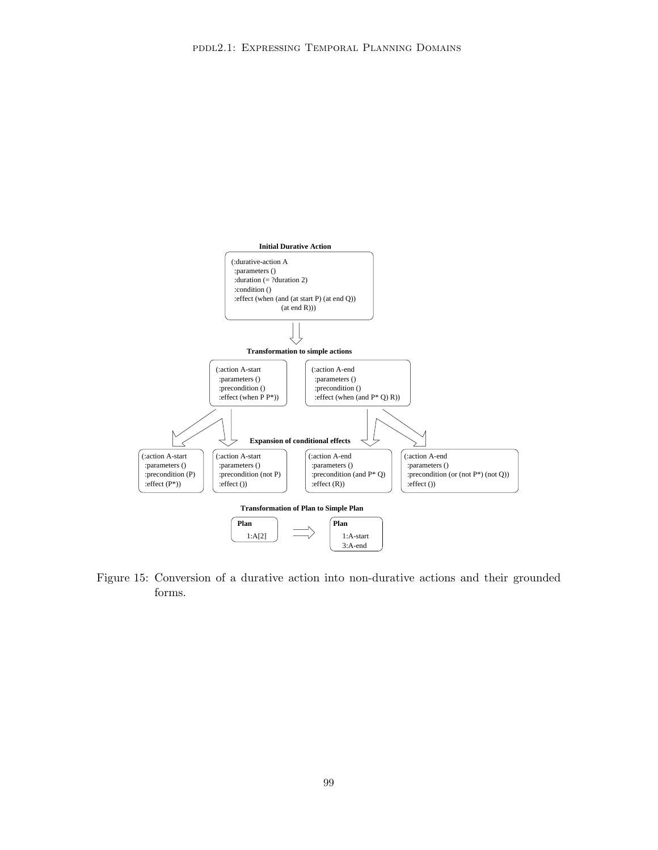

Figure 15: Conversion of a durative action into non-durative actions and their grounded forms.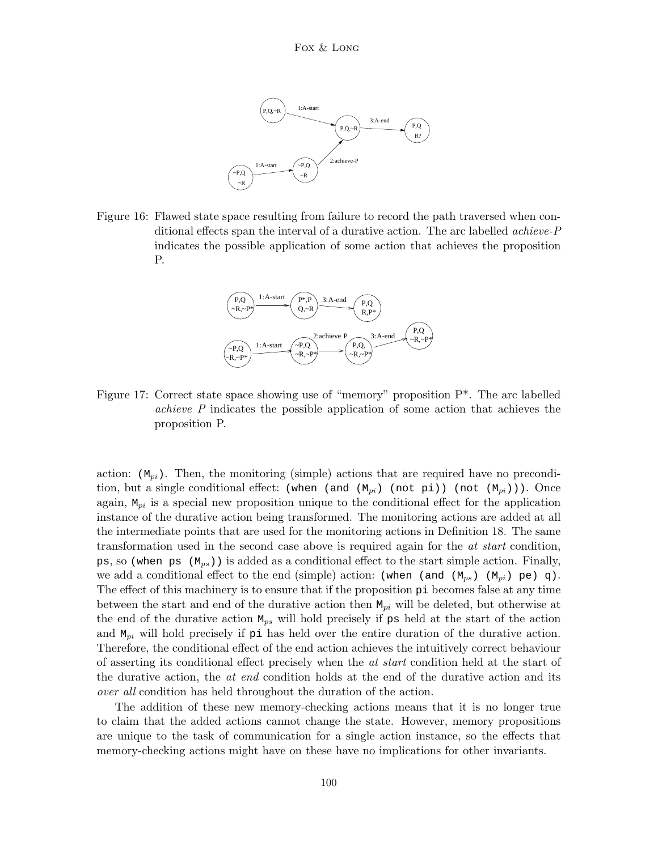

Figure 16: Flawed state space resulting from failure to record the path traversed when conditional effects span the interval of a durative action. The arc labelled achieve-P indicates the possible application of some action that achieves the proposition P.



Figure 17: Correct state space showing use of "memory" proposition P\*. The arc labelled achieve P indicates the possible application of some action that achieves the proposition P.

action:  $(M_{pi})$ . Then, the monitoring (simple) actions that are required have no precondition, but a single conditional effect: (when (and  $(M_{pi})$ ) (not  $p_i$ )) (not  $(M_{pi})$ )). Once again,  $M_{pi}$  is a special new proposition unique to the conditional effect for the application instance of the durative action being transformed. The monitoring actions are added at all the intermediate points that are used for the monitoring actions in Definition 18. The same transformation used in the second case above is required again for the at start condition, ps, so (when ps  $(M_{ps})$ ) is added as a conditional effect to the start simple action. Finally, we add a conditional effect to the end (simple) action: (when (and  $(M_{ps})$   $(M_{pi})$  pe) q). The effect of this machinery is to ensure that if the proposition pi becomes false at any time between the start and end of the durative action then  $M_{pi}$  will be deleted, but otherwise at the end of the durative action  $M_{ps}$  will hold precisely if ps held at the start of the action and  $M_{pi}$  will hold precisely if pi has held over the entire duration of the durative action. Therefore, the conditional effect of the end action achieves the intuitively correct behaviour of asserting its conditional effect precisely when the at start condition held at the start of the durative action, the *at end* condition holds at the end of the durative action and its over all condition has held throughout the duration of the action.

The addition of these new memory-checking actions means that it is no longer true to claim that the added actions cannot change the state. However, memory propositions are unique to the task of communication for a single action instance, so the effects that memory-checking actions might have on these have no implications for other invariants.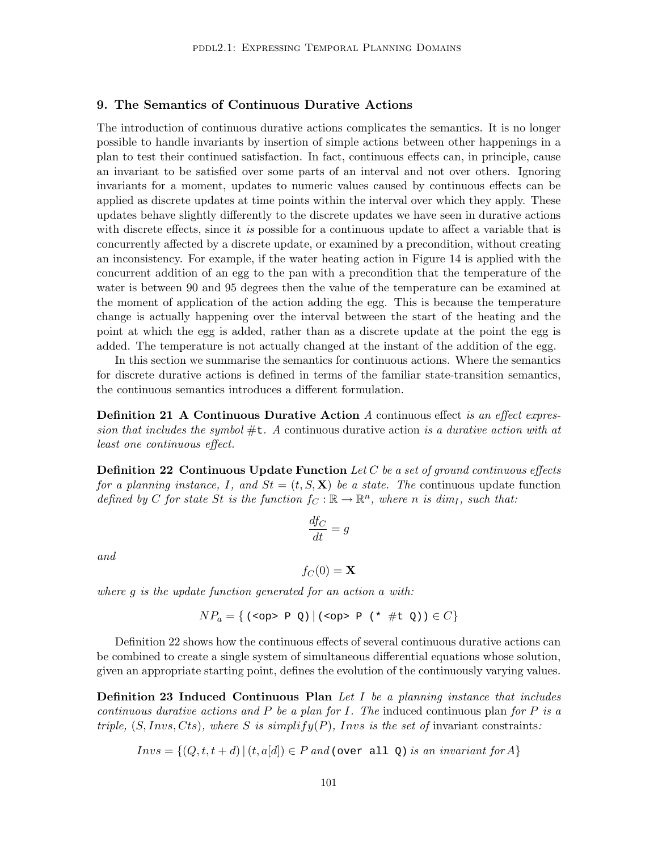# 9. The Semantics of Continuous Durative Actions

The introduction of continuous durative actions complicates the semantics. It is no longer possible to handle invariants by insertion of simple actions between other happenings in a plan to test their continued satisfaction. In fact, continuous effects can, in principle, cause an invariant to be satisfied over some parts of an interval and not over others. Ignoring invariants for a moment, updates to numeric values caused by continuous effects can be applied as discrete updates at time points within the interval over which they apply. These updates behave slightly differently to the discrete updates we have seen in durative actions with discrete effects, since it is possible for a continuous update to affect a variable that is concurrently affected by a discrete update, or examined by a precondition, without creating an inconsistency. For example, if the water heating action in Figure 14 is applied with the concurrent addition of an egg to the pan with a precondition that the temperature of the water is between 90 and 95 degrees then the value of the temperature can be examined at the moment of application of the action adding the egg. This is because the temperature change is actually happening over the interval between the start of the heating and the point at which the egg is added, rather than as a discrete update at the point the egg is added. The temperature is not actually changed at the instant of the addition of the egg.

In this section we summarise the semantics for continuous actions. Where the semantics for discrete durative actions is defined in terms of the familiar state-transition semantics, the continuous semantics introduces a different formulation.

**Definition 21 A Continuous Durative Action** A continuous effect is an effect expression that includes the symbol  $\#t$ . A continuous durative action is a durative action with at least one continuous effect.

**Definition 22 Continuous Update Function** Let C be a set of ground continuous effects for a planning instance, I, and  $St = (t, S, \mathbf{X})$  be a state. The continuous update function defined by C for state St is the function  $f_C : \mathbb{R} \to \mathbb{R}^n$ , where n is dim<sub>I</sub>, such that:

$$
\frac{df_C}{dt} = g
$$

and

$$
f_C(0) = \mathbf{X}
$$

where g is the update function generated for an action a with:

$$
NP_a = \{ (\text{op} > P Q) | (\text{op} > P (* #t Q)) \in C \}
$$

Definition 22 shows how the continuous effects of several continuous durative actions can be combined to create a single system of simultaneous differential equations whose solution, given an appropriate starting point, defines the evolution of the continuously varying values.

**Definition 23 Induced Continuous Plan** Let I be a planning instance that includes continuous durative actions and P be a plan for I. The induced continuous plan for P is a triple,  $(S, Invs, Cts)$ , where S is simplify $(P)$ , Invs is the set of invariant constraints:

 $Invs = \{(Q, t, t + d) | (t, a[d]) \in P \text{ and } (\text{over all } Q) \text{ is an invariant for } A\}$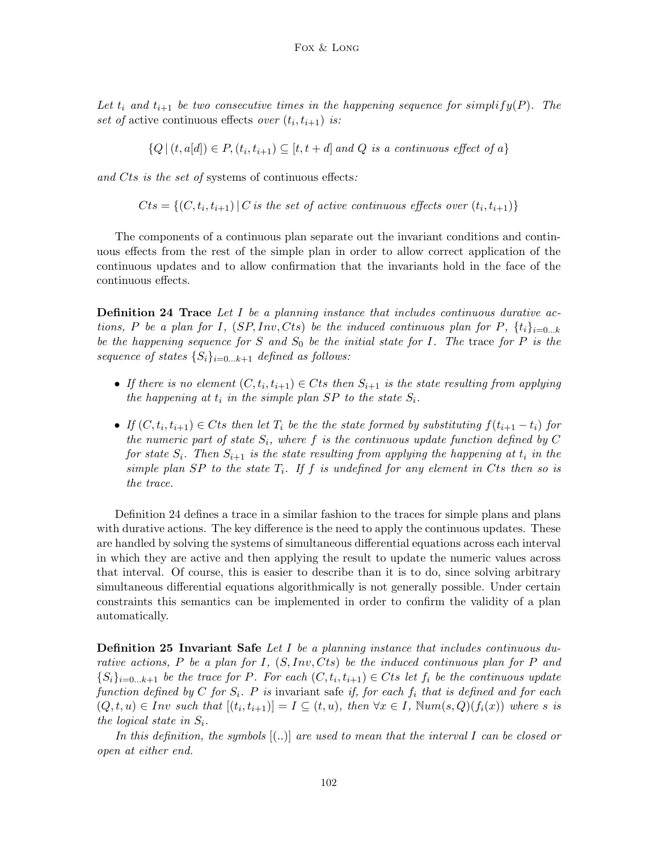Let  $t_i$  and  $t_{i+1}$  be two consecutive times in the happening sequence for simplify(P). The set of active continuous effects over  $(t_i, t_{i+1})$  is:

 ${Q | (t, a[d]) \in P, (t_i, t_{i+1}) \subseteq [t, t+d] \text{ and } Q \text{ is a continuous effect of } a}$ 

and Cts is the set of systems of continuous effects:

 $Cts = \{(C, t_i, t_{i+1}) | C \text{ is the set of active continuous effects over } (t_i, t_{i+1})\}$ 

The components of a continuous plan separate out the invariant conditions and continuous effects from the rest of the simple plan in order to allow correct application of the continuous updates and to allow confirmation that the invariants hold in the face of the continuous effects.

**Definition 24 Trace** Let  $I$  be a planning instance that includes continuous durative actions, P be a plan for I,  $(SP, Inv, Cts)$  be the induced continuous plan for P,  $\{t_i\}_{i=0...k}$ be the happening sequence for S and  $S_0$  be the initial state for I. The trace for P is the sequence of states  $\{S_i\}_{i=0...k+1}$  defined as follows:

- If there is no element  $(C, t_i, t_{i+1}) \in C$ ts then  $S_{i+1}$  is the state resulting from applying the happening at  $t_i$  in the simple plan SP to the state  $S_i$ .
- If  $(C, t_i, t_{i+1}) \in C$ ts then let  $T_i$  be the the state formed by substituting  $f(t_{i+1} t_i)$  for the numeric part of state  $S_i$ , where f is the continuous update function defined by C for state  $S_i$ . Then  $S_{i+1}$  is the state resulting from applying the happening at  $t_i$  in the simple plan SP to the state  $T_i$ . If f is undefined for any element in Cts then so is the trace.

Definition 24 defines a trace in a similar fashion to the traces for simple plans and plans with durative actions. The key difference is the need to apply the continuous updates. These are handled by solving the systems of simultaneous differential equations across each interval in which they are active and then applying the result to update the numeric values across that interval. Of course, this is easier to describe than it is to do, since solving arbitrary simultaneous differential equations algorithmically is not generally possible. Under certain constraints this semantics can be implemented in order to confirm the validity of a plan automatically.

**Definition 25 Invariant Safe** Let I be a planning instance that includes continuous durative actions, P be a plan for I,  $(S, Inv, Cts)$  be the induced continuous plan for P and  $\{S_i\}_{i=0...k+1}$  be the trace for P. For each  $(C, t_i, t_{i+1}) \in C$ ts let  $f_i$  be the continuous update function defined by C for  $S_i$ . P is invariant safe if, for each  $f_i$  that is defined and for each  $(Q, t, u) \in Inv \text{ such that } [(t_i, t_{i+1})] = I \subseteq (t, u), \text{ then } \forall x \in I, \text{Num}(s, Q)(f_i(x)) \text{ where } s \text{ is }$ the logical state in  $S_i$ .

In this definition, the symbols  $[$ ...) are used to mean that the interval I can be closed or open at either end.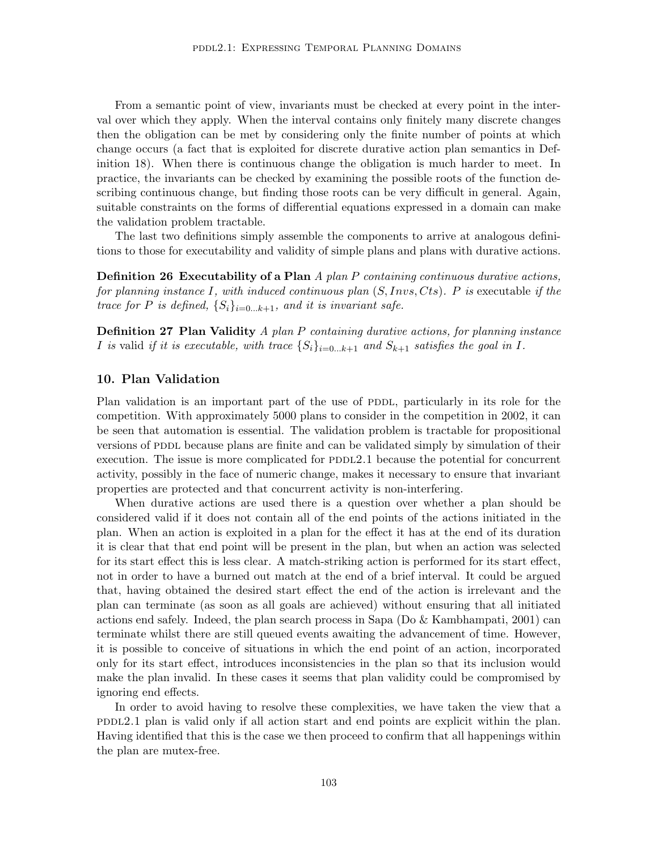From a semantic point of view, invariants must be checked at every point in the interval over which they apply. When the interval contains only finitely many discrete changes then the obligation can be met by considering only the finite number of points at which change occurs (a fact that is exploited for discrete durative action plan semantics in Definition 18). When there is continuous change the obligation is much harder to meet. In practice, the invariants can be checked by examining the possible roots of the function describing continuous change, but finding those roots can be very difficult in general. Again, suitable constraints on the forms of differential equations expressed in a domain can make the validation problem tractable.

The last two definitions simply assemble the components to arrive at analogous definitions to those for executability and validity of simple plans and plans with durative actions.

**Definition 26 Executability of a Plan**  $A$  plan  $P$  containing continuous durative actions, for planning instance I, with induced continuous plan  $(S, Invs, Cts)$ . P is executable if the trace for P is defined,  $\{S_i\}_{i=0...k+1}$ , and it is invariant safe.

**Definition 27 Plan Validity**  $A$  plan  $P$  containing durative actions, for planning instance I is valid if it is executable, with trace  $\{S_i\}_{i=0...k+1}$  and  $S_{k+1}$  satisfies the goal in I.

# 10. Plan Validation

Plan validation is an important part of the use of PDDL, particularly in its role for the competition. With approximately 5000 plans to consider in the competition in 2002, it can be seen that automation is essential. The validation problem is tractable for propositional versions of PDDL because plans are finite and can be validated simply by simulation of their execution. The issue is more complicated for  $PDDL2.1$  because the potential for concurrent activity, possibly in the face of numeric change, makes it necessary to ensure that invariant properties are protected and that concurrent activity is non-interfering.

When durative actions are used there is a question over whether a plan should be considered valid if it does not contain all of the end points of the actions initiated in the plan. When an action is exploited in a plan for the effect it has at the end of its duration it is clear that that end point will be present in the plan, but when an action was selected for its start effect this is less clear. A match-striking action is performed for its start effect, not in order to have a burned out match at the end of a brief interval. It could be argued that, having obtained the desired start effect the end of the action is irrelevant and the plan can terminate (as soon as all goals are achieved) without ensuring that all initiated actions end safely. Indeed, the plan search process in Sapa (Do & Kambhampati, 2001) can terminate whilst there are still queued events awaiting the advancement of time. However, it is possible to conceive of situations in which the end point of an action, incorporated only for its start effect, introduces inconsistencies in the plan so that its inclusion would make the plan invalid. In these cases it seems that plan validity could be compromised by ignoring end effects.

In order to avoid having to resolve these complexities, we have taken the view that a  $PDDL2.1$  plan is valid only if all action start and end points are explicit within the plan. Having identified that this is the case we then proceed to confirm that all happenings within the plan are mutex-free.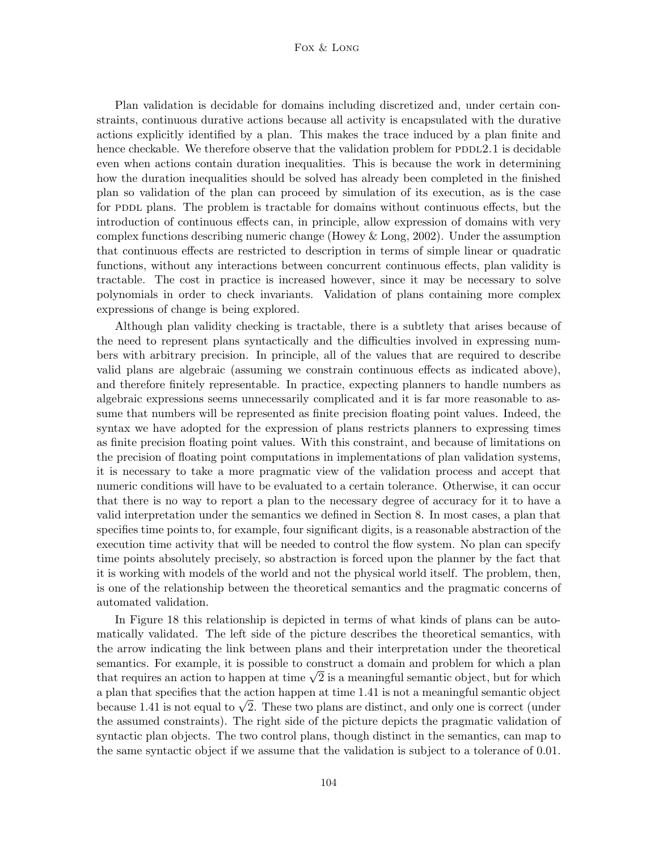### Fox & Long

Plan validation is decidable for domains including discretized and, under certain constraints, continuous durative actions because all activity is encapsulated with the durative actions explicitly identified by a plan. This makes the trace induced by a plan finite and hence checkable. We therefore observe that the validation problem for  $PDDL2.1$  is decidable even when actions contain duration inequalities. This is because the work in determining how the duration inequalities should be solved has already been completed in the finished plan so validation of the plan can proceed by simulation of its execution, as is the case for PDDL plans. The problem is tractable for domains without continuous effects, but the introduction of continuous effects can, in principle, allow expression of domains with very complex functions describing numeric change (Howey & Long, 2002). Under the assumption that continuous effects are restricted to description in terms of simple linear or quadratic functions, without any interactions between concurrent continuous effects, plan validity is tractable. The cost in practice is increased however, since it may be necessary to solve polynomials in order to check invariants. Validation of plans containing more complex expressions of change is being explored.

Although plan validity checking is tractable, there is a subtlety that arises because of the need to represent plans syntactically and the difficulties involved in expressing numbers with arbitrary precision. In principle, all of the values that are required to describe valid plans are algebraic (assuming we constrain continuous effects as indicated above), and therefore finitely representable. In practice, expecting planners to handle numbers as algebraic expressions seems unnecessarily complicated and it is far more reasonable to assume that numbers will be represented as finite precision floating point values. Indeed, the syntax we have adopted for the expression of plans restricts planners to expressing times as finite precision floating point values. With this constraint, and because of limitations on the precision of floating point computations in implementations of plan validation systems, it is necessary to take a more pragmatic view of the validation process and accept that numeric conditions will have to be evaluated to a certain tolerance. Otherwise, it can occur that there is no way to report a plan to the necessary degree of accuracy for it to have a valid interpretation under the semantics we defined in Section 8. In most cases, a plan that specifies time points to, for example, four significant digits, is a reasonable abstraction of the execution time activity that will be needed to control the flow system. No plan can specify time points absolutely precisely, so abstraction is forced upon the planner by the fact that it is working with models of the world and not the physical world itself. The problem, then, is one of the relationship between the theoretical semantics and the pragmatic concerns of automated validation.

In Figure 18 this relationship is depicted in terms of what kinds of plans can be automatically validated. The left side of the picture describes the theoretical semantics, with the arrow indicating the link between plans and their interpretation under the theoretical semantics. For example, it is possible to construct a domain and problem for which a plan semantics. For example, it is possible to construct a domain and problem for which a planethat requires an action to happen at time  $\sqrt{2}$  is a meaningful semantic object, but for which a plan that specifies that the action happen at time 1.41 is not a meaningful semantic object a plan that specifies that the action nappen at time 1.41 is not a meaningful semantic object<br>because 1.41 is not equal to  $\sqrt{2}.$  These two plans are distinct, and only one is correct (under the assumed constraints). The right side of the picture depicts the pragmatic validation of syntactic plan objects. The two control plans, though distinct in the semantics, can map to the same syntactic object if we assume that the validation is subject to a tolerance of 0.01.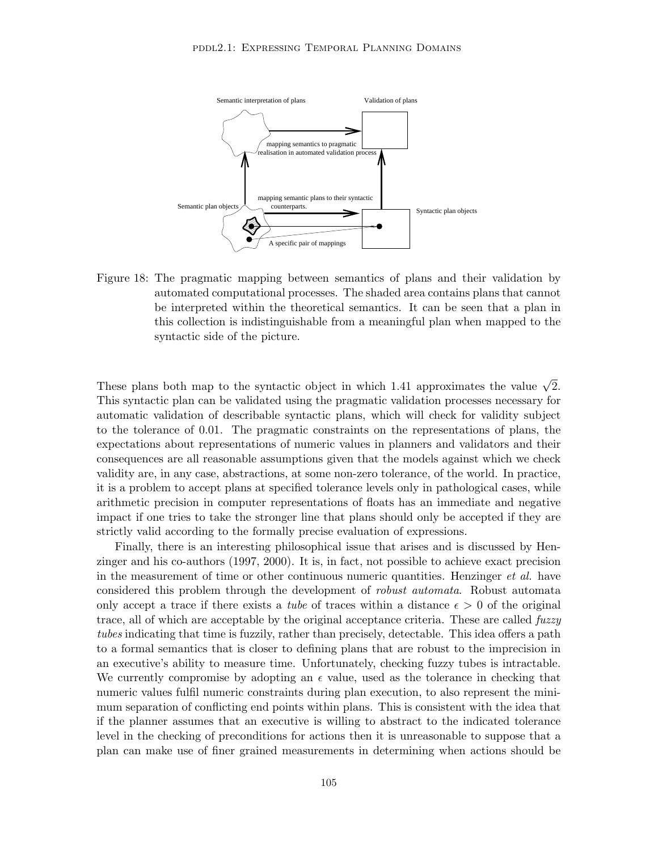

Figure 18: The pragmatic mapping between semantics of plans and their validation by automated computational processes. The shaded area contains plans that cannot be interpreted within the theoretical semantics. It can be seen that a plan in this collection is indistinguishable from a meaningful plan when mapped to the syntactic side of the picture.

These plans both map to the syntactic object in which 1.41 approximates the value  $\sqrt{2}$ . This syntactic plan can be validated using the pragmatic validation processes necessary for automatic validation of describable syntactic plans, which will check for validity subject to the tolerance of 0.01. The pragmatic constraints on the representations of plans, the expectations about representations of numeric values in planners and validators and their consequences are all reasonable assumptions given that the models against which we check validity are, in any case, abstractions, at some non-zero tolerance, of the world. In practice, it is a problem to accept plans at specified tolerance levels only in pathological cases, while arithmetic precision in computer representations of floats has an immediate and negative impact if one tries to take the stronger line that plans should only be accepted if they are strictly valid according to the formally precise evaluation of expressions.

Finally, there is an interesting philosophical issue that arises and is discussed by Henzinger and his co-authors (1997, 2000). It is, in fact, not possible to achieve exact precision in the measurement of time or other continuous numeric quantities. Henzinger *et al.* have considered this problem through the development of robust automata. Robust automata only accept a trace if there exists a *tube* of traces within a distance  $\epsilon > 0$  of the original trace, all of which are acceptable by the original acceptance criteria. These are called fuzzy tubes indicating that time is fuzzily, rather than precisely, detectable. This idea offers a path to a formal semantics that is closer to defining plans that are robust to the imprecision in an executive's ability to measure time. Unfortunately, checking fuzzy tubes is intractable. We currently compromise by adopting an  $\epsilon$  value, used as the tolerance in checking that numeric values fulfil numeric constraints during plan execution, to also represent the minimum separation of conflicting end points within plans. This is consistent with the idea that if the planner assumes that an executive is willing to abstract to the indicated tolerance level in the checking of preconditions for actions then it is unreasonable to suppose that a plan can make use of finer grained measurements in determining when actions should be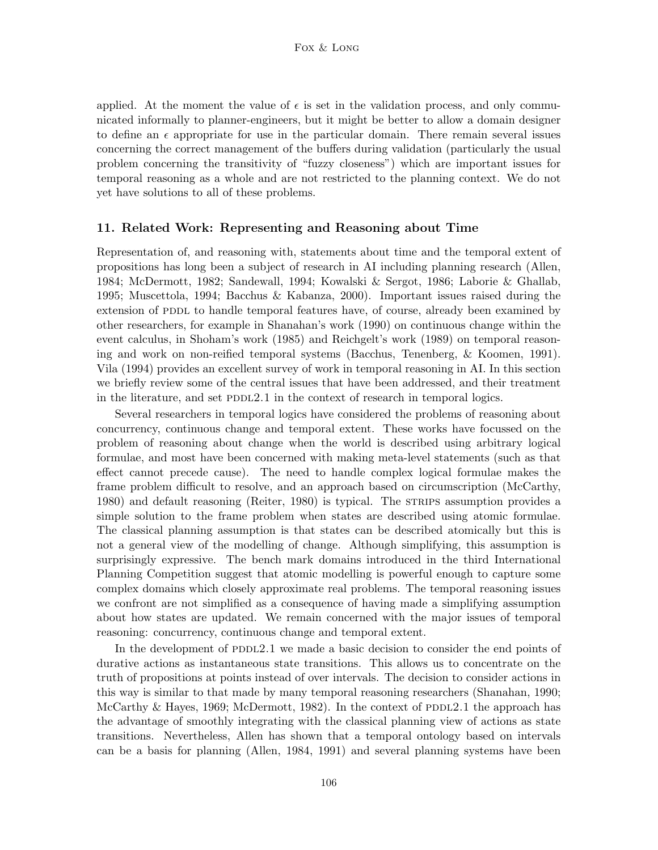applied. At the moment the value of  $\epsilon$  is set in the validation process, and only communicated informally to planner-engineers, but it might be better to allow a domain designer to define an  $\epsilon$  appropriate for use in the particular domain. There remain several issues concerning the correct management of the buffers during validation (particularly the usual problem concerning the transitivity of "fuzzy closeness") which are important issues for temporal reasoning as a whole and are not restricted to the planning context. We do not yet have solutions to all of these problems.

### 11. Related Work: Representing and Reasoning about Time

Representation of, and reasoning with, statements about time and the temporal extent of propositions has long been a subject of research in AI including planning research (Allen, 1984; McDermott, 1982; Sandewall, 1994; Kowalski & Sergot, 1986; Laborie & Ghallab, 1995; Muscettola, 1994; Bacchus & Kabanza, 2000). Important issues raised during the extension of PDDL to handle temporal features have, of course, already been examined by other researchers, for example in Shanahan's work (1990) on continuous change within the event calculus, in Shoham's work (1985) and Reichgelt's work (1989) on temporal reasoning and work on non-reified temporal systems (Bacchus, Tenenberg, & Koomen, 1991). Vila (1994) provides an excellent survey of work in temporal reasoning in AI. In this section we briefly review some of the central issues that have been addressed, and their treatment in the literature, and set  $PDDL2.1$  in the context of research in temporal logics.

Several researchers in temporal logics have considered the problems of reasoning about concurrency, continuous change and temporal extent. These works have focussed on the problem of reasoning about change when the world is described using arbitrary logical formulae, and most have been concerned with making meta-level statements (such as that effect cannot precede cause). The need to handle complex logical formulae makes the frame problem difficult to resolve, and an approach based on circumscription (McCarthy, 1980) and default reasoning (Reiter, 1980) is typical. The STRIPS assumption provides a simple solution to the frame problem when states are described using atomic formulae. The classical planning assumption is that states can be described atomically but this is not a general view of the modelling of change. Although simplifying, this assumption is surprisingly expressive. The bench mark domains introduced in the third International Planning Competition suggest that atomic modelling is powerful enough to capture some complex domains which closely approximate real problems. The temporal reasoning issues we confront are not simplified as a consequence of having made a simplifying assumption about how states are updated. We remain concerned with the major issues of temporal reasoning: concurrency, continuous change and temporal extent.

In the development of PDDL2.1 we made a basic decision to consider the end points of durative actions as instantaneous state transitions. This allows us to concentrate on the truth of propositions at points instead of over intervals. The decision to consider actions in this way is similar to that made by many temporal reasoning researchers (Shanahan, 1990; McCarthy & Hayes, 1969; McDermott, 1982). In the context of PDDL2.1 the approach has the advantage of smoothly integrating with the classical planning view of actions as state transitions. Nevertheless, Allen has shown that a temporal ontology based on intervals can be a basis for planning (Allen, 1984, 1991) and several planning systems have been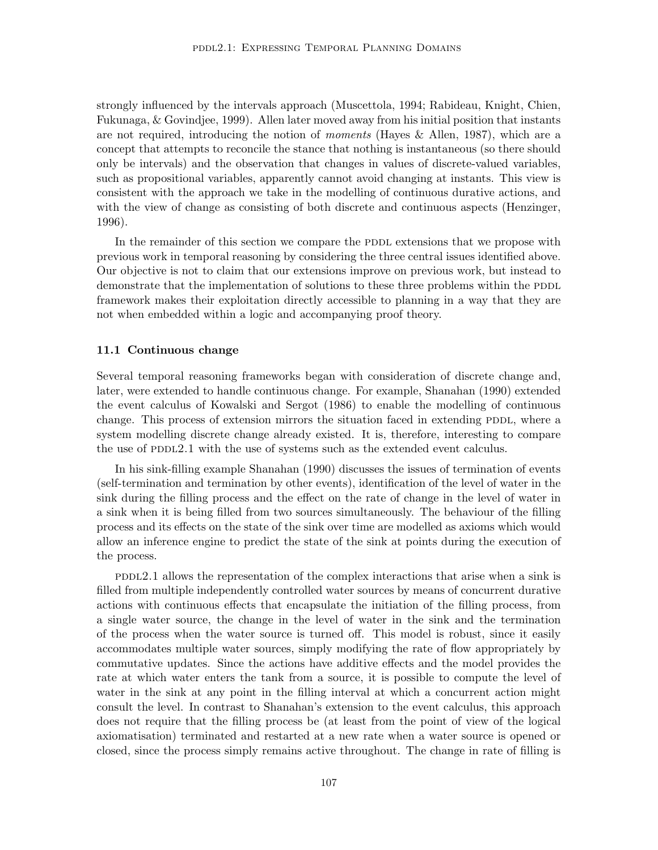strongly influenced by the intervals approach (Muscettola, 1994; Rabideau, Knight, Chien, Fukunaga, & Govindjee, 1999). Allen later moved away from his initial position that instants are not required, introducing the notion of moments (Hayes & Allen, 1987), which are a concept that attempts to reconcile the stance that nothing is instantaneous (so there should only be intervals) and the observation that changes in values of discrete-valued variables, such as propositional variables, apparently cannot avoid changing at instants. This view is consistent with the approach we take in the modelling of continuous durative actions, and with the view of change as consisting of both discrete and continuous aspects (Henzinger, 1996).

In the remainder of this section we compare the PDDL extensions that we propose with previous work in temporal reasoning by considering the three central issues identified above. Our objective is not to claim that our extensions improve on previous work, but instead to demonstrate that the implementation of solutions to these three problems within the PDDL framework makes their exploitation directly accessible to planning in a way that they are not when embedded within a logic and accompanying proof theory.

# 11.1 Continuous change

Several temporal reasoning frameworks began with consideration of discrete change and, later, were extended to handle continuous change. For example, Shanahan (1990) extended the event calculus of Kowalski and Sergot (1986) to enable the modelling of continuous change. This process of extension mirrors the situation faced in extending PDDL, where a system modelling discrete change already existed. It is, therefore, interesting to compare the use of PDDL2.1 with the use of systems such as the extended event calculus.

In his sink-filling example Shanahan (1990) discusses the issues of termination of events (self-termination and termination by other events), identification of the level of water in the sink during the filling process and the effect on the rate of change in the level of water in a sink when it is being filled from two sources simultaneously. The behaviour of the filling process and its effects on the state of the sink over time are modelled as axioms which would allow an inference engine to predict the state of the sink at points during the execution of the process.

pddl2.1 allows the representation of the complex interactions that arise when a sink is filled from multiple independently controlled water sources by means of concurrent durative actions with continuous effects that encapsulate the initiation of the filling process, from a single water source, the change in the level of water in the sink and the termination of the process when the water source is turned off. This model is robust, since it easily accommodates multiple water sources, simply modifying the rate of flow appropriately by commutative updates. Since the actions have additive effects and the model provides the rate at which water enters the tank from a source, it is possible to compute the level of water in the sink at any point in the filling interval at which a concurrent action might consult the level. In contrast to Shanahan's extension to the event calculus, this approach does not require that the filling process be (at least from the point of view of the logical axiomatisation) terminated and restarted at a new rate when a water source is opened or closed, since the process simply remains active throughout. The change in rate of filling is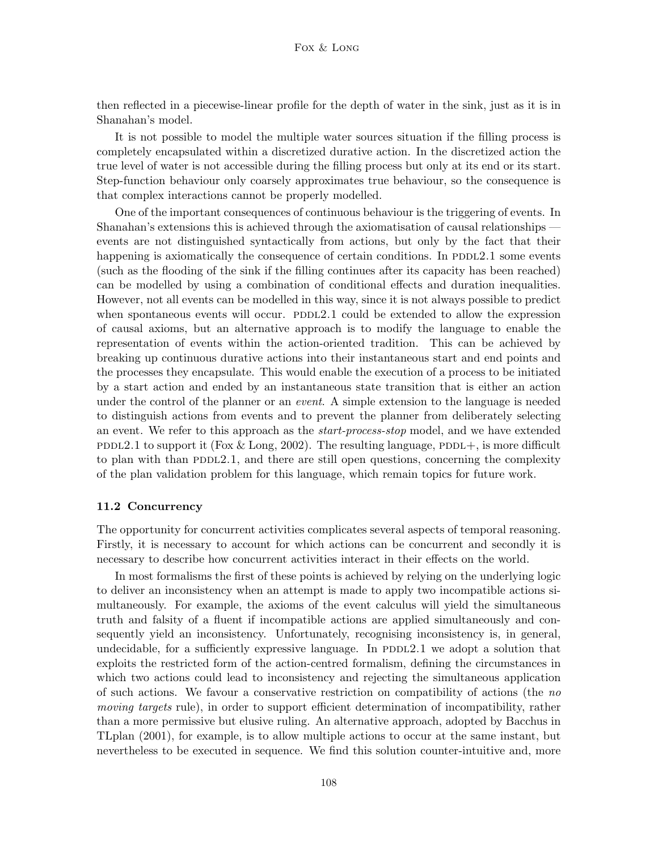then reflected in a piecewise-linear profile for the depth of water in the sink, just as it is in Shanahan's model.

It is not possible to model the multiple water sources situation if the filling process is completely encapsulated within a discretized durative action. In the discretized action the true level of water is not accessible during the filling process but only at its end or its start. Step-function behaviour only coarsely approximates true behaviour, so the consequence is that complex interactions cannot be properly modelled.

One of the important consequences of continuous behaviour is the triggering of events. In Shanahan's extensions this is achieved through the axiomatisation of causal relationships events are not distinguished syntactically from actions, but only by the fact that their happening is axiomatically the consequence of certain conditions. In PDDL2.1 some events (such as the flooding of the sink if the filling continues after its capacity has been reached) can be modelled by using a combination of conditional effects and duration inequalities. However, not all events can be modelled in this way, since it is not always possible to predict when spontaneous events will occur.  $PDDL2.1$  could be extended to allow the expression of causal axioms, but an alternative approach is to modify the language to enable the representation of events within the action-oriented tradition. This can be achieved by breaking up continuous durative actions into their instantaneous start and end points and the processes they encapsulate. This would enable the execution of a process to be initiated by a start action and ended by an instantaneous state transition that is either an action under the control of the planner or an *event*. A simple extension to the language is needed to distinguish actions from events and to prevent the planner from deliberately selecting an event. We refer to this approach as the start-process-stop model, and we have extended PDDL2.1 to support it (Fox  $\&$  Long, 2002). The resulting language, PDDL+, is more difficult to plan with than PDDL2.1, and there are still open questions, concerning the complexity of the plan validation problem for this language, which remain topics for future work.

#### 11.2 Concurrency

The opportunity for concurrent activities complicates several aspects of temporal reasoning. Firstly, it is necessary to account for which actions can be concurrent and secondly it is necessary to describe how concurrent activities interact in their effects on the world.

In most formalisms the first of these points is achieved by relying on the underlying logic to deliver an inconsistency when an attempt is made to apply two incompatible actions simultaneously. For example, the axioms of the event calculus will yield the simultaneous truth and falsity of a fluent if incompatible actions are applied simultaneously and consequently yield an inconsistency. Unfortunately, recognising inconsistency is, in general, undecidable, for a sufficiently expressive language. In  $PDDL2.1$  we adopt a solution that exploits the restricted form of the action-centred formalism, defining the circumstances in which two actions could lead to inconsistency and rejecting the simultaneous application of such actions. We favour a conservative restriction on compatibility of actions (the no moving targets rule), in order to support efficient determination of incompatibility, rather than a more permissive but elusive ruling. An alternative approach, adopted by Bacchus in TLplan (2001), for example, is to allow multiple actions to occur at the same instant, but nevertheless to be executed in sequence. We find this solution counter-intuitive and, more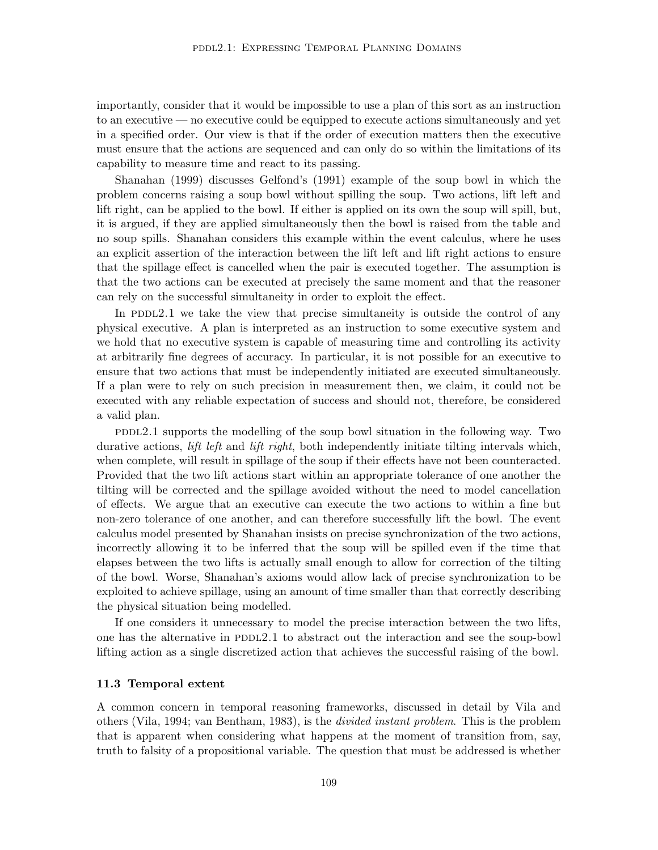importantly, consider that it would be impossible to use a plan of this sort as an instruction to an executive — no executive could be equipped to execute actions simultaneously and yet in a specified order. Our view is that if the order of execution matters then the executive must ensure that the actions are sequenced and can only do so within the limitations of its capability to measure time and react to its passing.

Shanahan (1999) discusses Gelfond's (1991) example of the soup bowl in which the problem concerns raising a soup bowl without spilling the soup. Two actions, lift left and lift right, can be applied to the bowl. If either is applied on its own the soup will spill, but, it is argued, if they are applied simultaneously then the bowl is raised from the table and no soup spills. Shanahan considers this example within the event calculus, where he uses an explicit assertion of the interaction between the lift left and lift right actions to ensure that the spillage effect is cancelled when the pair is executed together. The assumption is that the two actions can be executed at precisely the same moment and that the reasoner can rely on the successful simultaneity in order to exploit the effect.

In PDDL2.1 we take the view that precise simultaneity is outside the control of any physical executive. A plan is interpreted as an instruction to some executive system and we hold that no executive system is capable of measuring time and controlling its activity at arbitrarily fine degrees of accuracy. In particular, it is not possible for an executive to ensure that two actions that must be independently initiated are executed simultaneously. If a plan were to rely on such precision in measurement then, we claim, it could not be executed with any reliable expectation of success and should not, therefore, be considered a valid plan.

 $PDDL2.1$  supports the modelling of the soup bowl situation in the following way. Two durative actions, *lift left* and *lift right*, both independently initiate tilting intervals which, when complete, will result in spillage of the soup if their effects have not been counteracted. Provided that the two lift actions start within an appropriate tolerance of one another the tilting will be corrected and the spillage avoided without the need to model cancellation of effects. We argue that an executive can execute the two actions to within a fine but non-zero tolerance of one another, and can therefore successfully lift the bowl. The event calculus model presented by Shanahan insists on precise synchronization of the two actions, incorrectly allowing it to be inferred that the soup will be spilled even if the time that elapses between the two lifts is actually small enough to allow for correction of the tilting of the bowl. Worse, Shanahan's axioms would allow lack of precise synchronization to be exploited to achieve spillage, using an amount of time smaller than that correctly describing the physical situation being modelled.

If one considers it unnecessary to model the precise interaction between the two lifts, one has the alternative in PDDL2.1 to abstract out the interaction and see the soup-bowl lifting action as a single discretized action that achieves the successful raising of the bowl.

### 11.3 Temporal extent

A common concern in temporal reasoning frameworks, discussed in detail by Vila and others (Vila, 1994; van Bentham, 1983), is the divided instant problem. This is the problem that is apparent when considering what happens at the moment of transition from, say, truth to falsity of a propositional variable. The question that must be addressed is whether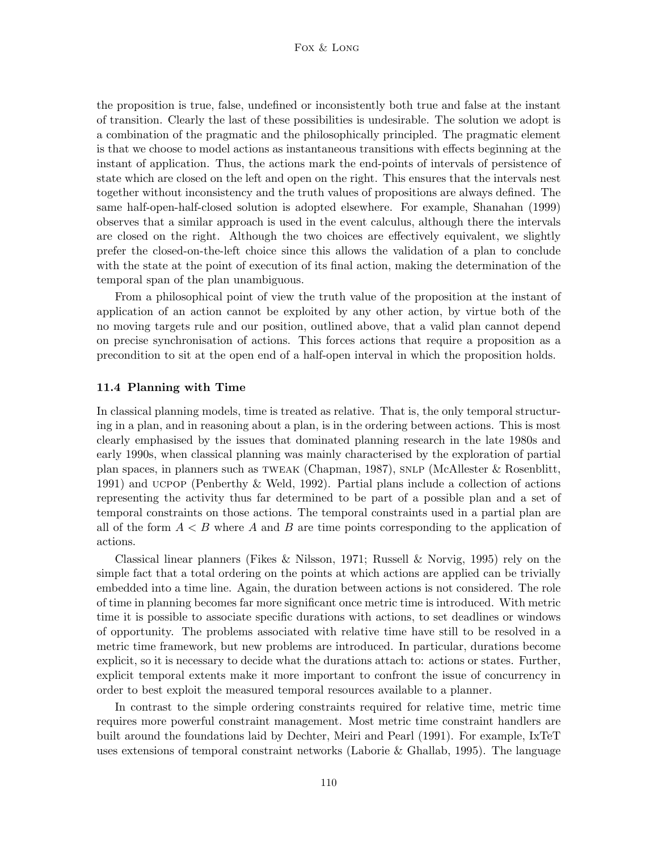the proposition is true, false, undefined or inconsistently both true and false at the instant of transition. Clearly the last of these possibilities is undesirable. The solution we adopt is a combination of the pragmatic and the philosophically principled. The pragmatic element is that we choose to model actions as instantaneous transitions with effects beginning at the instant of application. Thus, the actions mark the end-points of intervals of persistence of state which are closed on the left and open on the right. This ensures that the intervals nest together without inconsistency and the truth values of propositions are always defined. The same half-open-half-closed solution is adopted elsewhere. For example, Shanahan (1999) observes that a similar approach is used in the event calculus, although there the intervals are closed on the right. Although the two choices are effectively equivalent, we slightly prefer the closed-on-the-left choice since this allows the validation of a plan to conclude with the state at the point of execution of its final action, making the determination of the temporal span of the plan unambiguous.

From a philosophical point of view the truth value of the proposition at the instant of application of an action cannot be exploited by any other action, by virtue both of the no moving targets rule and our position, outlined above, that a valid plan cannot depend on precise synchronisation of actions. This forces actions that require a proposition as a precondition to sit at the open end of a half-open interval in which the proposition holds.

### 11.4 Planning with Time

In classical planning models, time is treated as relative. That is, the only temporal structuring in a plan, and in reasoning about a plan, is in the ordering between actions. This is most clearly emphasised by the issues that dominated planning research in the late 1980s and early 1990s, when classical planning was mainly characterised by the exploration of partial plan spaces, in planners such as tweak (Chapman, 1987), snlp (McAllester & Rosenblitt, 1991) and ucpop (Penberthy & Weld, 1992). Partial plans include a collection of actions representing the activity thus far determined to be part of a possible plan and a set of temporal constraints on those actions. The temporal constraints used in a partial plan are all of the form  $A < B$  where A and B are time points corresponding to the application of actions.

Classical linear planners (Fikes & Nilsson, 1971; Russell & Norvig, 1995) rely on the simple fact that a total ordering on the points at which actions are applied can be trivially embedded into a time line. Again, the duration between actions is not considered. The role of time in planning becomes far more significant once metric time is introduced. With metric time it is possible to associate specific durations with actions, to set deadlines or windows of opportunity. The problems associated with relative time have still to be resolved in a metric time framework, but new problems are introduced. In particular, durations become explicit, so it is necessary to decide what the durations attach to: actions or states. Further, explicit temporal extents make it more important to confront the issue of concurrency in order to best exploit the measured temporal resources available to a planner.

In contrast to the simple ordering constraints required for relative time, metric time requires more powerful constraint management. Most metric time constraint handlers are built around the foundations laid by Dechter, Meiri and Pearl (1991). For example, IxTeT uses extensions of temporal constraint networks (Laborie & Ghallab, 1995). The language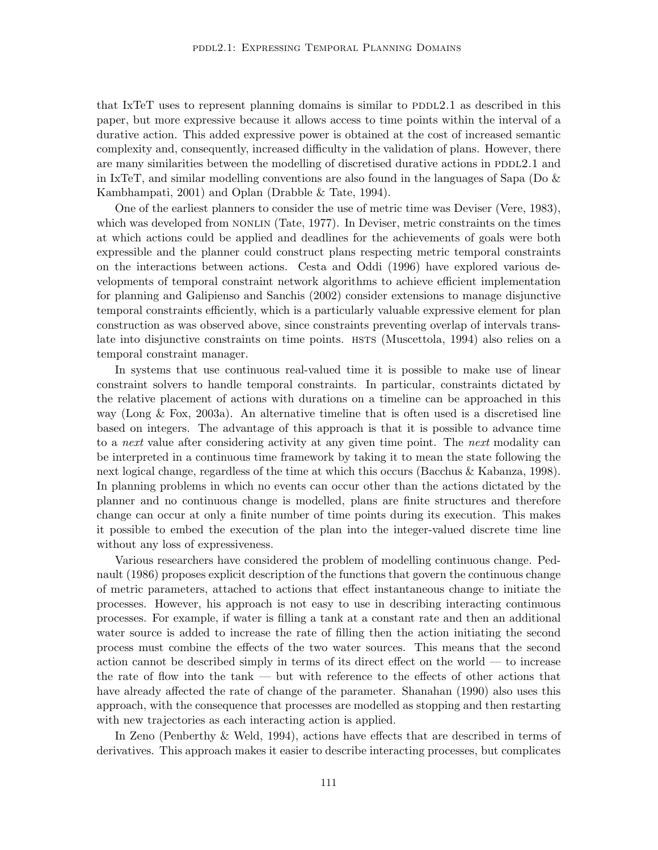that IxTeT uses to represent planning domains is similar to  $PDDL2.1$  as described in this paper, but more expressive because it allows access to time points within the interval of a durative action. This added expressive power is obtained at the cost of increased semantic complexity and, consequently, increased difficulty in the validation of plans. However, there are many similarities between the modelling of discretised durative actions in PDDL2.1 and in IxTeT, and similar modelling conventions are also found in the languages of Sapa (Do  $\&$ Kambhampati, 2001) and Oplan (Drabble & Tate, 1994).

One of the earliest planners to consider the use of metric time was Deviser (Vere, 1983), which was developed from NONLIN (Tate, 1977). In Deviser, metric constraints on the times at which actions could be applied and deadlines for the achievements of goals were both expressible and the planner could construct plans respecting metric temporal constraints on the interactions between actions. Cesta and Oddi (1996) have explored various developments of temporal constraint network algorithms to achieve efficient implementation for planning and Galipienso and Sanchis (2002) consider extensions to manage disjunctive temporal constraints efficiently, which is a particularly valuable expressive element for plan construction as was observed above, since constraints preventing overlap of intervals translate into disjunctive constraints on time points. HSTS (Muscettola, 1994) also relies on a temporal constraint manager.

In systems that use continuous real-valued time it is possible to make use of linear constraint solvers to handle temporal constraints. In particular, constraints dictated by the relative placement of actions with durations on a timeline can be approached in this way (Long & Fox, 2003a). An alternative timeline that is often used is a discretised line based on integers. The advantage of this approach is that it is possible to advance time to a *next* value after considering activity at any given time point. The *next* modality can be interpreted in a continuous time framework by taking it to mean the state following the next logical change, regardless of the time at which this occurs (Bacchus & Kabanza, 1998). In planning problems in which no events can occur other than the actions dictated by the planner and no continuous change is modelled, plans are finite structures and therefore change can occur at only a finite number of time points during its execution. This makes it possible to embed the execution of the plan into the integer-valued discrete time line without any loss of expressiveness.

Various researchers have considered the problem of modelling continuous change. Pednault (1986) proposes explicit description of the functions that govern the continuous change of metric parameters, attached to actions that effect instantaneous change to initiate the processes. However, his approach is not easy to use in describing interacting continuous processes. For example, if water is filling a tank at a constant rate and then an additional water source is added to increase the rate of filling then the action initiating the second process must combine the effects of the two water sources. This means that the second action cannot be described simply in terms of its direct effect on the world — to increase the rate of flow into the tank — but with reference to the effects of other actions that have already affected the rate of change of the parameter. Shanahan (1990) also uses this approach, with the consequence that processes are modelled as stopping and then restarting with new trajectories as each interacting action is applied.

In Zeno (Penberthy & Weld, 1994), actions have effects that are described in terms of derivatives. This approach makes it easier to describe interacting processes, but complicates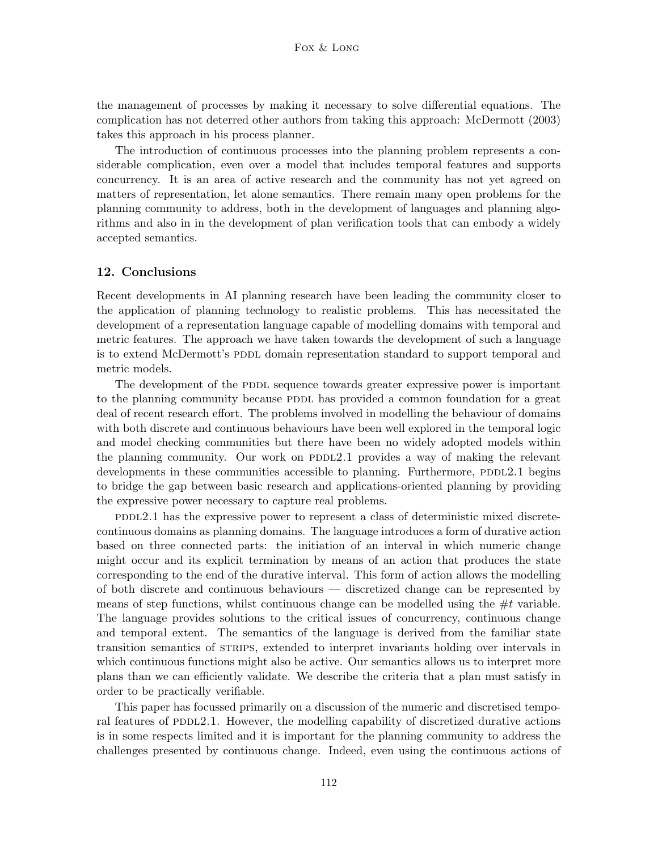the management of processes by making it necessary to solve differential equations. The complication has not deterred other authors from taking this approach: McDermott (2003) takes this approach in his process planner.

The introduction of continuous processes into the planning problem represents a considerable complication, even over a model that includes temporal features and supports concurrency. It is an area of active research and the community has not yet agreed on matters of representation, let alone semantics. There remain many open problems for the planning community to address, both in the development of languages and planning algorithms and also in in the development of plan verification tools that can embody a widely accepted semantics.

# 12. Conclusions

Recent developments in AI planning research have been leading the community closer to the application of planning technology to realistic problems. This has necessitated the development of a representation language capable of modelling domains with temporal and metric features. The approach we have taken towards the development of such a language is to extend McDermott's PDDL domain representation standard to support temporal and metric models.

The development of the PDDL sequence towards greater expressive power is important to the planning community because PDDL has provided a common foundation for a great deal of recent research effort. The problems involved in modelling the behaviour of domains with both discrete and continuous behaviours have been well explored in the temporal logic and model checking communities but there have been no widely adopted models within the planning community. Our work on  $PDDL2.1$  provides a way of making the relevant developments in these communities accessible to planning. Furthermore, PDDL2.1 begins to bridge the gap between basic research and applications-oriented planning by providing the expressive power necessary to capture real problems.

 $PDDL2.1$  has the expressive power to represent a class of deterministic mixed discretecontinuous domains as planning domains. The language introduces a form of durative action based on three connected parts: the initiation of an interval in which numeric change might occur and its explicit termination by means of an action that produces the state corresponding to the end of the durative interval. This form of action allows the modelling of both discrete and continuous behaviours — discretized change can be represented by means of step functions, whilst continuous change can be modelled using the  $\#t$  variable. The language provides solutions to the critical issues of concurrency, continuous change and temporal extent. The semantics of the language is derived from the familiar state transition semantics of strips, extended to interpret invariants holding over intervals in which continuous functions might also be active. Our semantics allows us to interpret more plans than we can efficiently validate. We describe the criteria that a plan must satisfy in order to be practically verifiable.

This paper has focussed primarily on a discussion of the numeric and discretised temporal features of PDDL2.1. However, the modelling capability of discretized durative actions is in some respects limited and it is important for the planning community to address the challenges presented by continuous change. Indeed, even using the continuous actions of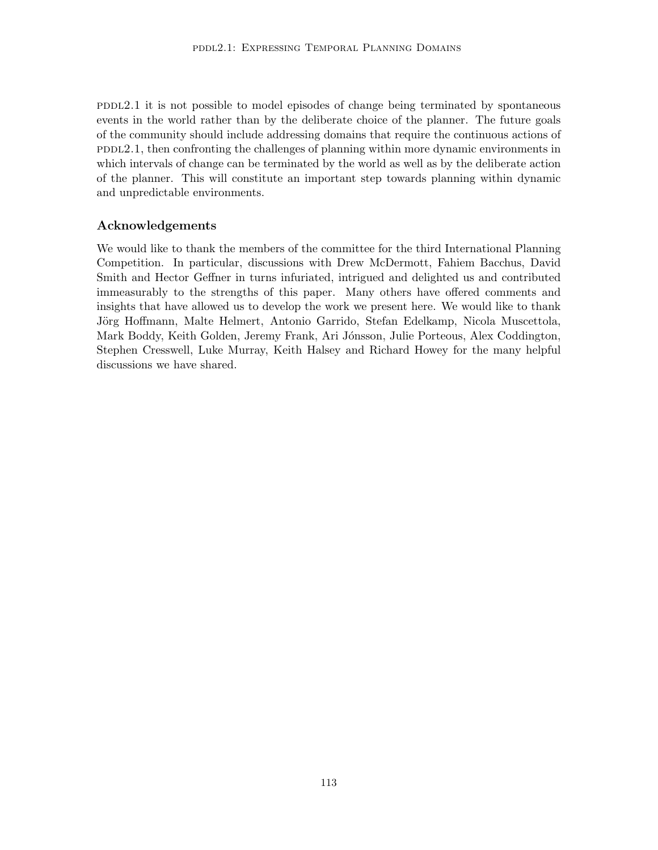$PDDL2.1$  it is not possible to model episodes of change being terminated by spontaneous events in the world rather than by the deliberate choice of the planner. The future goals of the community should include addressing domains that require the continuous actions of  $PDDL2.1$ , then confronting the challenges of planning within more dynamic environments in which intervals of change can be terminated by the world as well as by the deliberate action of the planner. This will constitute an important step towards planning within dynamic and unpredictable environments.

# Acknowledgements

We would like to thank the members of the committee for the third International Planning Competition. In particular, discussions with Drew McDermott, Fahiem Bacchus, David Smith and Hector Geffner in turns infuriated, intrigued and delighted us and contributed immeasurably to the strengths of this paper. Many others have offered comments and insights that have allowed us to develop the work we present here. We would like to thank Jörg Hoffmann, Malte Helmert, Antonio Garrido, Stefan Edelkamp, Nicola Muscettola, Mark Boddy, Keith Golden, Jeremy Frank, Ari Jónsson, Julie Porteous, Alex Coddington, Stephen Cresswell, Luke Murray, Keith Halsey and Richard Howey for the many helpful discussions we have shared.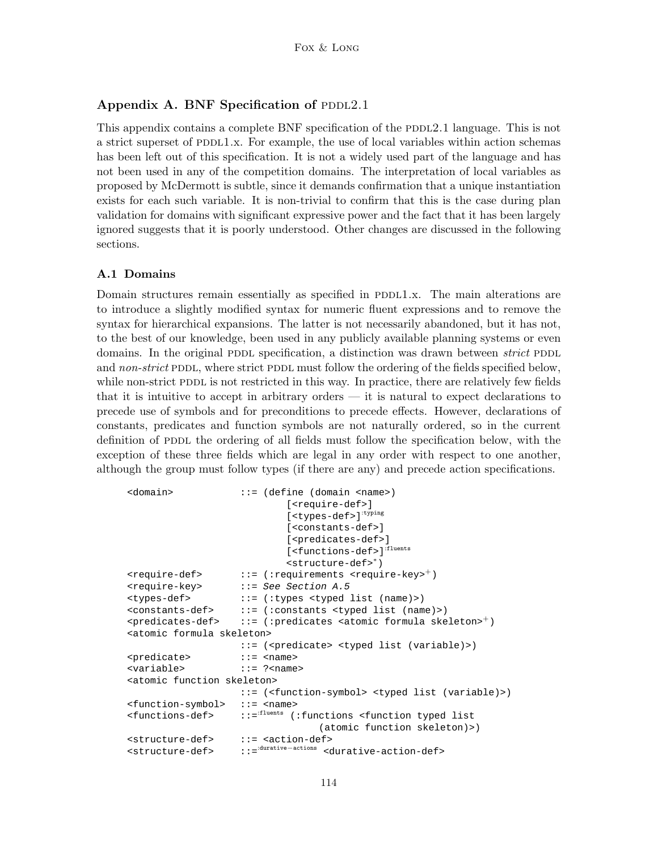# Appendix A. BNF Specification of PDDL2.1

This appendix contains a complete BNF specification of the PDDL2.1 language. This is not a strict superset of  $PDDL1.x$ . For example, the use of local variables within action schemas has been left out of this specification. It is not a widely used part of the language and has not been used in any of the competition domains. The interpretation of local variables as proposed by McDermott is subtle, since it demands confirmation that a unique instantiation exists for each such variable. It is non-trivial to confirm that this is the case during plan validation for domains with significant expressive power and the fact that it has been largely ignored suggests that it is poorly understood. Other changes are discussed in the following sections.

### A.1 Domains

Domain structures remain essentially as specified in PDDL1.x. The main alterations are to introduce a slightly modified syntax for numeric fluent expressions and to remove the syntax for hierarchical expansions. The latter is not necessarily abandoned, but it has not, to the best of our knowledge, been used in any publicly available planning systems or even domains. In the original PDDL specification, a distinction was drawn between *strict* PDDL and non-strict PDDL, where strict PDDL must follow the ordering of the fields specified below, while non-strict PDDL is not restricted in this way. In practice, there are relatively few fields that it is intuitive to accept in arbitrary orders — it is natural to expect declarations to precede use of symbols and for preconditions to precede effects. However, declarations of constants, predicates and function symbols are not naturally ordered, so in the current definition of PDDL the ordering of all fields must follow the specification below, with the exception of these three fields which are legal in any order with respect to one another, although the group must follow types (if there are any) and precede action specifications.

```
<domain> ::= (define (domain <name>)
                           [<require-def>]
                           [<types-def>]<sup>:typing</sup>
                           [<constants-def>]
                           [<predicates-def>]
                           [<functions-def>]<sup>:fluents</sup>
                           <structure-def>∗)
<require-def> ::= (:requirements <require-key><sup>+</sup>)
<require-key> ::= See Section A.5
<types-def> ::= (:types <typed list (name)>)
<constants-def> ::= (:constants <typed list (name)>)
<predicates-def> ::= (:predicates <atomic formula skeleton><sup>+</sup>)
<atomic formula skeleton>
                   ::= (<predicate> <typed list (variable)>)
<predicate> ::= <name>
<variable> ::= ?<name>
<atomic function skeleton>
                   ::= (<function-symbol> <typed list (variable)>)
<function-symbol> ::= <name>
<functions-def> ::=:fluents (:functions <function typed list
                                 (atomic function skeleton)>)
<structure-def> ::= <action-def>
<structure-def> ::=:durative−actions <durative-action-def>
```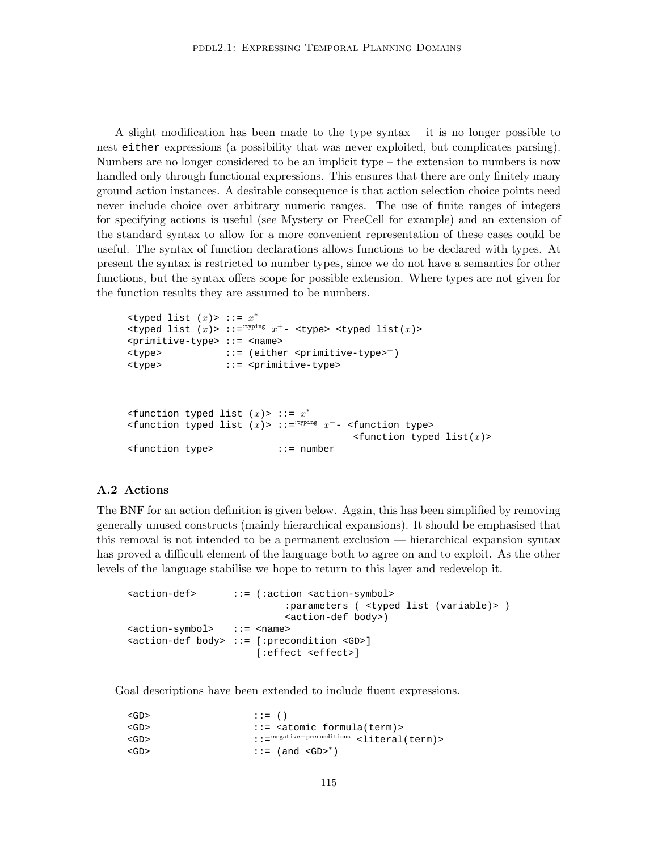A slight modification has been made to the type syntax – it is no longer possible to nest either expressions (a possibility that was never exploited, but complicates parsing). Numbers are no longer considered to be an implicit type – the extension to numbers is now handled only through functional expressions. This ensures that there are only finitely many ground action instances. A desirable consequence is that action selection choice points need never include choice over arbitrary numeric ranges. The use of finite ranges of integers for specifying actions is useful (see Mystery or FreeCell for example) and an extension of the standard syntax to allow for a more convenient representation of these cases could be useful. The syntax of function declarations allows functions to be declared with types. At present the syntax is restricted to number types, since we do not have a semantics for other functions, but the syntax offers scope for possible extension. Where types are not given for the function results they are assumed to be numbers.

```
lt typed list (x)> ::= x^*ltyped list (x) > ::="^{tinyning} x<sup>+</sup> - <sup>ct</sup>ype > <sup>ct</sup>yped list(x) ><primitive-type> ::= <name>
\times \text{type} ::= (either \langleprimitive-type><sup>+</sup>)
<type> ::= <primitive-type>
\epsilon <function typed list (x)> ::= x^*\n  <function typed list (x)> ::=<sup>:typing</sup> x^+- <function type>
                                                \n  <function typed list(x) >
<function type> ::= number
```
### A.2 Actions

The BNF for an action definition is given below. Again, this has been simplified by removing generally unused constructs (mainly hierarchical expansions). It should be emphasised that this removal is not intended to be a permanent exclusion — hierarchical expansion syntax has proved a difficult element of the language both to agree on and to exploit. As the other levels of the language stabilise we hope to return to this layer and redevelop it.

```
<action-def> ::= (:action <action-symbol>
                          :parameters ( <typed list (variable)> )
                          <action-def body>)
<action-symbol> ::= <name>
<action-def body> ::= [:precondition <GD>]
                     [:effect <effect>]
```
Goal descriptions have been extended to include fluent expressions.

```
\langleGD> ::= ()
<GD> ::= <atomic formula(term)>
<GD> ::=:negative−preconditions <literal(term)>
\langleGD> ::= (and \langleGD><sup>*</sup>)
```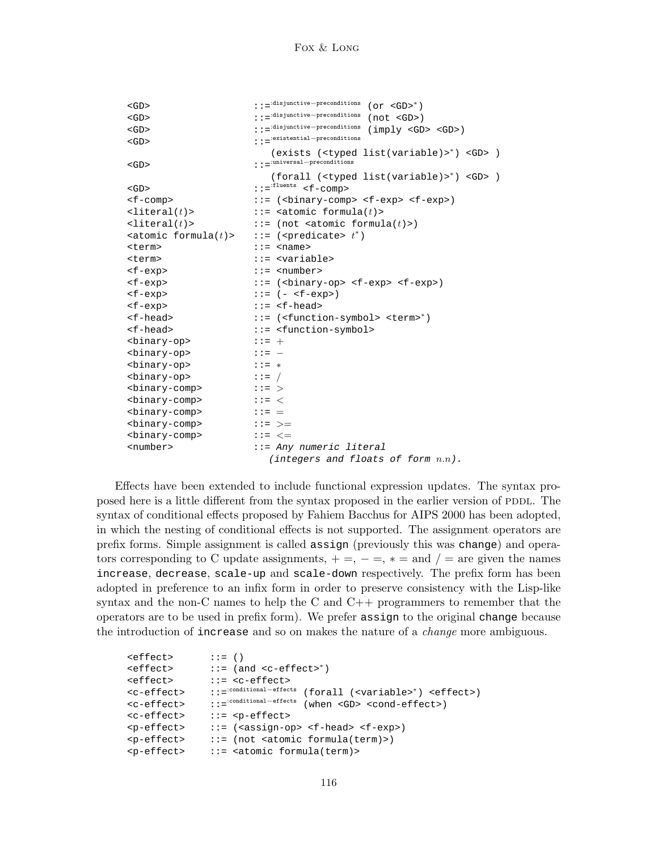```
<GD> ::=:disjunctive−preconditions (or <GD>∗)
<GD> ::=:disjunctive−preconditions (not <GD>)
<GD> ::=:disjunctive−preconditions (imply <GD> <GD>)
<GD> ::=:existential−preconditions
                     (exists (<typed list(variable)>∗) <GD> )
<GD> ::=:universal−preconditions
                     (forall (<typed list(variable)>∗) <GD> )
\verb|<GD>|:\verb|:=|:\verb|=|:\verb|l|=1<f-comp> ::= (<binary-comp> <f-exp> <f-exp>)
\text{clateral}(t) ::= <atomic formula(t)>
\text{clateral}(t) ::= (not <atomic formula(t)>)
\text{atomic formula}(t) > ::= (<predicate> t^*)
<term> ::= <name>
<term> ::= <variable>
<f-exp> ::= <number>
<f-exp> ::= (<binary-op> <f-exp> <f-exp>)
\langle f-exp \rangle ::= (-\langle f-exp \rangle)<f-exp> ::= <f-head>
<f-head> ::= (<function-symbol> <term>∗)
<f-head> ::= <function-symbol>
<binary-op> ::= +
<binary-op> ::= −
<binary-op> ::= ∗
\langle \text{binary-op}\rangle ::= /
<binary-comp> ::= >
<binary-comp> ::= <
\langle \text{binary-comp} \rangle ::= =
<binary-comp> ::= >=
<binary-comp> ::= <=
<number> ::= Any numeric literal
                     (integers and floats of form n.n).
```
Effects have been extended to include functional expression updates. The syntax proposed here is a little different from the syntax proposed in the earlier version of PDDL. The syntax of conditional effects proposed by Fahiem Bacchus for AIPS 2000 has been adopted, in which the nesting of conditional effects is not supported. The assignment operators are prefix forms. Simple assignment is called assign (previously this was change) and operators corresponding to C update assignments,  $+ =, - =, * =$  and  $/ =$  are given the names increase, decrease, scale-up and scale-down respectively. The prefix form has been adopted in preference to an infix form in order to preserve consistency with the Lisp-like syntax and the non-C names to help the C and  $C_{++}$  programmers to remember that the operators are to be used in prefix form). We prefer assign to the original change because the introduction of increase and so on makes the nature of a *change* more ambiguous.

```
\left\{\text{effect}\right\} ::= ()
<effect> ::= (and <c-effect>∗)
<effect> ::= <c-effect>
<c-effect> ::=:conditional−effects (forall (<variable>∗) <effect>)
<c-effect> ::=:conditional−effects (when <GD> <cond-effect>)
<c-effect> ::= <p-effect>
<p-effect> ::= (<assign-op> <f-head> <f-exp>)
\langle p-effect> ::= (not <atomic formula(term)>)
<p-effect> ::= <atomic formula(term)>
```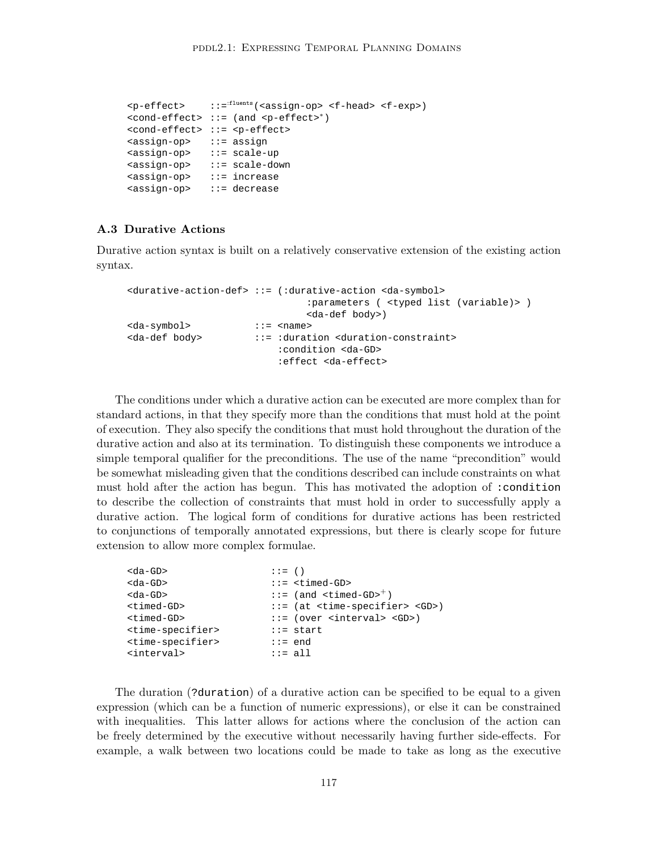```
<p-effect> ::=:fluents(<assign-op> <f-head> <f-exp>)
<cond-effect> ::= (and <p-effect>∗)
<cond-effect> ::= <p-effect>
<assign-op> ::= assign
<assign-op> ::= scale-up
<assign-op> ::= scale-down
<assign-op> ::= increase
<assign-op> ::= decrease
```
# A.3 Durative Actions

Durative action syntax is built on a relatively conservative extension of the existing action syntax.

```
<durative-action-def> ::= (:durative-action <da-symbol>
                             :parameters ( <typed list (variable)> )
                             <da-def body>)
<da-symbol> ::= <name>
<da-def body> ::= :duration <duration-constraint>
                        :condition <da-GD>
                        :effect <da-effect>
```
The conditions under which a durative action can be executed are more complex than for standard actions, in that they specify more than the conditions that must hold at the point of execution. They also specify the conditions that must hold throughout the duration of the durative action and also at its termination. To distinguish these components we introduce a simple temporal qualifier for the preconditions. The use of the name "precondition" would be somewhat misleading given that the conditions described can include constraints on what must hold after the action has begun. This has motivated the adoption of :condition to describe the collection of constraints that must hold in order to successfully apply a durative action. The logical form of conditions for durative actions has been restricted to conjunctions of temporally annotated expressions, but there is clearly scope for future extension to allow more complex formulae.

| $<$ da-GD $>$                     | $\mathbf{r} := (x)$ |                                                         |
|-----------------------------------|---------------------|---------------------------------------------------------|
| <da-gd></da-gd>                   |                     | $::=$ <timed-gd></timed-gd>                             |
| $<$ da-GD $>$                     |                     | $::=$ (and $\times$ timed-GD> <sup>+</sup> )            |
| <timed-gd></timed-gd>             |                     | $ ::=$ (at <time-specifier> <gd>)</gd></time-specifier> |
| <timed-gd></timed-gd>             |                     | $::=$ (over <interval> <gd>)</gd></interval>            |
| <time-specifier></time-specifier> |                     | $::=$ start                                             |
| <time-specifier></time-specifier> | $::= end$           |                                                         |
| <interval></interval>             | $::=$ all           |                                                         |
|                                   |                     |                                                         |

The duration (?duration) of a durative action can be specified to be equal to a given expression (which can be a function of numeric expressions), or else it can be constrained with inequalities. This latter allows for actions where the conclusion of the action can be freely determined by the executive without necessarily having further side-effects. For example, a walk between two locations could be made to take as long as the executive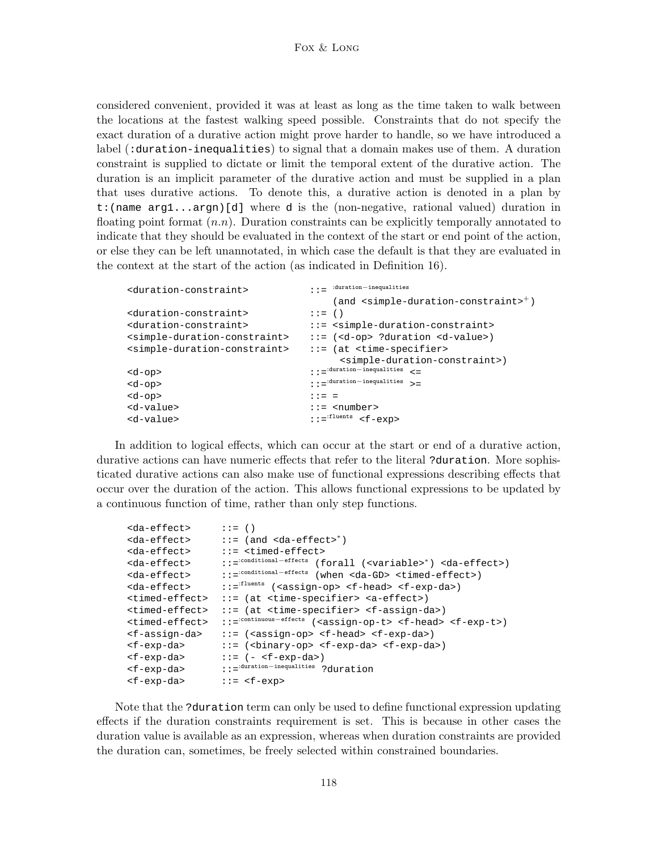considered convenient, provided it was at least as long as the time taken to walk between the locations at the fastest walking speed possible. Constraints that do not specify the exact duration of a durative action might prove harder to handle, so we have introduced a label (:duration-inequalities) to signal that a domain makes use of them. A duration constraint is supplied to dictate or limit the temporal extent of the durative action. The duration is an implicit parameter of the durative action and must be supplied in a plan that uses durative actions. To denote this, a durative action is denoted in a plan by t:(name arg1...argn)[d] where d is the (non-negative, rational valued) duration in floating point format  $(n,n)$ . Duration constraints can be explicitly temporally annotated to indicate that they should be evaluated in the context of the start or end point of the action, or else they can be left unannotated, in which case the default is that they are evaluated in the context at the start of the action (as indicated in Definition 16).

```
<duration-constraint> ::= :duration−inequalities
                            (and <simple-duration-constraint>+)
<duration-constraint> ::= ()
<duration-constraint> ::= <simple-duration-constraint>
<simple-duration-constraint> ::= (<d-op> ?duration <d-value>)
<simple-duration-constraint> ::= (at <time-specifier>
                             <simple-duration-constraint>)
<d-op> ::=:duration−inequalities <=
<d-op> ::=:duration−inequalities >=
<d-opp> ::= =
<d-value> ::= <number>
<d-value> ::=:fluents <f-exp>
```
In addition to logical effects, which can occur at the start or end of a durative action, durative actions can have numeric effects that refer to the literal ?duration. More sophisticated durative actions can also make use of functional expressions describing effects that occur over the duration of the action. This allows functional expressions to be updated by a continuous function of time, rather than only step functions.

```
<da-effect> ::= ()
<da-effect> ::= (and <da-effect>∗)
<da-effect> ::= <timed-effect>
<da-effect> ::=:conditional−effects (forall (<variable>∗) <da-effect>)
<da-effect> ::=:conditional−effects (when <da-GD> <timed-effect>)
<da-effect> ::=:fluents (<assign-op> <f-head> <f-exp-da>)
<timed-effect> ::= (at <time-specifier> <a-effect>)
<timed-effect> ::= (at <time-specifier> <f-assign-da>)
<timed-effect> ::=:continuous−effects (<assign-op-t> <f-head> <f-exp-t>)
<f-assign-da> ::= (<assign-op> <f-head> <f-exp-da>)
<f-exp-da> ::= (<binary-op> <f-exp-da> <f-exp-da>)
\langle f-exp-da\rangle ::= (-\langle f-exp-da\rangle)<f-exp-da> ::=:duration−inequalities ?duration
<f-exp-da> ::= <f-exp>
```
Note that the ?duration term can only be used to define functional expression updating effects if the duration constraints requirement is set. This is because in other cases the duration value is available as an expression, whereas when duration constraints are provided the duration can, sometimes, be freely selected within constrained boundaries.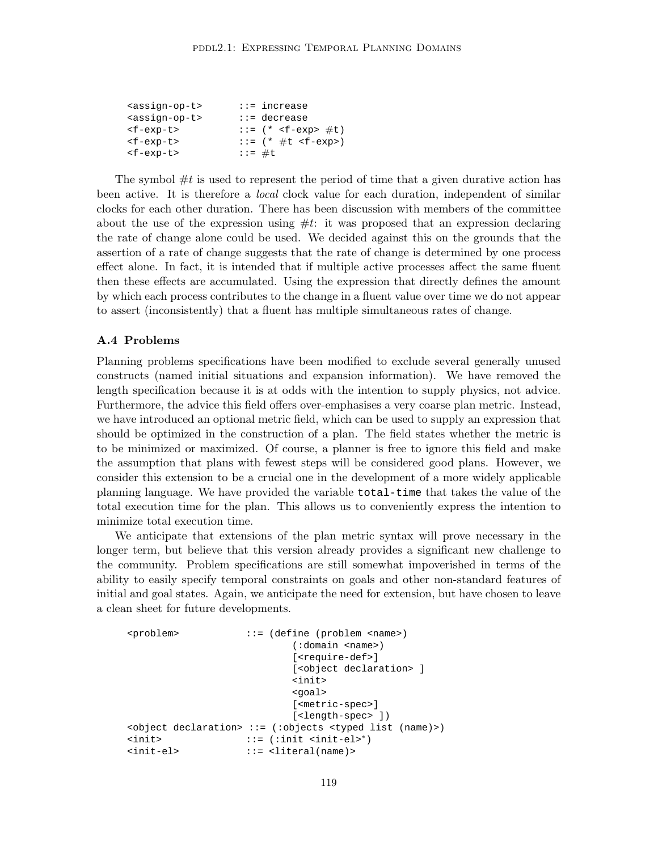| <assign-op-t></assign-op-t> | $ ::=$ increase              |
|-----------------------------|------------------------------|
| <assign-op-t></assign-op-t> | $::=$ decrease               |
| $<$ f-exp-t>                | ::= $(*$ <f-exp> #t)</f-exp> |
| $<$ f-exp-t>                | ::= $(* #t )$                |
| $<$ f-exp-t>                | $: := #t$                    |
|                             |                              |

The symbol  $\#t$  is used to represent the period of time that a given durative action has been active. It is therefore a local clock value for each duration, independent of similar clocks for each other duration. There has been discussion with members of the committee about the use of the expression using  $\#t$ : it was proposed that an expression declaring the rate of change alone could be used. We decided against this on the grounds that the assertion of a rate of change suggests that the rate of change is determined by one process effect alone. In fact, it is intended that if multiple active processes affect the same fluent then these effects are accumulated. Using the expression that directly defines the amount by which each process contributes to the change in a fluent value over time we do not appear to assert (inconsistently) that a fluent has multiple simultaneous rates of change.

### A.4 Problems

Planning problems specifications have been modified to exclude several generally unused constructs (named initial situations and expansion information). We have removed the length specification because it is at odds with the intention to supply physics, not advice. Furthermore, the advice this field offers over-emphasises a very coarse plan metric. Instead, we have introduced an optional metric field, which can be used to supply an expression that should be optimized in the construction of a plan. The field states whether the metric is to be minimized or maximized. Of course, a planner is free to ignore this field and make the assumption that plans with fewest steps will be considered good plans. However, we consider this extension to be a crucial one in the development of a more widely applicable planning language. We have provided the variable total-time that takes the value of the total execution time for the plan. This allows us to conveniently express the intention to minimize total execution time.

We anticipate that extensions of the plan metric syntax will prove necessary in the longer term, but believe that this version already provides a significant new challenge to the community. Problem specifications are still somewhat impoverished in terms of the ability to easily specify temporal constraints on goals and other non-standard features of initial and goal states. Again, we anticipate the need for extension, but have chosen to leave a clean sheet for future developments.

```
<problem> ::= (define (problem <name>)
                         (:domain <name>)
                         [<require-def>]
                         [<object declaration> ]
                         <init>
                         <goal>
                         [<metric-spec>]
                         [<length-spec> ])
<object declaration> ::= (:objects <typed list (name)>)
<init> ::= (:init <init-el>∗)
<init-el> ::= <literal(name)>
```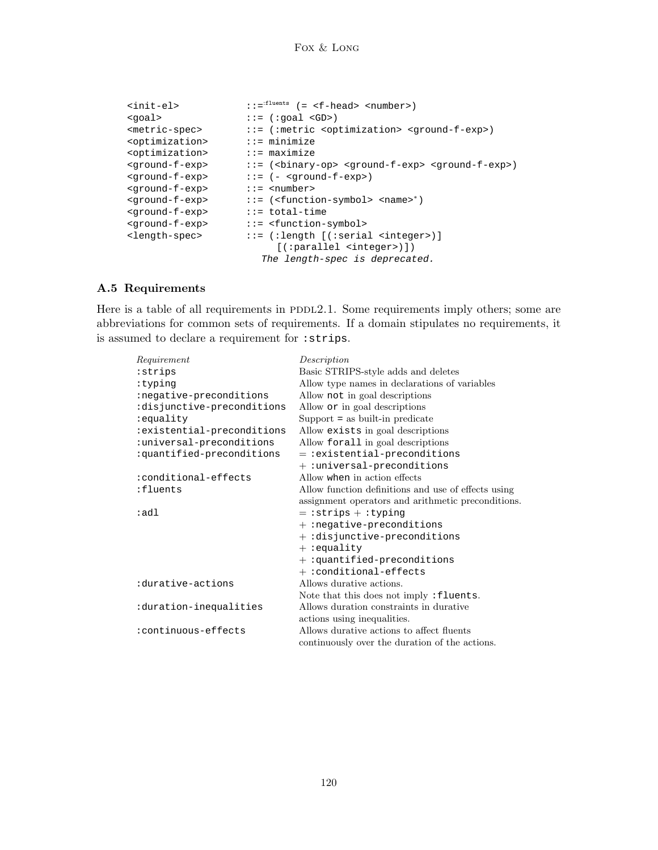```
\texttt{simit-}el> ::=\texttt{init-} (= <f-head> <number>)
<goal> ::= (:goal <GD>)
                   ::= (:metric <optimization> <ground-f-exp>)
<optimization> ::= minimize
<optimization> ::= maximize<br>
<a>
<</a>
<</a>::= (<br/>>binary></a>
                    <ground-f-exp> ::= (<binary-op> <ground-f-exp> <ground-f-exp>)
<ground-f-exp> ::= (- <ground-f-exp>)
<ground-f-exp> ::= <number>
<ground-f-exp> ::= (<function-symbol> <name>∗)
<ground-f-exp> ::= total-time
<ground-f-exp> ::= <function-symbol>
<length-spec> ::= (:length [(:serial <integer>)]
                         [(:parallel <integer>)])
                       The length-spec is deprecated.
```
# A.5 Requirements

Here is a table of all requirements in  $PDDL2.1$ . Some requirements imply others; some are abbreviations for common sets of requirements. If a domain stipulates no requirements, it is assumed to declare a requirement for :strips.

| Requirement                | Description                                         |
|----------------------------|-----------------------------------------------------|
| :strips                    | Basic STRIPS-style adds and deletes                 |
| :typing                    | Allow type names in declarations of variables       |
| :negative-preconditions    | Allow not in goal descriptions                      |
| :disjunctive-preconditions | Allow or in goal descriptions                       |
| :equality                  | $Support = as built-in predicate$                   |
| :existential-preconditions | Allow exists in goal descriptions                   |
| :universal-preconditions   | Allow forall in goal descriptions                   |
| :quantified-preconditions  | $=$ :existential-preconditions                      |
|                            | + :universal-preconditions                          |
| :conditional-effects       | Allow when in action effects                        |
| :fluents                   | Allow function definitions and use of effects using |
|                            | assignment operators and arithmetic preconditions.  |
| :adl                       | $=$ : strips + : typing                             |
|                            | $+$ : negative-preconditions                        |
|                            | $+$ :disjunctive-preconditions                      |
|                            | $+ :$ equality                                      |
|                            | $+$ :quantified-preconditions                       |
|                            | $+ :$ conditional-effects                           |
| :durative-actions          | Allows durative actions.                            |
|                            | Note that this does not imply: fluents.             |
| duration-inequalities:     | Allows duration constraints in durative             |
|                            | actions using inequalities.                         |
| :continuous-effects        | Allows durative actions to affect fluents           |
|                            | continuously over the duration of the actions.      |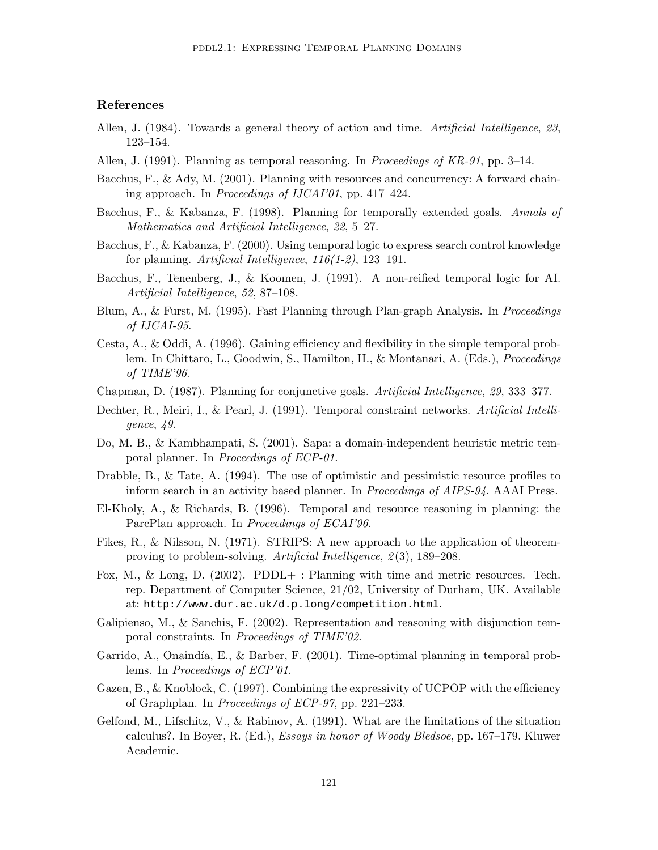# References

- Allen, J. (1984). Towards a general theory of action and time. Artificial Intelligence, 23, 123–154.
- Allen, J. (1991). Planning as temporal reasoning. In *Proceedings of KR-91*, pp. 3–14.
- Bacchus, F., & Ady, M. (2001). Planning with resources and concurrency: A forward chaining approach. In Proceedings of IJCAI'01, pp. 417–424.
- Bacchus, F., & Kabanza, F. (1998). Planning for temporally extended goals. Annals of Mathematics and Artificial Intelligence, 22, 5–27.
- Bacchus, F., & Kabanza, F. (2000). Using temporal logic to express search control knowledge for planning. Artificial Intelligence,  $116(1-2)$ , 123-191.
- Bacchus, F., Tenenberg, J., & Koomen, J. (1991). A non-reified temporal logic for AI. Artificial Intelligence, 52, 87–108.
- Blum, A., & Furst, M. (1995). Fast Planning through Plan-graph Analysis. In *Proceedings* of IJCAI-95.
- Cesta, A., & Oddi, A. (1996). Gaining efficiency and flexibility in the simple temporal problem. In Chittaro, L., Goodwin, S., Hamilton, H., & Montanari, A. (Eds.), Proceedings of TIME'96.
- Chapman, D. (1987). Planning for conjunctive goals. Artificial Intelligence, 29, 333–377.
- Dechter, R., Meiri, I., & Pearl, J. (1991). Temporal constraint networks. Artificial Intelligence, 49.
- Do, M. B., & Kambhampati, S. (2001). Sapa: a domain-independent heuristic metric temporal planner. In Proceedings of ECP-01.
- Drabble, B., & Tate, A. (1994). The use of optimistic and pessimistic resource profiles to inform search in an activity based planner. In Proceedings of AIPS-94. AAAI Press.
- El-Kholy, A., & Richards, B. (1996). Temporal and resource reasoning in planning: the ParcPlan approach. In Proceedings of ECAI'96.
- Fikes, R., & Nilsson, N. (1971). STRIPS: A new approach to the application of theoremproving to problem-solving. Artificial Intelligence, 2(3), 189–208.
- Fox, M., & Long, D. (2002). PDDL+ : Planning with time and metric resources. Tech. rep. Department of Computer Science, 21/02, University of Durham, UK. Available at: http://www.dur.ac.uk/d.p.long/competition.html.
- Galipienso, M., & Sanchis, F. (2002). Representation and reasoning with disjunction temporal constraints. In Proceedings of TIME'02.
- Garrido, A., Onaindía, E., & Barber, F.  $(2001)$ . Time-optimal planning in temporal problems. In Proceedings of ECP'01.
- Gazen, B., & Knoblock, C. (1997). Combining the expressivity of UCPOP with the efficiency of Graphplan. In Proceedings of ECP-97, pp. 221–233.
- Gelfond, M., Lifschitz, V., & Rabinov, A. (1991). What are the limitations of the situation calculus?. In Boyer, R. (Ed.), Essays in honor of Woody Bledsoe, pp. 167–179. Kluwer Academic.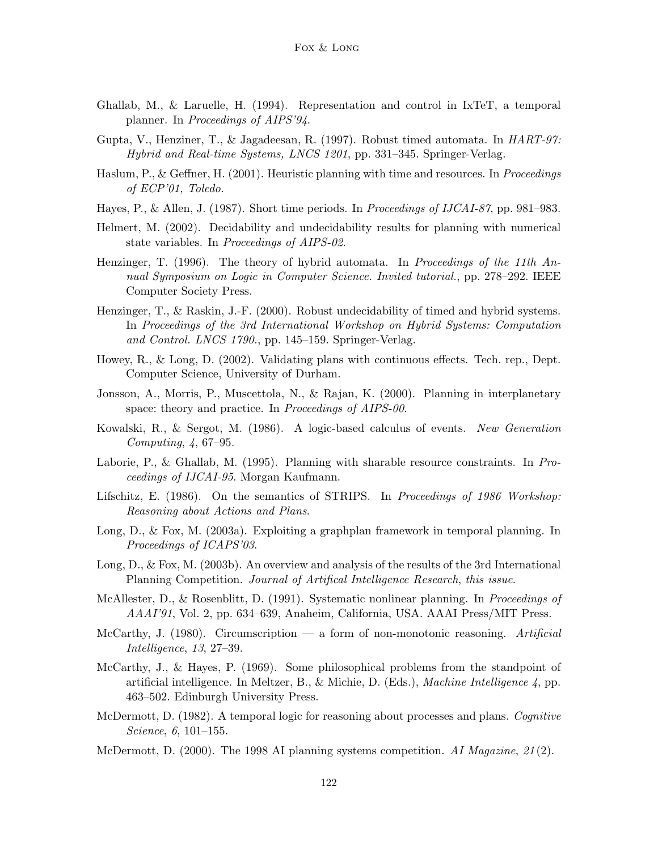- Ghallab, M., & Laruelle, H. (1994). Representation and control in IxTeT, a temporal planner. In Proceedings of AIPS'94.
- Gupta, V., Henziner, T., & Jagadeesan, R. (1997). Robust timed automata. In HART-97: Hybrid and Real-time Systems, LNCS 1201, pp. 331–345. Springer-Verlag.
- Haslum, P., & Geffner, H. (2001). Heuristic planning with time and resources. In *Proceedings* of ECP'01, Toledo.
- Hayes, P., & Allen, J. (1987). Short time periods. In Proceedings of IJCAI-87, pp. 981–983.
- Helmert, M. (2002). Decidability and undecidability results for planning with numerical state variables. In *Proceedings of AIPS-02*.
- Henzinger, T. (1996). The theory of hybrid automata. In Proceedings of the 11th  $An$ nual Symposium on Logic in Computer Science. Invited tutorial., pp. 278–292. IEEE Computer Society Press.
- Henzinger, T., & Raskin, J.-F. (2000). Robust undecidability of timed and hybrid systems. In Proceedings of the 3rd International Workshop on Hybrid Systems: Computation and Control. LNCS 1790., pp. 145–159. Springer-Verlag.
- Howey, R., & Long, D. (2002). Validating plans with continuous effects. Tech. rep., Dept. Computer Science, University of Durham.
- Jonsson, A., Morris, P., Muscettola, N., & Rajan, K. (2000). Planning in interplanetary space: theory and practice. In *Proceedings of AIPS-00*.
- Kowalski, R., & Sergot, M. (1986). A logic-based calculus of events. New Generation Computing, 4, 67–95.
- Laborie, P., & Ghallab, M. (1995). Planning with sharable resource constraints. In Proceedings of IJCAI-95. Morgan Kaufmann.
- Lifschitz, E. (1986). On the semantics of STRIPS. In Proceedings of 1986 Workshop: Reasoning about Actions and Plans.
- Long, D., & Fox, M. (2003a). Exploiting a graphplan framework in temporal planning. In Proceedings of ICAPS'03.
- Long, D., & Fox, M. (2003b). An overview and analysis of the results of the 3rd International Planning Competition. Journal of Artifical Intelligence Research, this issue.
- McAllester, D., & Rosenblitt, D. (1991). Systematic nonlinear planning. In Proceedings of AAAI'91, Vol. 2, pp. 634–639, Anaheim, California, USA. AAAI Press/MIT Press.
- McCarthy, J. (1980). Circumscription a form of non-monotonic reasoning. Artificial Intelligence, 13, 27–39.
- McCarthy, J., & Hayes, P. (1969). Some philosophical problems from the standpoint of artificial intelligence. In Meltzer, B., & Michie, D. (Eds.), Machine Intelligence 4, pp. 463–502. Edinburgh University Press.
- McDermott, D. (1982). A temporal logic for reasoning about processes and plans. Cognitive Science, 6, 101–155.
- McDermott, D. (2000). The 1998 AI planning systems competition. AI Magazine,  $21(2)$ .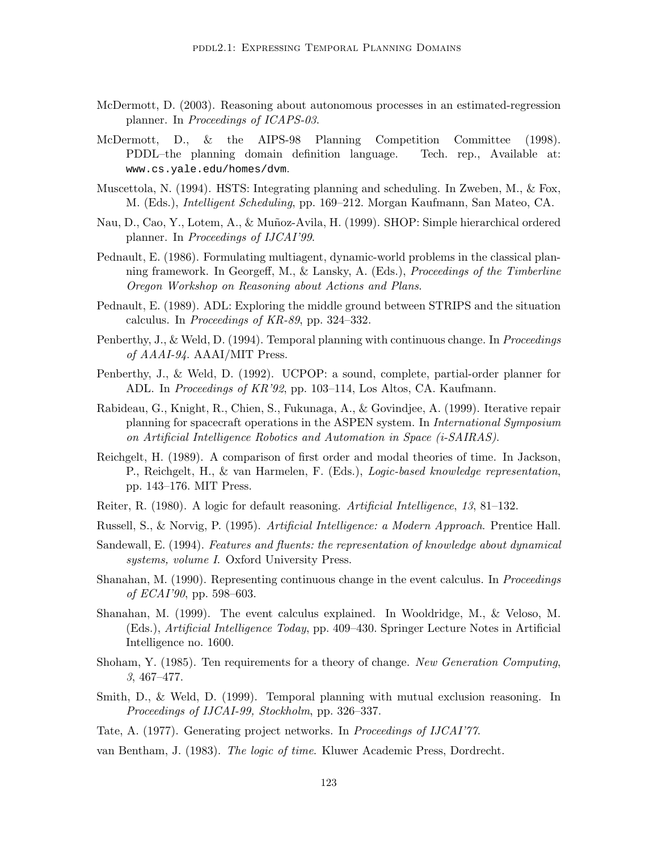- McDermott, D. (2003). Reasoning about autonomous processes in an estimated-regression planner. In Proceedings of ICAPS-03.
- McDermott, D., & the AIPS-98 Planning Competition Committee (1998). PDDL–the planning domain definition language. Tech. rep., Available at: www.cs.yale.edu/homes/dvm.
- Muscettola, N. (1994). HSTS: Integrating planning and scheduling. In Zweben, M., & Fox, M. (Eds.), Intelligent Scheduling, pp. 169–212. Morgan Kaufmann, San Mateo, CA.
- Nau, D., Cao, Y., Lotem, A., & Mu˜noz-Avila, H. (1999). SHOP: Simple hierarchical ordered planner. In Proceedings of IJCAI'99.
- Pednault, E. (1986). Formulating multiagent, dynamic-world problems in the classical planning framework. In Georgeff, M., & Lansky, A. (Eds.), Proceedings of the Timberline Oregon Workshop on Reasoning about Actions and Plans.
- Pednault, E. (1989). ADL: Exploring the middle ground between STRIPS and the situation calculus. In Proceedings of KR-89, pp. 324–332.
- Penberthy, J., & Weld, D. (1994). Temporal planning with continuous change. In *Proceedings* of AAAI-94. AAAI/MIT Press.
- Penberthy, J., & Weld, D. (1992). UCPOP: a sound, complete, partial-order planner for ADL. In Proceedings of KR'92, pp. 103–114, Los Altos, CA. Kaufmann.
- Rabideau, G., Knight, R., Chien, S., Fukunaga, A., & Govindjee, A. (1999). Iterative repair planning for spacecraft operations in the ASPEN system. In International Symposium on Artificial Intelligence Robotics and Automation in Space (i-SAIRAS).
- Reichgelt, H. (1989). A comparison of first order and modal theories of time. In Jackson, P., Reichgelt, H., & van Harmelen, F. (Eds.), Logic-based knowledge representation, pp. 143–176. MIT Press.
- Reiter, R. (1980). A logic for default reasoning. Artificial Intelligence, 13, 81–132.
- Russell, S., & Norvig, P. (1995). Artificial Intelligence: a Modern Approach. Prentice Hall.
- Sandewall, E. (1994). Features and fluents: the representation of knowledge about dynamical systems, volume I. Oxford University Press.
- Shanahan, M. (1990). Representing continuous change in the event calculus. In *Proceedings* of ECAI'90, pp. 598–603.
- Shanahan, M. (1999). The event calculus explained. In Wooldridge, M., & Veloso, M. (Eds.), Artificial Intelligence Today, pp. 409–430. Springer Lecture Notes in Artificial Intelligence no. 1600.
- Shoham, Y. (1985). Ten requirements for a theory of change. New Generation Computing, 3, 467–477.
- Smith, D., & Weld, D. (1999). Temporal planning with mutual exclusion reasoning. In Proceedings of IJCAI-99, Stockholm, pp. 326–337.
- Tate, A. (1977). Generating project networks. In Proceedings of IJCAI'77.
- van Bentham, J. (1983). The logic of time. Kluwer Academic Press, Dordrecht.